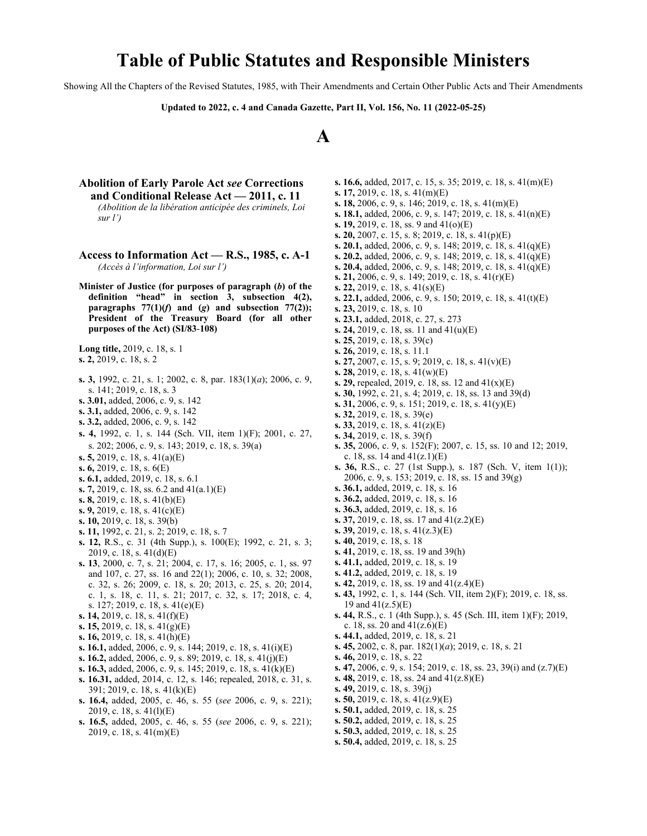# **Table of Public Statutes and Responsible Ministers**

Showing All the Chapters of the Revised Statutes, 1985, with Their Amendments and Certain Other Public Acts and Their Amendments

**Updated to 2022, c. 4 and Canada Gazette, Part II, Vol. 156, No. 11 (2022-05-25)**



- **Abolition of Early Parole Act** *see* **Corrections and Conditional Release Act — 2011, c. 11** *(Abolition de la libération anticipée des criminels, Loi sur l')*
- **Access to Information Act R.S., 1985, c. A-1** *(Accès à l'information, Loi sur l')*
- **Minister of Justice (for purposes of paragraph (***b***) of the definition "head" in section 3, subsection 4(2), paragraphs**  $77(1)(f)$  and (*g*) and subsection  $77(2)$ ); **President of the Treasury Board (for all other purposes of the Act) (SI/83**‑**108)**
- **Long title,** 2019, c. 18, s. 1 **s. 2,** 2019, c. 18, s. 2
- **s. 3,** 1992, c. 21, s. 1; 2002, c. 8, par. 183(1)(*a*); 2006, c. 9, s. 141; 2019, c. 18, s. 3
- **s. 3.01,** added, 2006, c. 9, s. 142
- **s. 3.1,** added, 2006, c. 9, s. 142
- **s. 3.2,** added, 2006, c. 9, s. 142
- **s. 4,** 1992, c. 1, s. 144 (Sch. VII, item 1)(F); 2001, c. 27, s. 202; 2006, c. 9, s. 143; 2019, c. 18, s. 39(a)
- **s. 5,** 2019, c. 18, s. 41(a)(E)
- **s. 6,** 2019, c. 18, s. 6(E)
- **s. 6.1,** added, 2019, c. 18, s. 6.1
- **s. 7,** 2019, c. 18, ss. 6.2 and 41(a.1)(E)
- **s. 8,** 2019, c. 18, s. 41(b)(E)
- **s. 9,** 2019, c. 18, s. 41(c)(E)
- **s. 10,** 2019, c. 18, s. 39(b)
- **s. 11,** 1992, c. 21, s. 2; 2019, c. 18, s. 7
- **s. 12,** R.S., c. 31 (4th Supp.), s. 100(E); 1992, c. 21, s. 3; 2019, c. 18, s. 41(d)(E)
- **s. 13**, 2000, c. 7, s. 21; 2004, c. 17, s. 16; 2005, c. 1, ss. 97 and 107, c. 27, ss. 16 and 22(1); 2006, c. 10, s. 32; 2008, c. 32, s. 26; 2009, c. 18, s. 20; 2013, c. 25, s. 20; 2014, c. 1, s. 18, c. 11, s. 21; 2017, c. 32, s. 17; 2018, c. 4, s. 127; 2019, c. 18, s. 41(e)(E)
- **s. 14,** 2019, c. 18, s. 41(f)(E)
- **s. 15,** 2019, c. 18, s. 41(g)(E)
- **s. 16,** 2019, c. 18, s. 41(h)(E)
- **s. 16.1,** added, 2006, c. 9, s. 144; 2019, c. 18, s. 41(i)(E)
- **s. 16.2,** added, 2006, c. 9, s. 89; 2019, c. 18, s. 41(j)(E)
- **s. 16.3,** added, 2006, c. 9, s. 145; 2019, c. 18, s. 41(k)(E)
- **s. 16.31,** added, 2014, c. 12, s. 146; repealed, 2018, c. 31, s. 391; 2019, c. 18, s. 41(k)(E)
- **s. 16.4,** added, 2005, c. 46, s. 55 (*see* 2006, c. 9, s. 221); 2019, c. 18, s. 41(l)(E)
- **s. 16.5,** added, 2005, c. 46, s. 55 (*see* 2006, c. 9, s. 221); 2019, c. 18, s. 41(m)(E)
- **s. 16.6,** added, 2017, c. 15, s. 35; 2019, c. 18, s. 41(m)(E) **s. 17,** 2019, c. 18, s. 41(m)(E)
- 
- **s. 18,** 2006, c. 9, s. 146; 2019, c. 18, s. 41(m)(E)
- **s. 18.1,** added, 2006, c. 9, s. 147; 2019, c. 18, s. 41(n)(E)
- **s. 19,** 2019, c. 18, ss. 9 and 41(o)(E)
- **s. 20,** 2007, c. 15, s. 8; 2019, c. 18, s. 41(p)(E)
- **s. 20.1,** added, 2006, c. 9, s. 148; 2019, c. 18, s. 41(q)(E)
- **s. 20.2,** added, 2006, c. 9, s. 148; 2019, c. 18, s. 41(q)(E)
- **s. 20.4,** added, 2006, c. 9, s. 148; 2019, c. 18, s. 41(q)(E)
- **s. 21,** 2006, c. 9, s. 149; 2019, c. 18, s. 41(r)(E)
- **s. 22,** 2019, c. 18, s. 41(s)(E)
- **s. 22.1,** added, 2006, c. 9, s. 150; 2019, c. 18, s. 41(t)(E)
- **s. 23,** 2019, c. 18, s. 10
- **s. 23.1,** added, 2018, c. 27, s. 273
- **s. 24,** 2019, c. 18, ss. 11 and 41(u)(E)
- **s. 25,** 2019, c. 18, s. 39(c)
- **s. 26,** 2019, c. 18, s. 11.1
- **s. 27,** 2007, c. 15, s. 9; 2019, c. 18, s. 41(v)(E)
- **s. 28,** 2019, c. 18, s. 41(w)(E)
- **s. 29,** repealed, 2019, c. 18, ss. 12 and 41(x)(E)
- **s. 30,** 1992, c. 21, s. 4; 2019, c. 18, ss. 13 and 39(d)
- **s. 31,** 2006, c. 9, s. 151; 2019, c. 18, s. 41(y)(E)
- **s. 32,** 2019, c. 18, s. 39(e)
- **s. 33,** 2019, c. 18, s. 41(z)(E)
- **s. 34,** 2019, c. 18, s. 39(f)
- **s. 35,** 2006, c. 9, s. 152(F); 2007, c. 15, ss. 10 and 12; 2019, c. 18, ss. 14 and  $41(z.1)(E)$
- **s. 36,** R.S., c. 27 (1st Supp.), s. 187 (Sch. V, item 1(1)); 2006, c. 9, s. 153; 2019, c. 18, ss. 15 and 39(g)
- **s. 36.1,** added, 2019, c. 18, s. 16
- **s. 36.2,** added, 2019, c. 18, s. 16
- **s. 36.3,** added, 2019, c. 18, s. 16
- **s. 37,** 2019, c. 18, ss. 17 and 41(z.2)(E)
- **s. 39,** 2019, c. 18, s. 41(z.3)(E)
- **s. 40,** 2019, c. 18, s. 18
- **s. 41,** 2019, c. 18, ss. 19 and 39(h)
- **s. 41.1,** added, 2019, c. 18, s. 19
- **s. 41.2,** added, 2019, c. 18, s. 19
- **s. 42,** 2019, c. 18, ss. 19 and 41(z.4)(E)
- **s. 43,** 1992, c. 1, s. 144 (Sch. VII, item 2)(F); 2019, c. 18, ss. 19 and 41(z.5)(E)
- **s. 44,** R.S., c. 1 (4th Supp.), s. 45 (Sch. III, item 1)(F); 2019, c. 18, ss. 20 and  $41(z.6)(E)$
- **s. 44.1,** added, 2019, c. 18, s. 21
- **s. 45,** 2002, c. 8, par. 182(1)(*a*); 2019, c. 18, s. 21
- **s. 46,** 2019, c. 18, s. 22
- **s. 47,** 2006, c. 9, s. 154; 2019, c. 18, ss. 23, 39(i) and (z.7)(E)
- **s. 48,** 2019, c. 18, ss. 24 and 41(z.8)(E)
- **s. 49,** 2019, c. 18, s. 39(j)
- **s. 50,** 2019, c. 18, s. 41(z.9)(E)
- **s. 50.1,** added, 2019, c. 18, s. 25
- **s. 50.2,** added, 2019, c. 18, s. 25
- **s. 50.3,** added, 2019, c. 18, s. 25
- **s. 50.4,** added, 2019, c. 18, s. 25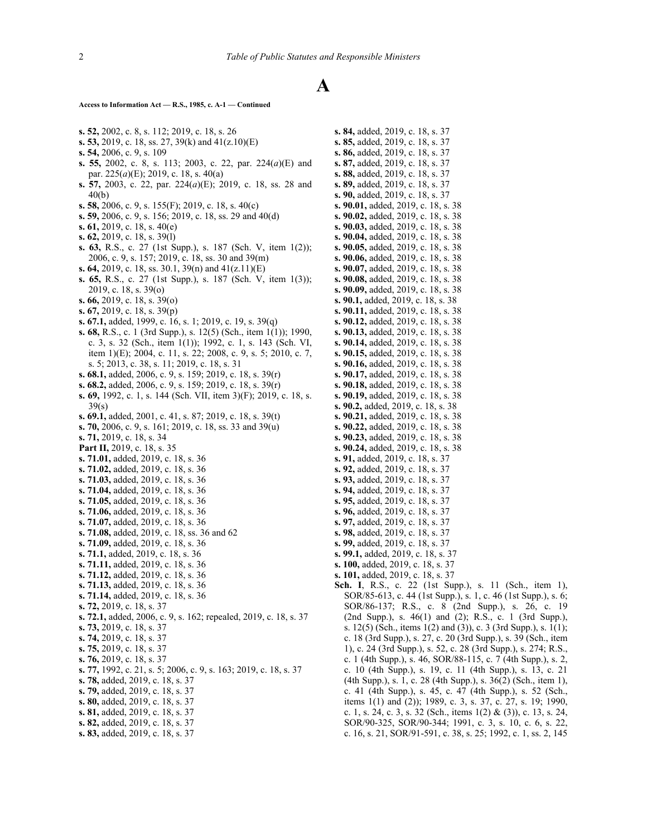#### **Access to Information Act — R.S., 1985, c. A-1 — Continued**

- **s. 52,** 2002, c. 8, s. 112; 2019, c. 18, s. 26
- **s. 53,** 2019, c. 18, ss. 27, 39(k) and 41(z.10)(E)
- **s. 54,** 2006, c. 9, s. 109
- **s. 55,** 2002, c. 8, s. 113; 2003, c. 22, par. 224(*a*)(E) and par. 225(*a*)(E); 2019, c. 18, s. 40(a)
- **s. 57,** 2003, c. 22, par. 224(*a*)(E); 2019, c. 18, ss. 28 and 40(b)
- **s. 58,** 2006, c. 9, s. 155(F); 2019, c. 18, s. 40(c)
- **s. 59,** 2006, c. 9, s. 156; 2019, c. 18, ss. 29 and 40(d)
- **s. 61,** 2019, c. 18, s. 40(e)
- **s. 62,** 2019, c. 18, s. 39(l)
- **s. 63,** R.S., c. 27 (1st Supp.), s. 187 (Sch. V, item 1(2)); 2006, c. 9, s. 157; 2019, c. 18, ss. 30 and 39(m)
- **s. 64,** 2019, c. 18, ss. 30.1, 39(n) and 41(z.11)(E)
- **s. 65,** R.S., c. 27 (1st Supp.), s. 187 (Sch. V, item 1(3)); 2019, c. 18, s. 39(o)
- **s. 66,** 2019, c. 18, s. 39(o)
- **s. 67,** 2019, c. 18, s. 39(p)
- **s. 67.1,** added, 1999, c. 16, s. 1; 2019, c. 19, s. 39(q)
- **s. 68,** R.S., c. 1 (3rd Supp.), s. 12(5) (Sch., item 1(1)); 1990, c. 3, s. 32 (Sch., item 1(1)); 1992, c. 1, s. 143 (Sch. VI, item 1)(E); 2004, c. 11, s. 22; 2008, c. 9, s. 5; 2010, c. 7, s. 5; 2013, c. 38, s. 11; 2019, c. 18, s. 31
- **s. 68.1,** added, 2006, c. 9, s. 159; 2019, c. 18, s. 39(r)
- **s. 68.2,** added, 2006, c. 9, s. 159; 2019, c. 18, s. 39(r)
- **s. 69,** 1992, c. 1, s. 144 (Sch. VII, item 3)(F); 2019, c. 18, s. 39(s)
- **s. 69.1,** added, 2001, c. 41, s. 87; 2019, c. 18, s. 39(t)
- **s. 70,** 2006, c. 9, s. 161; 2019, c. 18, ss. 33 and 39(u)
- **s. 71,** 2019, c. 18, s. 34
- **Part II,** 2019, c. 18, s. 35
- **s. 71.01,** added, 2019, c. 18, s. 36
- **s. 71.02,** added, 2019, c. 18, s. 36
- **s. 71.03,** added, 2019, c. 18, s. 36
- **s. 71.04,** added, 2019, c. 18, s. 36
- **s. 71.05,** added, 2019, c. 18, s. 36
- **s. 71.06,** added, 2019, c. 18, s. 36
- **s. 71.07,** added, 2019, c. 18, s. 36
- **s. 71.08,** added, 2019, c. 18, ss. 36 and 62 **s. 71.09,** added, 2019, c. 18, s. 36
- **s. 71.1,** added, 2019, c. 18, s. 36
- **s. 71.11,** added, 2019, c. 18, s. 36
- **s. 71.12,** added, 2019, c. 18, s. 36
- **s. 71.13,** added, 2019, c. 18, s. 36
- **s. 71.14,** added, 2019, c. 18, s. 36
- **s. 72,** 2019, c. 18, s. 37
- **s. 72.1,** added, 2006, c. 9, s. 162; repealed, 2019, c. 18, s. 37
- **s. 73,** 2019, c. 18, s. 37
- **s. 74,** 2019, c. 18, s. 37
- **s. 75,** 2019, c. 18, s. 37
- **s. 76,** 2019, c. 18, s. 37
- **s. 77,** 1992, c. 21, s. 5; 2006, c. 9, s. 163; 2019, c. 18, s. 37
- **s. 78,** added, 2019, c. 18, s. 37
- **s. 79,** added, 2019, c. 18, s. 37
- **s. 80,** added, 2019, c. 18, s. 37
- **s. 81,** added, 2019, c. 18, s. 37
- **s. 82,** added, 2019, c. 18, s. 37
- **s. 83,** added, 2019, c. 18, s. 37

**s. 84,** added, 2019, c. 18, s. 37 **s. 85,** added, 2019, c. 18, s. 37 **s. 86,** added, 2019, c. 18, s. 37 **s. 87,** added, 2019, c. 18, s. 37 **s. 88,** added, 2019, c. 18, s. 37 **s. 89,** added, 2019, c. 18, s. 37 **s. 90,** added, 2019, c. 18, s. 37 **s. 90.01,** added, 2019, c. 18, s. 38 **s. 90.02,** added, 2019, c. 18, s. 38 **s. 90.03,** added, 2019, c. 18, s. 38 **s. 90.04,** added, 2019, c. 18, s. 38 **s. 90.05,** added, 2019, c. 18, s. 38 **s. 90.06,** added, 2019, c. 18, s. 38 **s. 90.07,** added, 2019, c. 18, s. 38 **s. 90.08,** added, 2019, c. 18, s. 38 **s. 90.09,** added, 2019, c. 18, s. 38 **s. 90.1,** added, 2019, c. 18, s. 38 **s. 90.11,** added, 2019, c. 18, s. 38 **s. 90.12,** added, 2019, c. 18, s. 38 **s. 90.13,** added, 2019, c. 18, s. 38 **s. 90.14,** added, 2019, c. 18, s. 38 **s. 90.15,** added, 2019, c. 18, s. 38 **s. 90.16,** added, 2019, c. 18, s. 38 **s. 90.17,** added, 2019, c. 18, s. 38 **s. 90.18,** added, 2019, c. 18, s. 38 **s. 90.19,** added, 2019, c. 18, s. 38 **s. 90.2,** added, 2019, c. 18, s. 38 **s. 90.21,** added, 2019, c. 18, s. 38 **s. 90.22,** added, 2019, c. 18, s. 38 **s. 90.23,** added, 2019, c. 18, s. 38 **s. 90.24,** added, 2019, c. 18, s. 38 **s. 91,** added, 2019, c. 18, s. 37 **s. 92,** added, 2019, c. 18, s. 37 **s. 93,** added, 2019, c. 18, s. 37 **s. 94,** added, 2019, c. 18, s. 37 **s. 95,** added, 2019, c. 18, s. 37 **s. 96,** added, 2019, c. 18, s. 37 **s. 97,** added, 2019, c. 18, s. 37 **s. 98,** added, 2019, c. 18, s. 37 **s. 99,** added, 2019, c. 18, s. 37 **s. 99.1,** added, 2019, c. 18, s. 37 **s. 100,** added, 2019, c. 18, s. 37 **s. 101,** added, 2019, c. 18, s. 37 **Sch. I**, R.S., c. 22 (1st Supp.), s. 11 (Sch., item 1), SOR/85‑613, c. 44 (1st Supp.), s. 1, c. 46 (1st Supp.), s. 6; SOR/86‑137; R.S., c. 8 (2nd Supp.), s. 26, c. 19 (2nd Supp.), s. 46(1) and (2); R.S., c. 1 (3rd Supp.), s. 12(5) (Sch., items 1(2) and (3)), c. 3 (3rd Supp.), s. 1(1); c. 18 (3rd Supp.), s. 27, c. 20 (3rd Supp.), s. 39 (Sch., item 1), c. 24 (3rd Supp.), s. 52, c. 28 (3rd Supp.), s. 274; R.S., c. 1 (4th Supp.), s. 46, SOR/88‑115, c. 7 (4th Supp.), s. 2, c. 10 (4th Supp.), s. 19, c. 11 (4th Supp.), s. 13, c. 21 (4th Supp.), s. 1, c. 28 (4th Supp.), s. 36(2) (Sch., item 1), c. 41 (4th Supp.), s. 45, c. 47 (4th Supp.), s. 52 (Sch., items 1(1) and (2)); 1989, c. 3, s. 37, c. 27, s. 19; 1990,

c. 1, s. 24, c. 3, s. 32 (Sch., items 1(2) & (3)), c. 13, s. 24, SOR/90‑325, SOR/90‑344; 1991, c. 3, s. 10, c. 6, s. 22, c. 16, s. 21, SOR/91‑591, c. 38, s. 25; 1992, c. 1, ss. 2, 145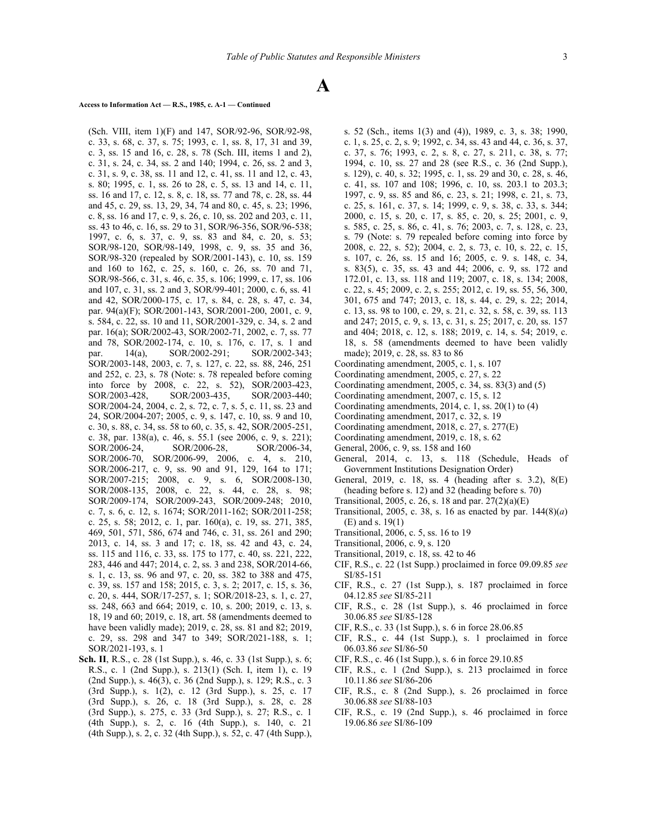## **Access to Information Act — R.S., 1985, c. A-1 — Continued**

(Sch. VIII, item 1)(F) and 147, SOR/92‑96, SOR/92‑98, c. 33, s. 68, c. 37, s. 75; 1993, c. 1, ss. 8, 17, 31 and 39, c. 3, ss. 15 and 16, c. 28, s. 78 (Sch. III, items 1 and 2), c. 31, s. 24, c. 34, ss. 2 and 140; 1994, c. 26, ss. 2 and 3, c. 31, s. 9, c. 38, ss. 11 and 12, c. 41, ss. 11 and 12, c. 43, s. 80; 1995, c. 1, ss. 26 to 28, c. 5, ss. 13 and 14, c. 11, ss. 16 and 17, c. 12, s. 8, c. 18, ss. 77 and 78, c. 28, ss. 44 and 45, c. 29, ss. 13, 29, 34, 74 and 80, c. 45, s. 23; 1996, c. 8, ss. 16 and 17, c. 9, s. 26, c. 10, ss. 202 and 203, c. 11, ss. 43 to 46, c. 16, ss. 29 to 31, SOR/96‑356, SOR/96‑538; 1997, c. 6, s. 37, c. 9, ss. 83 and 84, c. 20, s. 53; SOR/98‑120, SOR/98‑149, 1998, c. 9, ss. 35 and 36, SOR/98-320 (repealed by SOR/2001-143), c. 10, ss. 159 and 160 to 162, c. 25, s. 160, c. 26, ss. 70 and 71, SOR/98-566, c. 31, s. 46, c. 35, s. 106; 1999, c. 17, ss. 106 and 107, c. 31, ss. 2 and 3, SOR/99-401; 2000, c. 6, ss. 41 and 42, SOR/2000‑175, c. 17, s. 84, c. 28, s. 47, c. 34, par. 94(a)(F); SOR/2001-143, SOR/2001-200, 2001, c. 9, s. 584, c. 22, ss. 10 and 11, SOR/2001-329, c. 34, s. 2 and par. 16(a); SOR/2002-43, SOR/2002-71, 2002, c. 7, ss. 77 and 78, SOR/2002-174, c. 10, s. 176, c. 17, s. 1 and par. 14(a), SOR/2002-291; SOR/2002-343; SOR/2003-148, 2003, c. 7, s. 127, c. 22, ss. 88, 246, 251 and 252, c. 23, s. 78 (Note: s. 78 repealed before coming into force by 2008, c. 22, s. 52), SOR/2003‑423, SOR/2003-428, SOR/2003-435, SOR/2003-440; SOR/2004-24, 2004, c. 2, s. 72, c. 7, s. 5, c. 11, ss. 23 and 24, SOR/2004-207; 2005, c. 9, s. 147, c. 10, ss. 9 and 10, c. 30, s. 88, c. 34, ss. 58 to 60, c. 35, s. 42, SOR/2005‑251, c. 38, par. 138(a), c. 46, s. 55.1 (see 2006, c. 9, s. 221); SOR/2006-24, SOR/2006-28, SOR/2006-34, SOR/2006‑70, SOR/2006-99, 2006, c. 4, s. 210, SOR/2006-217, c. 9, ss. 90 and 91, 129, 164 to 171; SOR/2007-215; 2008, c. 9, s. 6, SOR/2008-130, SOR/2008-135, 2008, c. 22, s. 44, c. 28, s. 98; SOR/2009‑174, SOR/2009-243, SOR/2009-248; 2010, c. 7, s. 6, c. 12, s. 1674; SOR/2011-162; SOR/2011-258; c. 25, s. 58; 2012, c. 1, par. 160(a), c. 19, ss. 271, 385, 469, 501, 571, 586, 674 and 746, c. 31, ss. 261 and 290; 2013, c. 14, ss. 3 and 17; c. 18, ss. 42 and 43, c. 24, ss. 115 and 116, c. 33, ss. 175 to 177, c. 40, ss. 221, 222, 283, 446 and 447; 2014, c. 2, ss. 3 and 238, SOR/2014-66, s. 1, c. 13, ss. 96 and 97, c. 20, ss. 382 to 388 and 475, c. 39, ss. 157 and 158; 2015, c. 3, s. 2; 2017, c. 15, s. 36, c. 20, s. 444, SOR/17-257, s. 1; SOR/2018-23, s. 1, c. 27, ss. 248, 663 and 664; 2019, c. 10, s. 200; 2019, c. 13, s. 18, 19 and 60; 2019, c. 18, art. 58 (amendments deemed to have been validly made); 2019, c. 28, ss. 81 and 82; 2019, c. 29, ss. 298 and 347 to 349; SOR/2021-188, s. 1; SOR/2021-193, s. 1

**Sch. II**, R.S., c. 28 (1st Supp.), s. 46, c. 33 (1st Supp.), s. 6; R.S., c. 1 (2nd Supp.), s. 213(1) (Sch. I, item 1), c. 19 (2nd Supp.), s. 46(3), c. 36 (2nd Supp.), s. 129; R.S., c. 3 (3rd Supp.), s. 1(2), c. 12 (3rd Supp.), s. 25, c. 17 (3rd Supp.), s. 26, c. 18 (3rd Supp.), s. 28, c. 28 (3rd Supp.), s. 275, c. 33 (3rd Supp.), s. 27; R.S., c. 1 (4th Supp.), s. 2, c. 16 (4th Supp.), s. 140, c. 21 (4th Supp.), s. 2, c. 32 (4th Supp.), s. 52, c. 47 (4th Supp.),

s. 52 (Sch., items 1(3) and (4)), 1989, c. 3, s. 38; 1990, c. 1, s. 25, c. 2, s. 9; 1992, c. 34, ss. 43 and 44, c. 36, s. 37, c. 37, s. 76; 1993, c. 2, s. 8, c. 27, s. 211, c. 38, s. 77; 1994, c. 10, ss. 27 and 28 (see R.S., c. 36 (2nd Supp.), s. 129), c. 40, s. 32; 1995, c. 1, ss. 29 and 30, c. 28, s. 46, c. 41, ss. 107 and 108; 1996, c. 10, ss. 203.1 to 203.3; 1997, c. 9, ss. 85 and 86, c. 23, s. 21; 1998, c. 21, s. 73, c. 25, s. 161, c. 37, s. 14; 1999, c. 9, s. 38, c. 33, s. 344; 2000, c. 15, s. 20, c. 17, s. 85, c. 20, s. 25; 2001, c. 9, s. 585, c. 25, s. 86, c. 41, s. 76; 2003, c. 7, s. 128, c. 23, s. 79 (Note: s. 79 repealed before coming into force by 2008, c. 22, s. 52); 2004, c. 2, s. 73, c. 10, s. 22, c. 15, s. 107, c. 26, ss. 15 and 16; 2005, c. 9. s. 148, c. 34, s. 83(5), c. 35, ss. 43 and 44; 2006, c. 9, ss. 172 and 172.01, c. 13, ss. 118 and 119; 2007, c. 18, s. 134; 2008, c. 22, s. 45; 2009, c. 2, s. 255; 2012, c. 19, ss. 55, 56, 300, 301, 675 and 747; 2013, c. 18, s. 44, c. 29, s. 22; 2014, c. 13, ss. 98 to 100, c. 29, s. 21, c. 32, s. 58, c. 39, ss. 113 and 247; 2015, c. 9, s. 13, c. 31, s. 25; 2017, c. 20, ss. 157 and 404; 2018, c. 12, s. 188; 2019, c. 14, s. 54; 2019, c. 18, s. 58 (amendments deemed to have been validly made); 2019, c. 28, ss. 83 to 86

- Coordinating amendment, 2005, c. 1, s. 107
- Coordinating amendment, 2005, c. 27, s. 22
- Coordinating amendment, 2005, c. 34, ss. 83(3) and (5)
- Coordinating amendment, 2007, c. 15, s. 12
- Coordinating amendments, 2014, c. 1, ss. 20(1) to (4)
- Coordinating amendment, 2017, c. 32, s. 19
- Coordinating amendment, 2018, c. 27, s. 277(E)
- Coordinating amendment, 2019, c. 18, s. 62
- General, 2006, c. 9, ss. 158 and 160
- General, 2014, c. 13, s. 118 (Schedule, Heads of Government Institutions Designation Order)
- General, 2019, c. 18, ss. 4 (heading after s. 3.2), 8(E) (heading before s. 12) and 32 (heading before s. 70)
- Transitional, 2005, c. 26, s. 18 and par. 27(2)(a)(E)
- Transitional, 2005, c. 38, s. 16 as enacted by par. 144(8)(*a*) (E) and s. 19(1)
- Transitional, 2006, c. 5, ss. 16 to 19
- Transitional, 2006, c. 9, s. 120
- Transitional, 2019, c. 18, ss. 42 to 46
- CIF, R.S., c. 22 (1st Supp.) proclaimed in force 09.09.85 *see* SI/85‑151
- CIF, R.S., c. 27 (1st Supp.), s. 187 proclaimed in force 04.12.85 *see* SI/85‑211
- CIF, R.S., c. 28 (1st Supp.), s. 46 proclaimed in force 30.06.85 *see* SI/85‑128
- CIF, R.S., c. 33 (1st Supp.), s. 6 in force 28.06.85
- CIF, R.S., c. 44 (1st Supp.), s. 1 proclaimed in force 06.03.86 *see* SI/86‑50
- CIF, R.S., c. 46 (1st Supp.), s. 6 in force 29.10.85
- CIF, R.S., c. 1 (2nd Supp.), s. 213 proclaimed in force 10.11.86 *see* SI/86‑206
- CIF, R.S., c. 8 (2nd Supp.), s. 26 proclaimed in force 30.06.88 *see* SI/88‑103
- CIF, R.S., c. 19 (2nd Supp.), s. 46 proclaimed in force 19.06.86 *see* SI/86‑109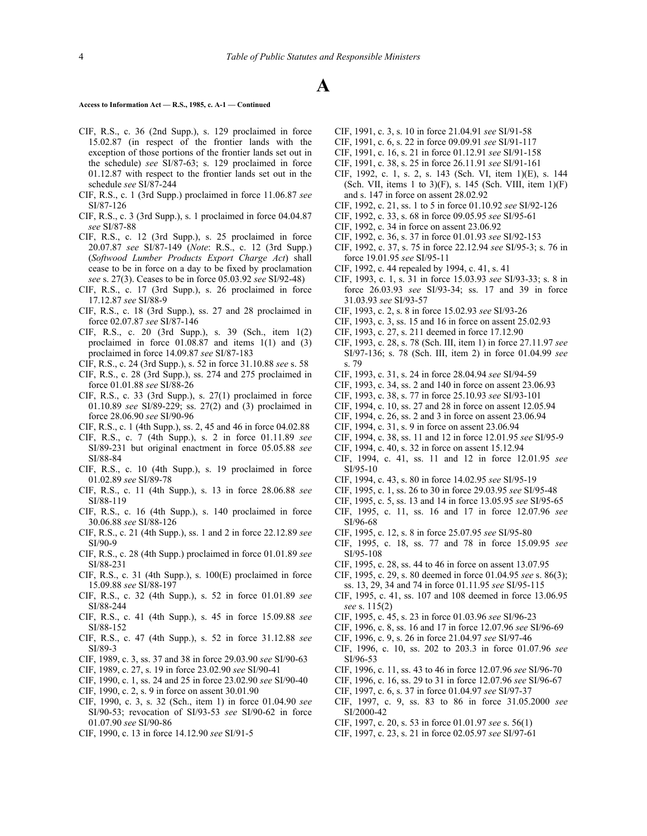#### **Access to Information Act — R.S., 1985, c. A-1 — Continued**

- CIF, R.S., c. 36 (2nd Supp.), s. 129 proclaimed in force 15.02.87 (in respect of the frontier lands with the exception of those portions of the frontier lands set out in the schedule) *see* SI/87‑63; s. 129 proclaimed in force 01.12.87 with respect to the frontier lands set out in the schedule *see* SI/87‑244
- CIF, R.S., c. 1 (3rd Supp.) proclaimed in force 11.06.87 *see* SI/87‑126
- CIF, R.S., c. 3 (3rd Supp.), s. 1 proclaimed in force 04.04.87 *see* SI/87‑88
- CIF, R.S., c. 12 (3rd Supp.), s. 25 proclaimed in force 20.07.87 *see* SI/87‑149 (*Note*: R.S., c. 12 (3rd Supp.) (*Softwood Lumber Products Export Charge Act*) shall cease to be in force on a day to be fixed by proclamation *see* s. 27(3). Ceases to be in force 05.03.92 *see* SI/92‑48)
- CIF, R.S., c. 17 (3rd Supp.), s. 26 proclaimed in force 17.12.87 *see* SI/88‑9
- CIF, R.S., c. 18 (3rd Supp.), ss. 27 and 28 proclaimed in force 02.07.87 *see* SI/87‑146
- CIF, R.S., c. 20 (3rd Supp.), s. 39 (Sch., item 1(2) proclaimed in force 01.08.87 and items 1(1) and (3) proclaimed in force 14.09.87 *see* SI/87‑183
- CIF, R.S., c. 24 (3rd Supp.), s. 52 in force 31.10.88 *see* s. 58
- CIF, R.S., c. 28 (3rd Supp.), ss. 274 and 275 proclaimed in force 01.01.88 *see* SI/88‑26
- CIF, R.S., c. 33 (3rd Supp.), s. 27(1) proclaimed in force 01.10.89 *see* SI/89‑229; ss. 27(2) and (3) proclaimed in force 28.06.90 *see* SI/90‑96
- CIF, R.S., c. 1 (4th Supp.), ss. 2, 45 and 46 in force 04.02.88
- CIF, R.S., c. 7 (4th Supp.), s. 2 in force 01.11.89 *see* SI/89‑231 but original enactment in force 05.05.88 *see* SI/88‑84
- CIF, R.S., c. 10 (4th Supp.), s. 19 proclaimed in force 01.02.89 *see* SI/89‑78
- CIF, R.S., c. 11 (4th Supp.), s. 13 in force 28.06.88 *see* SI/88‑119
- CIF, R.S., c. 16 (4th Supp.), s. 140 proclaimed in force 30.06.88 *see* SI/88‑126
- CIF, R.S., c. 21 (4th Supp.), ss. 1 and 2 in force 22.12.89 *see* SI/90‑9
- CIF, R.S., c. 28 (4th Supp.) proclaimed in force 01.01.89 *see* SI/88‑231
- CIF, R.S., c. 31 (4th Supp.), s. 100(E) proclaimed in force 15.09.88 *see* SI/88‑197
- CIF, R.S., c. 32 (4th Supp.), s. 52 in force 01.01.89 *see* SI/88‑244
- CIF, R.S., c. 41 (4th Supp.), s. 45 in force 15.09.88 *see* SI/88‑152
- CIF, R.S., c. 47 (4th Supp.), s. 52 in force 31.12.88 *see* SI/89-3
- CIF, 1989, c. 3, ss. 37 and 38 in force 29.03.90 *see* SI/90‑63
- CIF, 1989, c. 27, s. 19 in force 23.02.90 *see* SI/90‑41
- CIF, 1990, c. 1, ss. 24 and 25 in force 23.02.90 *see* SI/90‑40
- CIF, 1990, c. 2, s. 9 in force on assent 30.01.90
- CIF, 1990, c. 3, s. 32 (Sch., item 1) in force 01.04.90 *see* SI/90‑53; revocation of SI/93‑53 *see* SI/90‑62 in force 01.07.90 *see* SI/90‑86
- CIF, 1990, c. 13 in force 14.12.90 *see* SI/91‑5
- CIF, 1991, c. 3, s. 10 in force 21.04.91 *see* SI/91‑58
- CIF, 1991, c. 6, s. 22 in force 09.09.91 *see* SI/91‑117
- CIF, 1991, c. 16, s. 21 in force 01.12.91 *see* SI/91‑158
- CIF, 1991, c. 38, s. 25 in force 26.11.91 *see* SI/91‑161
- CIF, 1992, c. 1, s. 2, s. 143 (Sch. VI, item 1)(E), s. 144 (Sch. VII, items 1 to 3)(F), s. 145 (Sch. VIII, item  $1$ )(F) and s. 147 in force on assent 28.02.92
- CIF, 1992, c. 21, ss. 1 to 5 in force 01.10.92 *see* SI/92‑126
- CIF, 1992, c. 33, s. 68 in force 09.05.95 *see* SI/95‑61
- CIF, 1992, c. 34 in force on assent 23.06.92
- CIF, 1992, c. 36, s. 37 in force 01.01.93 *see* SI/92‑153
- CIF, 1992, c. 37, s. 75 in force 22.12.94 *see* SI/95‑3; s. 76 in force 19.01.95 *see* SI/95‑11
- CIF, 1992, c. 44 repealed by 1994, c. 41, s. 41
- CIF, 1993, c. 1, s. 31 in force 15.03.93 *see* SI/93‑33; s. 8 in force 26.03.93 *see* SI/93‑34; ss. 17 and 39 in force 31.03.93 *see* SI/93‑57
- CIF, 1993, c. 2, s. 8 in force 15.02.93 *see* SI/93‑26
- CIF, 1993, c. 3, ss. 15 and 16 in force on assent 25.02.93
- CIF, 1993, c. 27, s. 211 deemed in force 17.12.90
- CIF, 1993, c. 28, s. 78 (Sch. III, item 1) in force 27.11.97 *see* SI/97‑136; s. 78 (Sch. III, item 2) in force 01.04.99 *see* s. 79
- CIF, 1993, c. 31, s. 24 in force 28.04.94 *see* SI/94‑59
- CIF, 1993, c. 34, ss. 2 and 140 in force on assent 23.06.93
- CIF, 1993, c. 38, s. 77 in force 25.10.93 *see* SI/93‑101
- CIF, 1994, c. 10, ss. 27 and 28 in force on assent 12.05.94
- CIF, 1994, c. 26, ss. 2 and 3 in force on assent 23.06.94
- CIF, 1994, c. 31, s. 9 in force on assent 23.06.94
- CIF, 1994, c. 38, ss. 11 and 12 in force 12.01.95 *see* SI/95‑9
- CIF, 1994, c. 40, s. 32 in force on assent 15.12.94
- CIF, 1994, c. 41, ss. 11 and 12 in force 12.01.95 *see* SI/95‑10
- CIF, 1994, c. 43, s. 80 in force 14.02.95 *see* SI/95‑19
- CIF, 1995, c. 1, ss. 26 to 30 in force 29.03.95 *see* SI/95‑48
- CIF, 1995, c. 5, ss. 13 and 14 in force 13.05.95 *see* SI/95‑65
- CIF, 1995, c. 11, ss. 16 and 17 in force 12.07.96 *see* SI/96-68
- CIF, 1995, c. 12, s. 8 in force 25.07.95 *see* SI/95‑80
- CIF, 1995, c. 18, ss. 77 and 78 in force 15.09.95 *see* SI/95‑108
- CIF, 1995, c. 28, ss. 44 to 46 in force on assent 13.07.95
- CIF, 1995, c. 29, s. 80 deemed in force 01.04.95 *see* s. 86(3); ss. 13, 29, 34 and 74 in force 01.11.95 *see* SI/95‑115
- CIF, 1995, c. 41, ss. 107 and 108 deemed in force 13.06.95 *see* s. 115(2)
- CIF, 1995, c. 45, s. 23 in force 01.03.96 *see* SI/96‑23
- CIF, 1996, c. 8, ss. 16 and 17 in force 12.07.96 *see* SI/96‑69
- CIF, 1996, c. 9, s. 26 in force 21.04.97 *see* SI/97‑46
- CIF, 1996, c. 10, ss. 202 to 203.3 in force 01.07.96 *see* SI/96‑53
- CIF, 1996, c. 11, ss. 43 to 46 in force 12.07.96 *see* SI/96‑70
- CIF, 1996, c. 16, ss. 29 to 31 in force 12.07.96 *see* SI/96‑67
- CIF, 1997, c. 6, s. 37 in force 01.04.97 *see* SI/97‑37
- CIF, 1997, c. 9, ss. 83 to 86 in force 31.05.2000 *see* SI/2000-42
- CIF, 1997, c. 20, s. 53 in force 01.01.97 *see* s. 56(1)
- CIF, 1997, c. 23, s. 21 in force 02.05.97 *see* SI/97‑61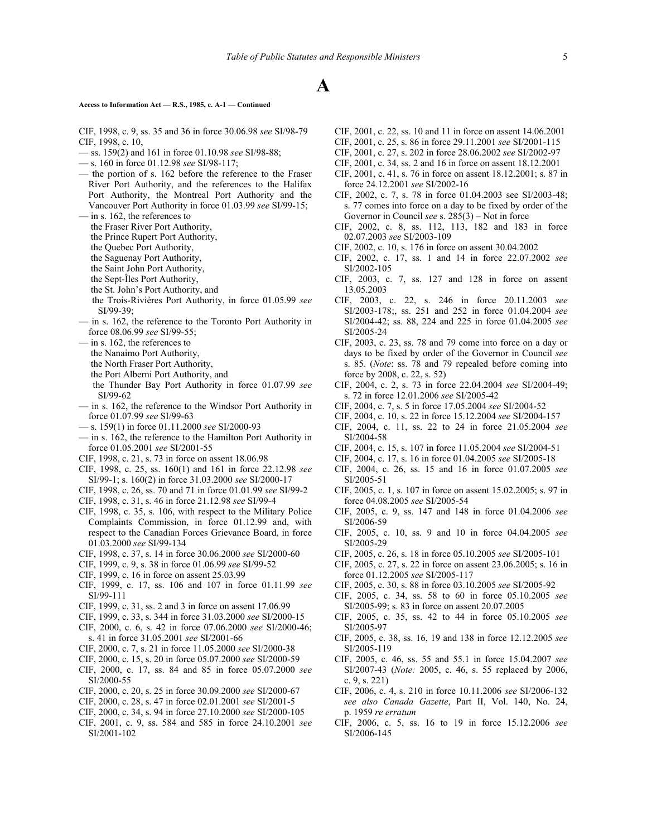## **Access to Information Act — R.S., 1985, c. A-1 — Continued**

- CIF, 1998, c. 9, ss. 35 and 36 in force 30.06.98 *see* SI/98‑79 CIF, 1998, c. 10,
- ss. 159(2) and 161 in force 01.10.98 *see* SI/98-88;
- s. 160 in force 01.12.98 *see* SI/98-117;
- the portion of s. 162 before the reference to the Fraser River Port Authority, and the references to the Halifax Port Authority, the Montreal Port Authority and the Vancouver Port Authority in force 01.03.99 *see* SI/99-15;
- in s. 162, the references to
	- the Fraser River Port Authority,
	- the Prince Rupert Port Authority,
	- the Quebec Port Authority,
	- the Saguenay Port Authority,
	- the Saint John Port Authority,
	- the Sept-Îles Port Authority,
	- the St. John's Port Authority, and
	- the Trois-Rivières Port Authority, in force 01.05.99 *see* SI/99-39:
- in s. 162, the reference to the Toronto Port Authority in force 08.06.99 *see* SI/99-55;
- in s. 162, the references to
	- the Nanaimo Port Authority,
	- the North Fraser Port Authority,
	- the Port Alberni Port Authority, and
	- the Thunder Bay Port Authority in force 01.07.99 *see* SI/99-62
- in s. 162, the reference to the Windsor Port Authority in force 01.07.99 *see* SI/99-63
- s. 159(1) in force 01.11.2000 *see* SI/2000-93
- in s. 162, the reference to the Hamilton Port Authority in force 01.05.2001 *see* SI/2001-55
- CIF, 1998, c. 21, s. 73 in force on assent 18.06.98
- CIF, 1998, c. 25, ss. 160(1) and 161 in force 22.12.98 *see* SI/99-1; s. 160(2) in force 31.03.2000 *see* SI/2000-17
- CIF, 1998, c. 26, ss. 70 and 71 in force 01.01.99 *see* SI/99-2
- CIF, 1998, c. 31, s. 46 in force 21.12.98 *see* SI/99-4
- CIF, 1998, c. 35, s. 106, with respect to the Military Police Complaints Commission, in force 01.12.99 and, with respect to the Canadian Forces Grievance Board, in force 01.03.2000 *see* SI/99-134
- CIF, 1998, c. 37, s. 14 in force 30.06.2000 *see* SI/2000-60
- CIF, 1999, c. 9, s. 38 in force 01.06.99 *see* SI/99-52
- CIF, 1999, c. 16 in force on assent 25.03.99
- CIF, 1999, c. 17, ss. 106 and 107 in force 01.11.99 *see* SI/99-111
- CIF, 1999, c. 31, ss. 2 and 3 in force on assent 17.06.99
- CIF, 1999, c. 33, s. 344 in force 31.03.2000 *see* SI/2000‑15
- CIF, 2000, c. 6, s. 42 in force 07.06.2000 *see* SI/2000-46; s. 41 in force 31.05.2001 *see* SI/2001-66
- CIF, 2000, c. 7, s. 21 in force 11.05.2000 *see* SI/2000-38
- CIF, 2000, c. 15, s. 20 in force 05.07.2000 *see* SI/2000-59
- CIF, 2000, c. 17, ss. 84 and 85 in force 05.07.2000 *see* SI/2000-55
- CIF, 2000, c. 20, s. 25 in force 30.09.2000 *see* SI/2000-67
- CIF, 2000, c. 28, s. 47 in force 02.01.2001 *see* SI/2001-5
- CIF, 2000, c. 34, s. 94 in force 27.10.2000 *see* SI/2000-105
- CIF, 2001, c. 9, ss. 584 and 585 in force 24.10.2001 *see* SI/2001-102
- CIF, 2001, c. 22, ss. 10 and 11 in force on assent 14.06.2001
- CIF, 2001, c. 25, s. 86 in force 29.11.2001 *see* SI/2001-115
- CIF, 2001, c. 27, s. 202 in force 28.06.2002 *see* SI/2002-97
- CIF, 2001, c. 34, ss. 2 and 16 in force on assent 18.12.2001
- CIF, 2001, c. 41, s. 76 in force on assent 18.12.2001; s. 87 in force 24.12.2001 *see* SI/2002-16
- CIF, 2002, c. 7, s. 78 in force 01.04.2003 see SI/2003-48; s. 77 comes into force on a day to be fixed by order of the Governor in Council *see* s. 285(3) – Not in force
- CIF, 2002, c. 8, ss. 112, 113, 182 and 183 in force 02.07.2003 *see* SI/2003-109
- CIF, 2002, c. 10, s. 176 in force on assent 30.04.2002
- CIF, 2002, c. 17, ss. 1 and 14 in force 22.07.2002 *see* SI/2002-105
- CIF, 2003, c. 7, ss. 127 and 128 in force on assent 13.05.2003
- CIF, 2003, c. 22, s. 246 in force 20.11.2003 *see* SI/2003-178;, ss. 251 and 252 in force 01.04.2004 *see* SI/2004-42; ss. 88, 224 and 225 in force 01.04.2005 *see* SI/2005-24
- CIF, 2003, c. 23, ss. 78 and 79 come into force on a day or days to be fixed by order of the Governor in Council *see* s. 85. (*Note*: ss. 78 and 79 repealed before coming into force by 2008, c. 22, s. 52)
- CIF, 2004, c. 2, s. 73 in force 22.04.2004 *see* SI/2004-49; s. 72 in force 12.01.2006 *see* SI/2005-42
- CIF, 2004, c. 7, s. 5 in force 17.05.2004 *see* SI/2004-52
- CIF, 2004, c. 10, s. 22 in force 15.12.2004 *see* SI/2004-157
- CIF, 2004, c. 11, ss. 22 to 24 in force 21.05.2004 *see* SI/2004-58
- CIF, 2004, c. 15, s. 107 in force 11.05.2004 *see* SI/2004-51
- CIF, 2004, c. 17, s. 16 in force 01.04.2005 *see* SI/2005-18
- CIF, 2004, c. 26, ss. 15 and 16 in force 01.07.2005 *see* SI/2005-51
- CIF, 2005, c. 1, s. 107 in force on assent 15.02.2005; s. 97 in force 04.08.2005 *see* SI/2005-54
- CIF, 2005, c. 9, ss. 147 and 148 in force 01.04.2006 *see* SI/2006-59
- CIF, 2005, c. 10, ss. 9 and 10 in force 04.04.2005 *see* SI/2005-29
- CIF, 2005, c. 26, s. 18 in force 05.10.2005 *see* SI/2005-101
- CIF, 2005, c. 27, s. 22 in force on assent 23.06.2005; s. 16 in force 01.12.2005 *see* SI/2005-117
- CIF, 2005, c. 30, s. 88 in force 03.10.2005 *see* SI/2005-92
- CIF, 2005, c. 34, ss. 58 to 60 in force 05.10.2005 *see* SI/2005-99; s. 83 in force on assent 20.07.2005
- CIF, 2005, c. 35, ss. 42 to 44 in force 05.10.2005 *see* SI/2005-97
- CIF, 2005, c. 38, ss. 16, 19 and 138 in force 12.12.2005 *see* SI/2005-119
- CIF, 2005, c. 46, ss. 55 and 55.1 in force 15.04.2007 *see* SI/2007-43 (*Note:* 2005, c. 46, s. 55 replaced by 2006, c. 9, s. 221)
- CIF, 2006, c. 4, s. 210 in force 10.11.2006 *see* SI/2006-132 *see also Canada Gazette*, Part II, Vol. 140, No. 24, p. 1959 *re erratum*
- CIF, 2006, c. 5, ss. 16 to 19 in force 15.12.2006 *see* SI/2006‑145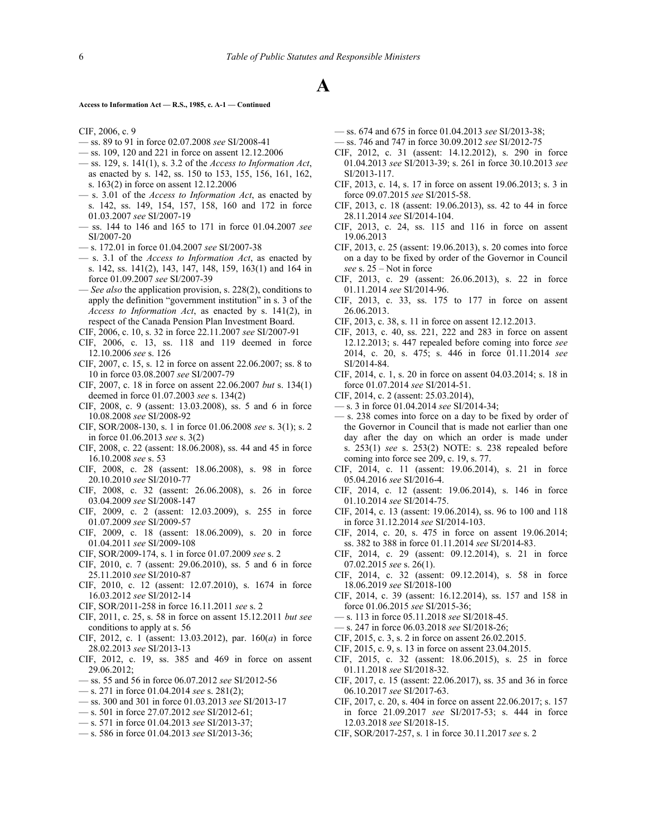#### **Access to Information Act — R.S., 1985, c. A-1 — Continued**

#### CIF, 2006, c. 9

- ss. 89 to 91 in force 02.07.2008 *see* SI/2008-41
- ss. 109, 120 and 221 in force on assent 12.12.2006
- ss. 129, s. 141(1), s. 3.2 of the *Access to Information Act*, as enacted by s. 142, ss. 150 to 153, 155, 156, 161, 162, s. 163(2) in force on assent 12.12.2006
- s. 3.01 of the *Access to Information Act*, as enacted by s. 142, ss. 149, 154, 157, 158, 160 and 172 in force 01.03.2007 *see* SI/2007-19
- ss. 144 to 146 and 165 to 171 in force 01.04.2007 *see* SI/2007-20
- s. 172.01 in force 01.04.2007 *see* SI/2007-38
- s. 3.1 of the *Access to Information Act*, as enacted by s. 142, ss. 141(2), 143, 147, 148, 159, 163(1) and 164 in force 01.09.2007 *see* SI/2007-39
- *See also* the application provision, s. 228(2), conditions to apply the definition "government institution" in s. 3 of the *Access to Information Act*, as enacted by s. 141(2), in respect of the Canada Pension Plan Investment Board.
- CIF, 2006, c. 10, s. 32 in force 22.11.2007 *see* SI/2007-91
- CIF, 2006, c. 13, ss. 118 and 119 deemed in force 12.10.2006 *see* s. 126
- CIF, 2007, c. 15, s. 12 in force on assent 22.06.2007; ss. 8 to 10 in force 03.08.2007 *see* SI/2007-79
- CIF, 2007, c. 18 in force on assent 22.06.2007 *but* s. 134(1) deemed in force 01.07.2003 *see* s. 134(2)
- CIF, 2008, c. 9 (assent: 13.03.2008), ss. 5 and 6 in force 10.08.2008 *see* SI/2008-92
- CIF, SOR/2008-130, s. 1 in force 01.06.2008 *see* s. 3(1); s. 2 in force 01.06.2013 *see* s. 3(2)
- CIF, 2008, c. 22 (assent: 18.06.2008), ss. 44 and 45 in force 16.10.2008 *see* s. 53
- CIF, 2008, c. 28 (assent: 18.06.2008), s. 98 in force 20.10.2010 *see* SI/2010-77
- CIF, 2008, c. 32 (assent: 26.06.2008), s. 26 in force 03.04.2009 *see* SI/2008-147
- CIF, 2009, c. 2 (assent: 12.03.2009), s. 255 in force 01.07.2009 *see* SI/2009-57
- CIF, 2009, c. 18 (assent: 18.06.2009), s. 20 in force 01.04.2011 *see* SI/2009-108
- CIF, SOR/2009-174, s. 1 in force 01.07.2009 *see* s. 2
- CIF, 2010, c. 7 (assent: 29.06.2010), ss. 5 and 6 in force 25.11.2010 *see* SI/2010-87
- CIF, 2010, c. 12 (assent: 12.07.2010), s. 1674 in force 16.03.2012 *see* SI/2012-14
- CIF, SOR/2011-258 in force 16.11.2011 *see* s. 2
- CIF, 2011, c. 25, s. 58 in force on assent 15.12.2011 *but see* conditions to apply at s. 56
- CIF, 2012, c. 1 (assent: 13.03.2012), par. 160(*a*) in force 28.02.2013 *see* SI/2013-13
- CIF, 2012, c. 19, ss. 385 and 469 in force on assent 29.06.2012;
- ss. 55 and 56 in force 06.07.2012 *see* SI/2012-56
- s. 271 in force 01.04.2014 *see* s. 281(2);
- ss. 300 and 301 in force 01.03.2013 *see* SI/2013-17
- s. 501 in force 27.07.2012 *see* SI/2012-61;
- s. 571 in force 01.04.2013 *see* SI/2013-37;
- s. 586 in force 01.04.2013 *see* SI/2013-36;
- ss. 674 and 675 in force 01.04.2013 *see* SI/2013-38;
- ss. 746 and 747 in force 30.09.2012 *see* SI/2012-75
- CIF, 2012, c. 31 (assent: 14.12.2012), s. 290 in force 01.04.2013 *see* SI/2013‑39; s. 261 in force 30.10.2013 *see* SI/2013-117.
- CIF, 2013, c. 14, s. 17 in force on assent 19.06.2013; s. 3 in force 09.07.2015 *see* SI/2015-58.
- CIF, 2013, c. 18 (assent: 19.06.2013), ss. 42 to 44 in force 28.11.2014 *see* SI/2014-104.
- CIF, 2013, c. 24, ss. 115 and 116 in force on assent 19.06.2013
- CIF, 2013, c. 25 (assent: 19.06.2013), s. 20 comes into force on a day to be fixed by order of the Governor in Council *see* s. 25 – Not in force
- CIF, 2013, c. 29 (assent: 26.06.2013), s. 22 in force 01.11.2014 *see* SI/2014-96.
- CIF, 2013, c. 33, ss. 175 to 177 in force on assent 26.06.2013.
- CIF, 2013, c. 38, s. 11 in force on assent 12.12.2013.
- CIF, 2013, c. 40, ss. 221, 222 and 283 in force on assent 12.12.2013; s. 447 repealed before coming into force *see* 2014, c. 20, s. 475; s. 446 in force 01.11.2014 *see* SI/2014-84.
- CIF, 2014, c. 1, s. 20 in force on assent 04.03.2014; s. 18 in force 01.07.2014 *see* SI/2014-51.
- CIF, 2014, c. 2 (assent: 25.03.2014),
- s. 3 in force 01.04.2014 *see* SI/2014-34;
- s. 238 comes into force on a day to be fixed by order of the Governor in Council that is made not earlier than one day after the day on which an order is made under s. 253(1) *see* s. 253(2) NOTE: s. 238 repealed before coming into force see 209, c. 19, s. 77.
- CIF, 2014, c. 11 (assent: 19.06.2014), s. 21 in force 05.04.2016 *see* SI/2016-4.
- CIF, 2014, c. 12 (assent: 19.06.2014), s. 146 in force 01.10.2014 *see* SI/2014-75.
- CIF, 2014, c. 13 (assent: 19.06.2014), ss. 96 to 100 and 118 in force 31.12.2014 *see* SI/2014-103.
- CIF, 2014, c. 20, s. 475 in force on assent 19.06.2014; ss. 382 to 388 in force 01.11.2014 *see* SI/2014-83.
- CIF, 2014, c. 29 (assent: 09.12.2014), s. 21 in force 07.02.2015 *see* s. 26(1).
- CIF, 2014, c. 32 (assent: 09.12.2014), s. 58 in force 18.06.2019 *see* SI/2018-100
- CIF, 2014, c. 39 (assent: 16.12.2014), ss. 157 and 158 in force 01.06.2015 *see* SI/2015-36;
- s. 113 in force 05.11.2018 *see* SI/2018-45.
- s. 247 in force 06.03.2018 *see* SI/2018-26;
- CIF, 2015, c. 3, s. 2 in force on assent 26.02.2015.
- CIF, 2015, c. 9, s. 13 in force on assent 23.04.2015.
- CIF, 2015, c. 32 (assent: 18.06.2015), s. 25 in force 01.11.2018 *see* SI/2018-32.
- CIF, 2017, c. 15 (assent: 22.06.2017), ss. 35 and 36 in force 06.10.2017 *see* SI/2017-63.
- CIF, 2017, c. 20, s. 404 in force on assent 22.06.2017; s. 157 in force 21.09.2017 *see* SI/2017-53; s. 444 in force 12.03.2018 *see* SI/2018-15.
- CIF, SOR/2017-257, s. 1 in force 30.11.2017 *see* s. 2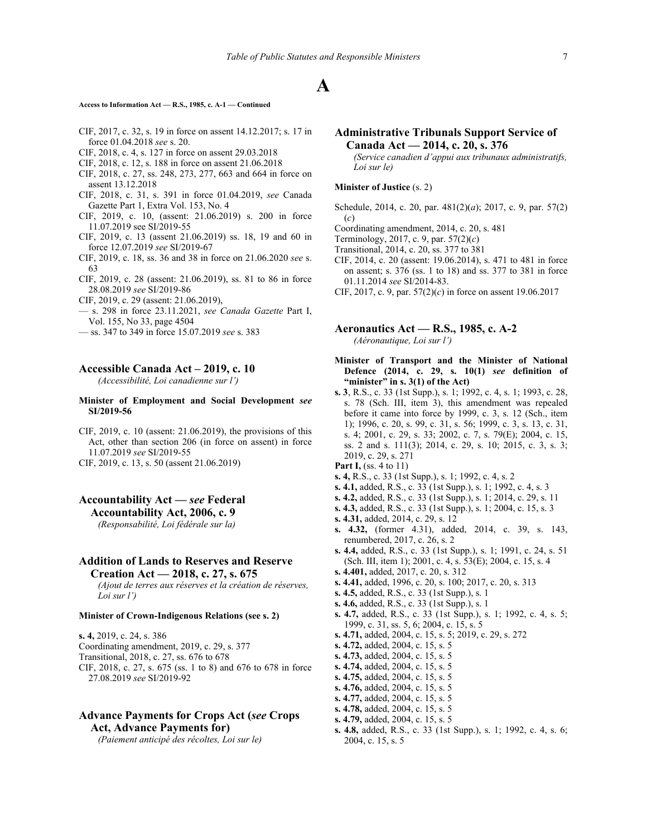## **Access to Information Act — R.S., 1985, c. A-1 — Continued**

- CIF, 2017, c. 32, s. 19 in force on assent 14.12.2017; s. 17 in force 01.04.2018 *see* s. 20.
- CIF, 2018, c. 4, s. 127 in force on assent 29.03.2018
- CIF, 2018, c. 12, s. 188 in force on assent 21.06.2018
- CIF, 2018, c. 27, ss. 248, 273, 277, 663 and 664 in force on assent 13.12.2018
- CIF, 2018, c. 31, s. 391 in force 01.04.2019, *see* Canada Gazette Part 1, Extra Vol. 153, No. 4
- CIF, 2019, c. 10, (assent: 21.06.2019) s. 200 in force 11.07.2019 see SI/2019-55
- CIF, 2019, c. 13 (assent 21.06.2019) ss. 18, 19 and 60 in force 12.07.2019 *see* SI/2019-67
- CIF, 2019, c. 18, ss. 36 and 38 in force on 21.06.2020 *see* s. 63
- CIF, 2019, c. 28 (assent: 21.06.2019), ss. 81 to 86 in force 28.08.2019 *see* SI/2019-86
- CIF, 2019, c. 29 (assent: 21.06.2019),
- s. 298 in force 23.11.2021, *see Canada Gazette* Part I, Vol. 155, No 33, page 4504
- ss. 347 to 349 in force 15.07.2019 *see* s. 383

## **Accessible Canada Act – 2019, c. 10**

*(Accessibilité, Loi canadienne sur l')*

## **Minister of Employment and Social Development** *see* **SI/2019-56**

CIF, 2019, c. 10 (assent: 21.06.2019), the provisions of this Act, other than section 206 (in force on assent) in force 11.07.2019 *see* SI/2019-55

CIF, 2019, c. 13, s. 50 (assent 21.06.2019)

# **Accountability Act —** *see* **Federal Accountability Act, 2006, c. 9**

*(Responsabilité, Loi fédérale sur la)*

# **Addition of Lands to Reserves and Reserve Creation Act — 2018, c. 27, s. 675**

*(Ajout de terres aux réserves et la création de réserves, Loi sur l')*

## **Minister of Crown-Indigenous Relations (see s. 2)**

**s. 4,** 2019, c. 24, s. 386 Coordinating amendment, 2019, c. 29, s. 377 Transitional, 2018, c. 27, ss. 676 to 678 CIF, 2018, c. 27, s. 675 (ss. 1 to 8) and 676 to 678 in force 27.08.2019 *see* SI/2019-92

# **Advance Payments for Crops Act (***see* **Crops Act, Advance Payments for)**

*(Paiement anticipé des récoltes, Loi sur le)*

# **Administrative Tribunals Support Service of Canada Act — 2014, c. 20, s. 376**

*(Service canadien d'appui aux tribunaux administratifs, Loi sur le)*

## **Minister of Justice** (s. 2)

- Schedule, 2014, c. 20, par. 481(2)(*a*); 2017, c. 9, par. 57(2) (*c*)
- Coordinating amendment, 2014, c. 20, s. 481
- Terminology, 2017, c. 9, par. 57(2)(*c*)
- Transitional, 2014, c. 20, ss. 377 to 381
- CIF, 2014, c. 20 (assent: 19.06.2014), s. 471 to 481 in force on assent; s. 376 (ss. 1 to 18) and ss. 377 to 381 in force 01.11.2014 *see* SI/2014-83.
- CIF, 2017, c. 9, par. 57(2)(*c*) in force on assent 19.06.2017

## **Aeronautics Act — R.S., 1985, c. A-2** *(Aéronautique, Loi sur l')*

- **Minister of Transport and the Minister of National Defence (2014, c. 29, s. 10(1)** *see* **definition of "minister" in s. 3(1) of the Act)**
- **s. 3**, R.S., c. 33 (1st Supp.), s. 1; 1992, c. 4, s. 1; 1993, c. 28, s. 78 (Sch. III, item 3), this amendment was repealed before it came into force by 1999, c. 3, s. 12 (Sch., item 1); 1996, c. 20, s. 99, c. 31, s. 56; 1999, c. 3, s. 13, c. 31, s. 4; 2001, c. 29, s. 33; 2002, c. 7, s. 79(E); 2004, c. 15, ss. 2 and s. 111(3); 2014, c. 29, s. 10; 2015, c. 3, s. 3; 2019, c. 29, s. 271
- **Part I,** (ss. 4 to 11)
- **s. 4,** R.S., c. 33 (1st Supp.), s. 1; 1992, c. 4, s. 2
- **s. 4.1,** added, R.S., c. 33 (1st Supp.), s. 1; 1992, c. 4, s. 3
- **s. 4.2,** added, R.S., c. 33 (1st Supp.), s. 1; 2014, c. 29, s. 11
- **s. 4.3,** added, R.S., c. 33 (1st Supp.), s. 1; 2004, c. 15, s. 3
- **s. 4.31,** added, 2014, c. 29, s. 12
- **s. 4.32,** (former 4.31), added, 2014, c. 39, s. 143, renumbered, 2017, c. 26, s. 2
- **s. 4.4,** added, R.S., c. 33 (1st Supp.), s. 1; 1991, c. 24, s. 51 (Sch. III, item 1); 2001, c. 4, s. 53(E); 2004, c. 15, s. 4
- **s. 4.401,** added, 2017, c. 20, s. 312
- **s. 4.41,** added, 1996, c. 20, s. 100; 2017, c. 20, s. 313
- **s. 4.5,** added, R.S., c. 33 (1st Supp.), s. 1
- **s. 4.6,** added, R.S., c. 33 (1st Supp.), s. 1
- **s. 4.7,** added, R.S., c. 33 (1st Supp.), s. 1; 1992, c. 4, s. 5; 1999, c. 31, ss. 5, 6; 2004, c. 15, s. 5
- **s. 4.71,** added, 2004, c. 15, s. 5; 2019, c. 29, s. 272
- **s. 4.72,** added, 2004, c. 15, s. 5
- **s. 4.73,** added, 2004, c. 15, s. 5
- **s. 4.74,** added, 2004, c. 15, s. 5
- **s. 4.75,** added, 2004, c. 15, s. 5
- **s. 4.76,** added, 2004, c. 15, s. 5
- **s. 4.77,** added, 2004, c. 15, s. 5
- **s. 4.78,** added, 2004, c. 15, s. 5
- **s. 4.79,** added, 2004, c. 15, s. 5
- 
- **s. 4.8,** added, R.S., c. 33 (1st Supp.), s. 1; 1992, c. 4, s. 6; 2004, c. 15, s. 5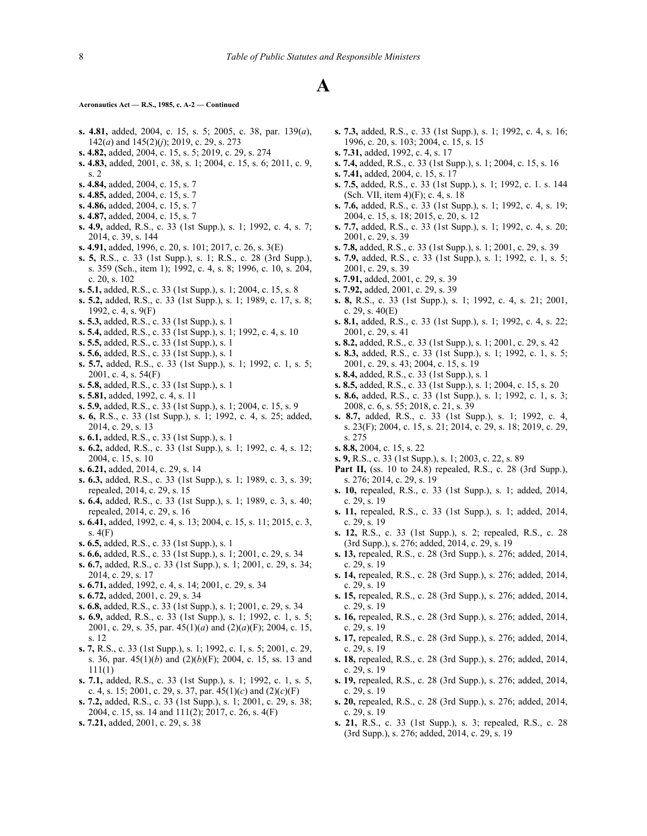#### **Aeronautics Act — R.S., 1985, c. A-2 — Continued**

- **s. 4.81,** added, 2004, c. 15, s. 5; 2005, c. 38, par. 139(*a*), 142(*a*) and 145(2)(*j*); 2019, c. 29, s. 273
- **s. 4.82,** added, 2004, c. 15, s. 5; 2019, c. 29, s. 274
- **s. 4.83,** added, 2001, c. 38, s. 1; 2004, c. 15, s. 6; 2011, c. 9, s. 2
- **s. 4.84,** added, 2004, c. 15, s. 7
- **s. 4.85,** added, 2004, c. 15, s. 7
- **s. 4.86,** added, 2004, c. 15, s. 7
- **s. 4.87,** added, 2004, c. 15, s. 7
- **s. 4.9,** added, R.S., c. 33 (1st Supp.), s. 1; 1992, c. 4, s. 7; 2014, c. 39, s. 144
- **s. 4.91,** added, 1996, c. 20, s. 101; 2017, c. 26, s. 3(E)
- **s. 5,** R.S., c. 33 (1st Supp.), s. 1; R.S., c. 28 (3rd Supp.), s. 359 (Sch., item 1); 1992, c. 4, s. 8; 1996, c. 10, s. 204, c. 20, s. 102
- **s. 5.1,** added, R.S., c. 33 (1st Supp.), s. 1; 2004, c. 15, s. 8
- **s. 5.2,** added, R.S., c. 33 (1st Supp.), s. 1; 1989, c. 17, s. 8; 1992, c. 4, s. 9(F)
- **s. 5.3,** added, R.S., c. 33 (1st Supp.), s. 1
- **s. 5.4,** added, R.S., c. 33 (1st Supp.), s. 1; 1992, c. 4, s. 10
- **s. 5.5,** added, R.S., c. 33 (1st Supp.), s. 1
- **s. 5.6,** added, R.S., c. 33 (1st Supp.), s. 1
- **s. 5.7,** added, R.S., c. 33 (1st Supp.), s. 1; 1992, c. 1, s. 5; 2001, c. 4, s. 54(F)
- **s. 5.8,** added, R.S., c. 33 (1st Supp.), s. 1
- **s. 5.81,** added, 1992, c. 4, s. 11
- **s. 5.9,** added, R.S., c. 33 (1st Supp.), s. 1; 2004, c. 15, s. 9
- **s. 6,** R.S., c. 33 (1st Supp.), s. 1; 1992, c. 4, s. 25; added, 2014, c. 29, s. 13
- **s. 6.1,** added, R.S., c. 33 (1st Supp.), s. 1
- **s. 6.2,** added, R.S., c. 33 (1st Supp.), s. 1; 1992, c. 4, s. 12; 2004, c. 15, s. 10
- **s. 6.21,** added, 2014, c. 29, s. 14
- **s. 6.3,** added, R.S., c. 33 (1st Supp.), s. 1; 1989, c. 3, s. 39; repealed, 2014, c. 29, s. 15
- **s. 6.4,** added, R.S., c. 33 (1st Supp.), s. 1; 1989, c. 3, s. 40; repealed, 2014, c. 29, s. 16
- **s. 6.41,** added, 1992, c. 4, s. 13; 2004, c. 15, s. 11; 2015, c. 3, s. 4(F)
- **s. 6.5,** added, R.S., c. 33 (1st Supp.), s. 1
- **s. 6.6,** added, R.S., c. 33 (1st Supp.), s. 1; 2001, c. 29, s. 34
- **s. 6.7,** added, R.S., c. 33 (1st Supp.), s. 1; 2001, c. 29, s. 34; 2014, c. 29, s. 17
- **s. 6.71,** added, 1992, c. 4, s. 14; 2001, c. 29, s. 34
- **s. 6.72,** added, 2001, c. 29, s. 34
- **s. 6.8,** added, R.S., c. 33 (1st Supp.), s. 1; 2001, c. 29, s. 34
- **s. 6.9,** added, R.S., c. 33 (1st Supp.), s. 1; 1992, c. 1, s. 5; 2001, c. 29, s. 35, par. 45(1)(*a*) and (2)(*a*)(F); 2004, c. 15, s. 12
- **s. 7,** R.S., c. 33 (1st Supp.), s. 1; 1992, c. 1, s. 5; 2001, c. 29, s. 36, par. 45(1)(*b*) and (2)(*b*)(F); 2004, c. 15, ss. 13 and 111(1)
- **s. 7.1,** added, R.S., c. 33 (1st Supp.), s. 1; 1992, c. 1, s. 5, c. 4, s. 15; 2001, c. 29, s. 37, par. 45(1)(*c*) and (2)(*c*)(F)
- **s. 7.2,** added, R.S., c. 33 (1st Supp.), s. 1; 2001, c. 29, s. 38; 2004, c. 15, ss. 14 and 111(2); 2017, c. 26, s. 4(F)
- **s. 7.21,** added, 2001, c. 29, s. 38
- **s. 7.3,** added, R.S., c. 33 (1st Supp.), s. 1; 1992, c. 4, s. 16; 1996, c. 20, s. 103; 2004, c. 15, s. 15
- **s. 7.31,** added, 1992, c. 4, s. 17
- **s. 7.4,** added, R.S., c. 33 (1st Supp.), s. 1; 2004, c. 15, s. 16
- **s. 7.41,** added, 2004, c. 15, s. 17
- **s. 7.5,** added, R.S., c. 33 (1st Supp.), s. 1; 1992, c. 1. s. 144 (Sch. VII, item 4)(F); c. 4, s. 18
- **s. 7.6,** added, R.S., c. 33 (1st Supp.), s. 1; 1992, c. 4, s. 19; 2004, c. 15, s. 18; 2015, c. 20, s. 12
- **s. 7.7,** added, R.S., c. 33 (1st Supp.), s. 1; 1992, c. 4, s. 20; 2001, c. 29, s. 39
- **s. 7.8,** added, R.S., c. 33 (1st Supp.), s. 1; 2001, c. 29, s. 39
- **s. 7.9,** added, R.S., c. 33 (1st Supp.), s. 1; 1992, c. 1, s. 5; 2001, c. 29, s. 39
- **s. 7.91,** added, 2001, c. 29, s. 39
- **s. 7.92,** added, 2001, c. 29, s. 39
- **s. 8,** R.S., c. 33 (1st Supp.), s. 1; 1992, c. 4, s. 21; 2001, c. 29, s. 40(E)
- **s. 8.1,** added, R.S., c. 33 (1st Supp.), s. 1; 1992, c. 4, s. 22; 2001, c. 29, s. 41
- **s. 8.2,** added, R.S., c. 33 (1st Supp.), s. 1; 2001, c. 29, s. 42
- **s. 8.3,** added, R.S., c. 33 (1st Supp.), s. 1; 1992, c. 1, s. 5; 2001, c. 29, s. 43; 2004, c. 15, s. 19
- **s. 8.4,** added, R.S., c. 33 (1st Supp.), s. 1
- **s. 8.5,** added, R.S., c. 33 (1st Supp.), s. 1; 2004, c. 15, s. 20
- **s. 8.6,** added, R.S., c. 33 (1st Supp.), s. 1; 1992, c. 1, s. 3; 2008, c. 6, s. 55; 2018, c. 21, s. 39
- **s. 8.7,** added, R.S., c. 33 (1st Supp.), s. 1; 1992, c. 4, s. 23(F); 2004, c. 15, s. 21; 2014, c. 29, s. 18; 2019, c. 29, s. 275
- **s. 8.8,** 2004, c. 15, s. 22
- **s. 9,** R.S., c. 33 (1st Supp.), s. 1; 2003, c. 22, s. 89
- **Part II,** (ss. 10 to 24.8) repealed, R.S., c. 28 (3rd Supp.), s. 276; 2014, c. 29, s. 19
- **s. 10,** repealed, R.S., c. 33 (1st Supp.), s. 1; added, 2014, c. 29, s. 19
- **s. 11,** repealed, R.S., c. 33 (1st Supp.), s. 1; added, 2014, c. 29, s. 19
- **s. 12,** R.S., c. 33 (1st Supp.), s. 2; repealed, R.S., c. 28 (3rd Supp.), s. 276; added, 2014, c. 29, s. 19
- **s. 13,** repealed, R.S., c. 28 (3rd Supp.), s. 276; added, 2014, c. 29, s. 19
- **s. 14,** repealed, R.S., c. 28 (3rd Supp.), s. 276; added, 2014, c. 29, s. 19
- **s. 15,** repealed, R.S., c. 28 (3rd Supp.), s. 276; added, 2014, c. 29, s. 19
- **s. 16,** repealed, R.S., c. 28 (3rd Supp.), s. 276; added, 2014, c. 29, s. 19
- **s. 17,** repealed, R.S., c. 28 (3rd Supp.), s. 276; added, 2014, c. 29, s. 19
- **s. 18,** repealed, R.S., c. 28 (3rd Supp.), s. 276; added, 2014, c. 29, s. 19
- **s. 19,** repealed, R.S., c. 28 (3rd Supp.), s. 276; added, 2014, c. 29, s. 19
- **s. 20,** repealed, R.S., c. 28 (3rd Supp.), s. 276; added, 2014, c. 29, s. 19
- **s. 21,** R.S., c. 33 (1st Supp.), s. 3; repealed, R.S., c. 28 (3rd Supp.), s. 276; added, 2014, c. 29, s. 19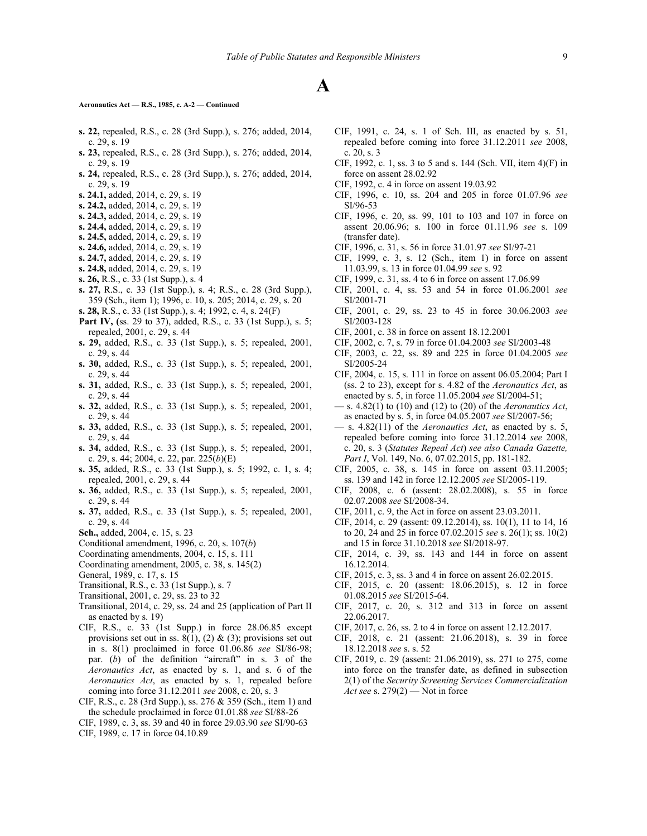#### **Aeronautics Act — R.S., 1985, c. A-2 — Continued**

- **s. 22,** repealed, R.S., c. 28 (3rd Supp.), s. 276; added, 2014, c. 29, s. 19
- **s. 23,** repealed, R.S., c. 28 (3rd Supp.), s. 276; added, 2014, c. 29, s. 19
- **s. 24,** repealed, R.S., c. 28 (3rd Supp.), s. 276; added, 2014, c. 29, s. 19
- **s. 24.1,** added, 2014, c. 29, s. 19
- **s. 24.2,** added, 2014, c. 29, s. 19
- **s. 24.3,** added, 2014, c. 29, s. 19
- **s. 24.4,** added, 2014, c. 29, s. 19
- **s. 24.5,** added, 2014, c. 29, s. 19
- **s. 24.6,** added, 2014, c. 29, s. 19
- **s. 24.7,** added, 2014, c. 29, s. 19
- **s. 24.8,** added, 2014, c. 29, s. 19
- **s. 26,** R.S., c. 33 (1st Supp.), s. 4
- **s. 27,** R.S., c. 33 (1st Supp.), s. 4; R.S., c. 28 (3rd Supp.), 359 (Sch., item 1); 1996, c. 10, s. 205; 2014, c. 29, s. 20
- **s. 28,** R.S., c. 33 (1st Supp.), s. 4; 1992, c. 4, s. 24(F)
- **Part IV, (**ss. 29 to 37), added, R.S., c. 33 (1st Supp.), s. 5; repealed, 2001, c. 29, s. 44
- **s. 29,** added, R.S., c. 33 (1st Supp.), s. 5; repealed, 2001, c. 29, s. 44
- **s. 30,** added, R.S., c. 33 (1st Supp.), s. 5; repealed, 2001, c. 29, s. 44
- **s. 31,** added, R.S., c. 33 (1st Supp.), s. 5; repealed, 2001, c. 29, s. 44
- **s. 32,** added, R.S., c. 33 (1st Supp.), s. 5; repealed, 2001, c. 29, s. 44
- **s. 33,** added, R.S., c. 33 (1st Supp.), s. 5; repealed, 2001, c. 29, s. 44
- **s. 34,** added, R.S., c. 33 (1st Supp.), s. 5; repealed, 2001, c. 29, s. 44; 2004, c. 22, par. 225(*b*)(E)
- **s. 35,** added, R.S., c. 33 (1st Supp.), s. 5; 1992, c. 1, s. 4; repealed, 2001, c. 29, s. 44
- **s. 36,** added, R.S., c. 33 (1st Supp.), s. 5; repealed, 2001, c. 29, s. 44
- **s. 37,** added, R.S., c. 33 (1st Supp.), s. 5; repealed, 2001, c. 29, s. 44
- **Sch.,** added, 2004, c. 15, s. 23
- Conditional amendment, 1996, c. 20, s. 107(*b*)
- Coordinating amendments, 2004, c. 15, s. 111
- Coordinating amendment, 2005, c. 38, s. 145(2)
- General, 1989, c. 17, s. 15
- Transitional, R.S., c. 33 (1st Supp.), s. 7
- Transitional, 2001, c. 29, ss. 23 to 32
- Transitional, 2014, c. 29, ss. 24 and 25 (application of Part II as enacted by s. 19)
- CIF, R.S., c. 33 (1st Supp.) in force 28.06.85 except provisions set out in ss.  $8(1)$ ,  $(2)$  &  $(3)$ ; provisions set out in s. 8(1) proclaimed in force 01.06.86 *see* SI/86‑98; par. (*b*) of the definition "aircraft" in s. 3 of the *Aeronautics Act*, as enacted by s. 1, and s. 6 of the *Aeronautics Act*, as enacted by s. 1, repealed before coming into force 31.12.2011 *see* 2008, c. 20, s. 3
- CIF, R.S., c. 28 (3rd Supp.), ss. 276 & 359 (Sch., item 1) and the schedule proclaimed in force 01.01.88 *see* SI/88‑26
- CIF, 1989, c. 3, ss. 39 and 40 in force 29.03.90 *see* SI/90‑63 CIF, 1989, c. 17 in force 04.10.89
- CIF, 1991, c. 24, s. 1 of Sch. III, as enacted by s. 51, repealed before coming into force 31.12.2011 *see* 2008, c. 20, s. 3
- CIF, 1992, c. 1, ss. 3 to 5 and s. 144 (Sch. VII, item 4)(F) in force on assent 28.02.92
- CIF, 1992, c. 4 in force on assent 19.03.92
- CIF, 1996, c. 10, ss. 204 and 205 in force 01.07.96 *see* SI/96-53
- CIF, 1996, c. 20, ss. 99, 101 to 103 and 107 in force on assent 20.06.96; s. 100 in force 01.11.96 *see* s. 109 (transfer date).
- CIF, 1996, c. 31, s. 56 in force 31.01.97 *see* SI/97‑21
- CIF, 1999, c. 3, s. 12 (Sch., item 1) in force on assent 11.03.99, s. 13 in force 01.04.99 *see* s. 92
- CIF, 1999, c. 31, ss. 4 to 6 in force on assent 17.06.99
- CIF, 2001, c. 4, ss. 53 and 54 in force 01.06.2001 *see* SI/2001-71
- CIF, 2001, c. 29, ss. 23 to 45 in force 30.06.2003 *see* SI/2003-128
- CIF, 2001, c. 38 in force on assent 18.12.2001
- CIF, 2002, c. 7, s. 79 in force 01.04.2003 *see* SI/2003-48
- CIF, 2003, c. 22, ss. 89 and 225 in force 01.04.2005 *see* SI/2005-24
- CIF, 2004, c. 15, s. 111 in force on assent 06.05.2004; Part I (ss. 2 to 23), except for s. 4.82 of the *Aeronautics Act*, as enacted by s. 5, in force 11.05.2004 *see* SI/2004-51;
- s. 4.82(1) to (10) and (12) to (20) of the *Aeronautics Act*, as enacted by s. 5, in force 04.05.2007 *see* SI/2007-56;
- s. 4.82(11) of the *Aeronautics Act*, as enacted by s. 5, repealed before coming into force 31.12.2014 *see* 2008, c. 20, s. 3 (*Statutes Repeal Act*) *see also Canada Gazette, Part I*, Vol. 149, No. 6, 07.02.2015, pp. 181-182.
- CIF, 2005, c. 38, s. 145 in force on assent 03.11.2005; ss. 139 and 142 in force 12.12.2005 *see* SI/2005-119.
- CIF, 2008, c. 6 (assent: 28.02.2008), s. 55 in force 02.07.2008 *see* SI/2008-34.
- CIF, 2011, c. 9, the Act in force on assent 23.03.2011.
- CIF, 2014, c. 29 (assent: 09.12.2014), ss. 10(1), 11 to 14, 16 to 20, 24 and 25 in force 07.02.2015 *see* s. 26(1); ss. 10(2) and 15 in force 31.10.2018 *see* SI/2018-97.
- CIF, 2014, c. 39, ss. 143 and 144 in force on assent 16.12.2014.
- CIF, 2015, c. 3, ss. 3 and 4 in force on assent 26.02.2015.
- CIF, 2015, c. 20 (assent: 18.06.2015), s. 12 in force 01.08.2015 *see* SI/2015-64.
- CIF, 2017, c. 20, s. 312 and 313 in force on assent 22.06.2017.
- CIF, 2017, c. 26, ss. 2 to 4 in force on assent 12.12.2017.
- CIF, 2018, c. 21 (assent: 21.06.2018), s. 39 in force 18.12.2018 *see* s. s. 52
- CIF, 2019, c. 29 (assent: 21.06.2019), ss. 271 to 275, come into force on the transfer date, as defined in subsection 2(1) of the *Security Screening Services Commercialization Act see* s. 279(2) — Not in force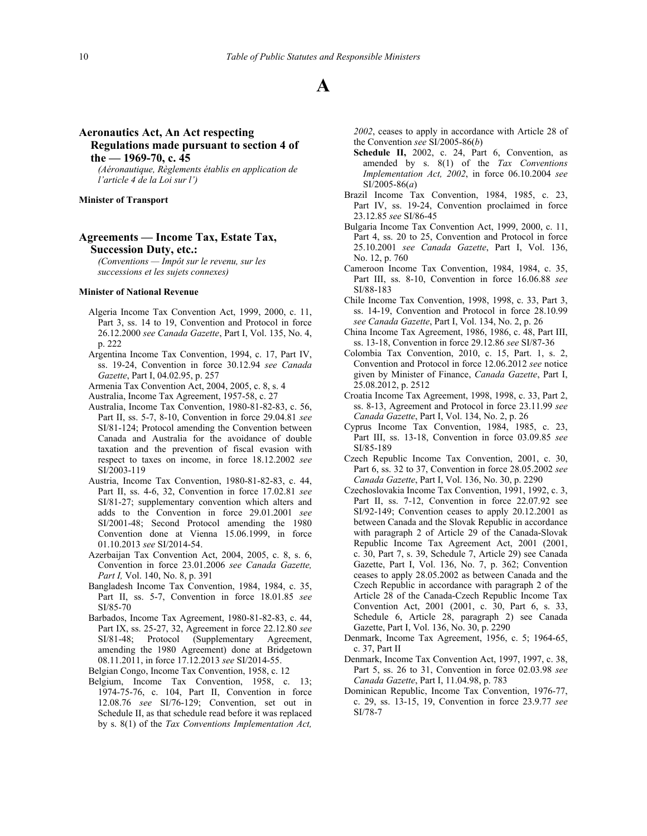# **Aeronautics Act, An Act respecting Regulations made pursuant to section 4 of the — 1969-70, c. 45**

*(Aéronautique, Règlements établis en application de l'article 4 de la Loi sur l')*

## **Minister of Transport**

# **Agreements — Income Tax, Estate Tax, Succession Duty, etc.:**

*(Conventions — Impôt sur le revenu, sur les successions et les sujets connexes)*

#### **Minister of National Revenue**

- Algeria Income Tax Convention Act, 1999, 2000, c. 11, Part 3, ss. 14 to 19, Convention and Protocol in force 26.12.2000 *see Canada Gazette*, Part I, Vol. 135, No. 4, p. 222
- Argentina Income Tax Convention, 1994, c. 17, Part IV, ss. 19-24, Convention in force 30.12.94 *see Canada Gazette*, Part I, 04.02.95, p. 257
- Armenia Tax Convention Act, 2004, 2005, c. 8, s. 4

Australia, Income Tax Agreement, 1957-58, c. 27

- Australia, Income Tax Convention, 1980-81-82-83, c. 56, Part II, ss. 5-7, 8-10, Convention in force 29.04.81 *see* SI/81-124; Protocol amending the Convention between Canada and Australia for the avoidance of double taxation and the prevention of fiscal evasion with respect to taxes on income, in force 18.12.2002 *see* SI/2003-119
- Austria, Income Tax Convention, 1980-81-82-83, c. 44, Part II, ss. 4-6, 32, Convention in force 17.02.81 *see* SI/81-27; supplementary convention which alters and adds to the Convention in force 29.01.2001 *see* SI/2001-48; Second Protocol amending the 1980 Convention done at Vienna 15.06.1999, in force 01.10.2013 *see* SI/2014-54.
- Azerbaijan Tax Convention Act, 2004, 2005, c. 8, s. 6, Convention in force 23.01.2006 *see Canada Gazette, Part I,* Vol. 140, No. 8, p. 391
- Bangladesh Income Tax Convention, 1984, 1984, c. 35, Part II, ss. 5-7, Convention in force 18.01.85 *see* SI/85‑70
- Barbados, Income Tax Agreement, 1980-81-82-83, c. 44, Part IX, ss. 25-27, 32, Agreement in force 22.12.80 *see* SI/81-48; Protocol (Supplementary Agreement, amending the 1980 Agreement) done at Bridgetown 08.11.2011, in force 17.12.2013 *see* SI/2014-55.
- Belgian Congo, Income Tax Convention, 1958, c. 12
- Belgium, Income Tax Convention, 1958, c. 13; 1974-75-76, c. 104, Part II, Convention in force 12.08.76 *see* SI/76‑129; Convention, set out in Schedule II, as that schedule read before it was replaced by s. 8(1) of the *Tax Conventions Implementation Act,*

*2002*, ceases to apply in accordance with Article 28 of the Convention *see* SI/2005-86(*b*)

- **Schedule II,** 2002, c. 24, Part 6, Convention, as amended by s. 8(1) of the *Tax Conventions Implementation Act, 2002*, in force 06.10.2004 *see* SI/2005-86(*a*)
- Brazil Income Tax Convention, 1984, 1985, c. 23, Part IV, ss. 19-24, Convention proclaimed in force 23.12.85 *see* SI/86‑45
- Bulgaria Income Tax Convention Act, 1999, 2000, c. 11, Part 4, ss. 20 to 25, Convention and Protocol in force 25.10.2001 *see Canada Gazette*, Part I, Vol. 136, No. 12, p. 760
- Cameroon Income Tax Convention, 1984, 1984, c. 35, Part III, ss. 8-10, Convention in force 16.06.88 *see* SI/88‑183
- Chile Income Tax Convention, 1998, 1998, c. 33, Part 3, ss. 14-19, Convention and Protocol in force 28.10.99 *see Canada Gazette*, Part I, Vol. 134, No. 2, p. 26
- China Income Tax Agreement, 1986, 1986, c. 48, Part III, ss. 13-18, Convention in force 29.12.86 *see* SI/87‑36
- Colombia Tax Convention, 2010, c. 15, Part. 1, s. 2, Convention and Protocol in force 12.06.2012 *see* notice given by Minister of Finance, *Canada Gazette*, Part I, 25.08.2012, p. 2512
- Croatia Income Tax Agreement, 1998, 1998, c. 33, Part 2, ss. 8-13, Agreement and Protocol in force 23.11.99 *see Canada Gazette*, Part I, Vol. 134, No. 2, p. 26
- Cyprus Income Tax Convention, 1984, 1985, c. 23, Part III, ss. 13-18, Convention in force 03.09.85 *see* SI/85‑189
- Czech Republic Income Tax Convention, 2001, c. 30, Part 6, ss. 32 to 37, Convention in force 28.05.2002 *see Canada Gazette*, Part I, Vol. 136, No. 30, p. 2290
- Czechoslovakia Income Tax Convention, 1991, 1992, c. 3, Part II, ss. 7-12, Convention in force 22.07.92 see SI/92-149; Convention ceases to apply 20.12.2001 as between Canada and the Slovak Republic in accordance with paragraph 2 of Article 29 of the Canada-Slovak Republic Income Tax Agreement Act, 2001 (2001, c. 30, Part 7, s. 39, Schedule 7, Article 29) see Canada Gazette, Part I, Vol. 136, No. 7, p. 362; Convention ceases to apply 28.05.2002 as between Canada and the Czech Republic in accordance with paragraph 2 of the Article 28 of the Canada-Czech Republic Income Tax Convention Act, 2001 (2001, c. 30, Part 6, s. 33, Schedule 6, Article 28, paragraph 2) see Canada Gazette, Part I, Vol. 136, No. 30, p. 2290
- Denmark, Income Tax Agreement, 1956, c. 5; 1964-65, c. 37, Part II
- Denmark, Income Tax Convention Act, 1997, 1997, c. 38, Part 5, ss. 26 to 31, Convention in force 02.03.98 *see Canada Gazette*, Part I, 11.04.98, p. 783
- Dominican Republic, Income Tax Convention, 1976-77, c. 29, ss. 13-15, 19, Convention in force 23.9.77 *see* SI/78‑7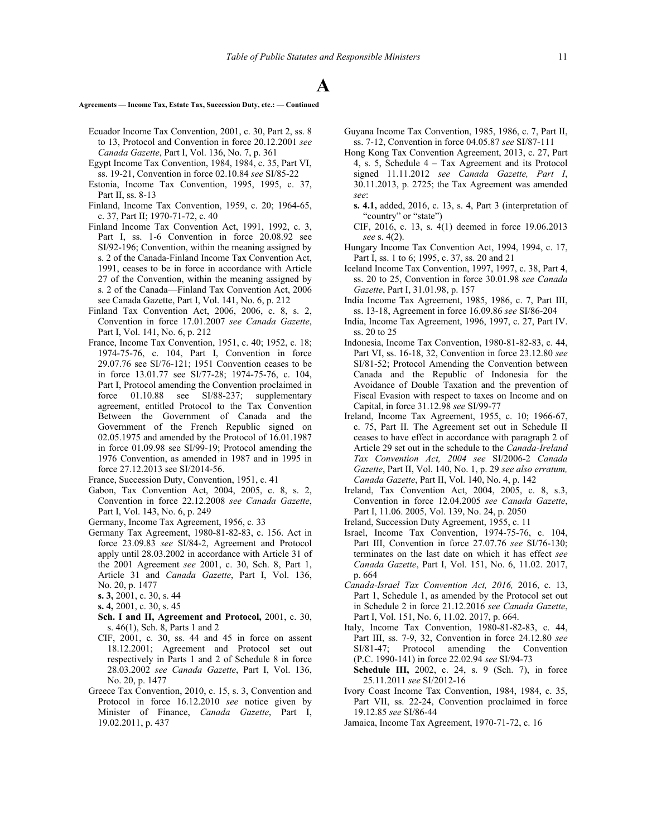## **Agreements — Income Tax, Estate Tax, Succession Duty, etc.: — Continued**

- Ecuador Income Tax Convention, 2001, c. 30, Part 2, ss. 8 to 13, Protocol and Convention in force 20.12.2001 *see Canada Gazette*, Part I, Vol. 136, No. 7, p. 361
- Egypt Income Tax Convention, 1984, 1984, c. 35, Part VI, ss. 19-21, Convention in force 02.10.84 *see* SI/85‑22
- Estonia, Income Tax Convention, 1995, 1995, c. 37, Part II, ss. 8-13
- Finland, Income Tax Convention, 1959, c. 20; 1964-65, c. 37, Part II; 1970-71-72, c. 40
- Finland Income Tax Convention Act, 1991, 1992, c. 3, Part I, ss. 1-6 Convention in force 20.08.92 see SI/92-196; Convention, within the meaning assigned by s. 2 of the Canada-Finland Income Tax Convention Act, 1991, ceases to be in force in accordance with Article 27 of the Convention, within the meaning assigned by s. 2 of the Canada—Finland Tax Convention Act, 2006 see Canada Gazette, Part I, Vol. 141, No. 6, p. 212
- Finland Tax Convention Act, 2006, 2006, c. 8, s. 2, Convention in force 17.01.2007 *see Canada Gazette*, Part I, Vol. 141, No. 6, p. 212
- France, Income Tax Convention, 1951, c. 40; 1952, c. 18; 1974-75-76, c. 104, Part I, Convention in force 29.07.76 see SI/76‑121; 1951 Convention ceases to be in force 13.01.77 see SI/77‑28; 1974-75-76, c. 104, Part I, Protocol amending the Convention proclaimed in force 01.10.88 see SI/88‑237; supplementary agreement, entitled Protocol to the Tax Convention Between the Government of Canada and the Government of the French Republic signed on 02.05.1975 and amended by the Protocol of 16.01.1987 in force 01.09.98 see SI/99-19; Protocol amending the 1976 Convention, as amended in 1987 and in 1995 in force 27.12.2013 see SI/2014-56.
- France, Succession Duty, Convention, 1951, c. 41
- Gabon, Tax Convention Act, 2004, 2005, c. 8, s. 2, Convention in force 22.12.2008 *see Canada Gazette*, Part I, Vol. 143, No. 6, p. 249
- Germany, Income Tax Agreement, 1956, c. 33
- Germany Tax Agreement, 1980-81-82-83, c. 156. Act in force 23.09.83 *see* SI/84‑2, Agreement and Protocol apply until 28.03.2002 in accordance with Article 31 of the 2001 Agreement *see* 2001, c. 30, Sch. 8, Part 1, Article 31 and *Canada Gazette*, Part I, Vol. 136, No. 20, p. 1477
	- **s. 3,** 2001, c. 30, s. 44
	- **s. 4,** 2001, c. 30, s. 45
	- **Sch. I and II, Agreement and Protocol,** 2001, c. 30, s. 46(1), Sch. 8, Parts 1 and 2
	- CIF, 2001, c. 30, ss. 44 and 45 in force on assent 18.12.2001; Agreement and Protocol set out respectively in Parts 1 and 2 of Schedule 8 in force 28.03.2002 *see Canada Gazette*, Part I, Vol. 136, No. 20, p. 1477
- Greece Tax Convention, 2010, c. 15, s. 3, Convention and Protocol in force 16.12.2010 *see* notice given by Minister of Finance, *Canada Gazette*, Part I, 19.02.2011, p. 437
- Guyana Income Tax Convention, 1985, 1986, c. 7, Part II, ss. 7-12, Convention in force 04.05.87 *see* SI/87‑111
- Hong Kong Tax Convention Agreement, 2013, c. 27, Part 4, s. 5, Schedule 4 – Tax Agreement and its Protocol signed 11.11.2012 *see Canada Gazette, Part I*, 30.11.2013, p. 2725; the Tax Agreement was amended *see*:
	- **s. 4.1,** added, 2016, c. 13, s. 4, Part 3 (interpretation of "country" or "state")
- CIF, 2016, c. 13, s. 4(1) deemed in force 19.06.2013 *see* s. 4(2).
- Hungary Income Tax Convention Act, 1994, 1994, c. 17, Part I, ss. 1 to 6; 1995, c. 37, ss. 20 and 21
- Iceland Income Tax Convention, 1997, 1997, c. 38, Part 4, ss. 20 to 25, Convention in force 30.01.98 *see Canada Gazette*, Part I, 31.01.98, p. 157
- India Income Tax Agreement, 1985, 1986, c. 7, Part III, ss. 13-18, Agreement in force 16.09.86 *see* SI/86‑204
- India, Income Tax Agreement, 1996, 1997, c. 27, Part IV. ss. 20 to 25
- Indonesia, Income Tax Convention, 1980-81-82-83, c. 44, Part VI, ss. 16-18, 32, Convention in force 23.12.80 *see* SI/81-52; Protocol Amending the Convention between Canada and the Republic of Indonesia for the Avoidance of Double Taxation and the prevention of Fiscal Evasion with respect to taxes on Income and on Capital, in force 31.12.98 *see* SI/99-77
- Ireland, Income Tax Agreement, 1955, c. 10; 1966-67, c. 75, Part II. The Agreement set out in Schedule II ceases to have effect in accordance with paragraph 2 of Article 29 set out in the schedule to the *Canada-Ireland Tax Convention Act, 2004 see* SI/2006-2 *Canada Gazette*, Part II, Vol. 140, No. 1, p. 29 *see also erratum, Canada Gazette*, Part II, Vol. 140, No. 4, p. 142
- Ireland, Tax Convention Act, 2004, 2005, c. 8, s.3, Convention in force 12.04.2005 *see Canada Gazette*, Part I, 11.06. 2005, Vol. 139, No. 24, p. 2050
- Ireland, Succession Duty Agreement, 1955, c. 11
- Israel, Income Tax Convention, 1974-75-76, c. 104, Part III, Convention in force 27.07.76 *see* SI/76‑130; terminates on the last date on which it has effect *see Canada Gazette*, Part I, Vol. 151, No. 6, 11.02. 2017, p. 664
- *Canada-Israel Tax Convention Act, 2016,* 2016, c. 13, Part 1, Schedule 1, as amended by the Protocol set out in Schedule 2 in force 21.12.2016 *see Canada Gazette*, Part I, Vol. 151, No. 6, 11.02. 2017, p. 664.
- Italy, Income Tax Convention, 1980-81-82-83, c. 44, Part III, ss. 7-9, 32, Convention in force 24.12.80 *see* SI/81-47; Protocol amending the Convention (P.C. 1990-141) in force 22.02.94 *see* SI/94‑73
- **Schedule III,** 2002, c. 24, s. 9 (Sch. 7), in force 25.11.2011 *see* SI/2012-16
- Ivory Coast Income Tax Convention, 1984, 1984, c. 35, Part VII, ss. 22-24, Convention proclaimed in force 19.12.85 *see* SI/86‑44
- Jamaica, Income Tax Agreement, 1970-71-72, c. 16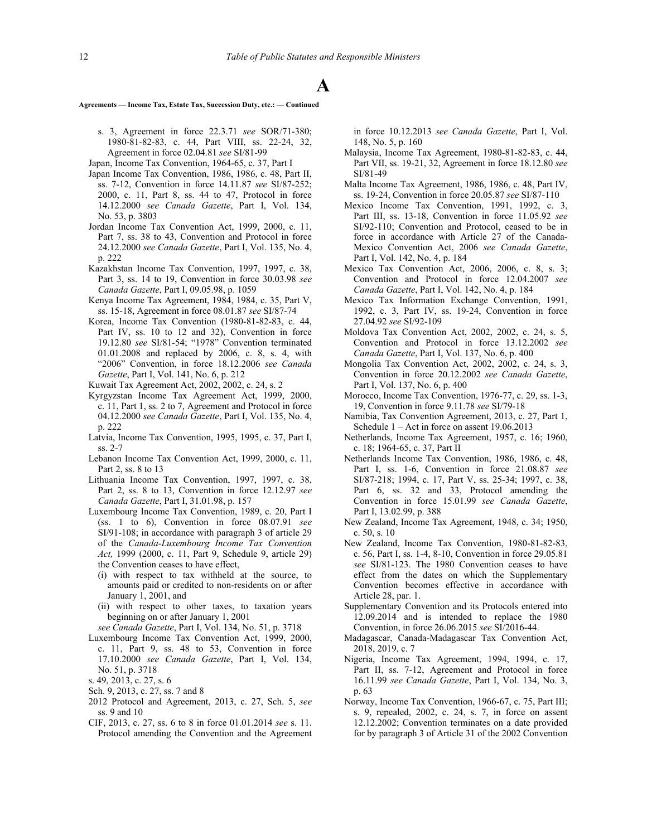**Agreements — Income Tax, Estate Tax, Succession Duty, etc.: — Continued**

- s. 3, Agreement in force 22.3.71 *see* SOR/71‑380; 1980-81-82-83, c. 44, Part VIII, ss. 22-24, 32, Agreement in force 02.04.81 *see* SI/81‑99
- Japan, Income Tax Convention, 1964-65, c. 37, Part I
- Japan Income Tax Convention, 1986, 1986, c. 48, Part II, ss. 7-12, Convention in force 14.11.87 *see* SI/87‑252; 2000, c. 11, Part 8, ss. 44 to 47, Protocol in force 14.12.2000 *see Canada Gazette*, Part I, Vol. 134, No. 53, p. 3803
- Jordan Income Tax Convention Act, 1999, 2000, c. 11, Part 7, ss. 38 to 43, Convention and Protocol in force 24.12.2000 *see Canada Gazette*, Part I, Vol. 135, No. 4, p. 222
- Kazakhstan Income Tax Convention, 1997, 1997, c. 38, Part 3, ss. 14 to 19, Convention in force 30.03.98 *see Canada Gazette*, Part I, 09.05.98, p. 1059
- Kenya Income Tax Agreement, 1984, 1984, c. 35, Part V, ss. 15-18, Agreement in force 08.01.87 *see* SI/87‑74
- Korea, Income Tax Convention (1980-81-82-83, c. 44, Part IV, ss. 10 to 12 and 32), Convention in force 19.12.80 *see* SI/81‑54; "1978" Convention terminated 01.01.2008 and replaced by 2006, c. 8, s. 4, with "2006" Convention, in force 18.12.2006 *see Canada Gazette*, Part I, Vol. 141, No. 6, p. 212
- Kuwait Tax Agreement Act, 2002, 2002, c. 24, s. 2
- Kyrgyzstan Income Tax Agreement Act, 1999, 2000, c. 11, Part 1, ss. 2 to 7, Agreement and Protocol in force 04.12.2000 *see Canada Gazette*, Part I, Vol. 135, No. 4, p. 222
- Latvia, Income Tax Convention, 1995, 1995, c. 37, Part I, ss. 2-7
- Lebanon Income Tax Convention Act, 1999, 2000, c. 11, Part 2, ss. 8 to 13
- Lithuania Income Tax Convention, 1997, 1997, c. 38, Part 2, ss. 8 to 13, Convention in force 12.12.97 *see Canada Gazette*, Part I, 31.01.98, p. 157
- Luxembourg Income Tax Convention, 1989, c. 20, Part I (ss. 1 to 6), Convention in force 08.07.91 *see* SI/91-108; in accordance with paragraph 3 of article 29 of the *Canada-Luxembourg Income Tax Convention Act,* 1999 (2000, c. 11, Part 9, Schedule 9, article 29) the Convention ceases to have effect,
	- (i) with respect to tax withheld at the source, to amounts paid or credited to non-residents on or after January 1, 2001, and
	- (ii) with respect to other taxes, to taxation years beginning on or after January 1, 2001
- *see Canada Gazette*, Part I, Vol. 134, No. 51, p. 3718
- Luxembourg Income Tax Convention Act, 1999, 2000, c. 11, Part 9, ss. 48 to 53, Convention in force 17.10.2000 *see Canada Gazette*, Part I, Vol. 134, No. 51, p. 3718
- s. 49, 2013, c. 27, s. 6
- Sch. 9, 2013, c. 27, ss. 7 and 8
- 2012 Protocol and Agreement, 2013, c. 27, Sch. 5, *see* ss. 9 and 10
- CIF, 2013, c. 27, ss. 6 to 8 in force 01.01.2014 *see* s. 11. Protocol amending the Convention and the Agreement

in force 10.12.2013 *see Canada Gazette*, Part I, Vol. 148, No. 5, p. 160

- Malaysia, Income Tax Agreement, 1980-81-82-83, c. 44, Part VII, ss. 19-21, 32, Agreement in force 18.12.80 *see* SI/81‑49
- Malta Income Tax Agreement, 1986, 1986, c. 48, Part IV, ss. 19-24, Convention in force 20.05.87 *see* SI/87‑110
- Mexico Income Tax Convention, 1991, 1992, c. 3, Part III, ss. 13-18, Convention in force 11.05.92 *see* SI/92-110; Convention and Protocol, ceased to be in force in accordance with Article 27 of the Canada-Mexico Convention Act, 2006 *see Canada Gazette*, Part I, Vol. 142, No. 4, p. 184
- Mexico Tax Convention Act, 2006, 2006, c. 8, s. 3; Convention and Protocol in force 12.04.2007 *see Canada Gazette*, Part I, Vol. 142, No. 4, p. 184
- Mexico Tax Information Exchange Convention, 1991, 1992, c. 3, Part IV, ss. 19-24, Convention in force 27.04.92 *see* SI/92‑109
- Moldova Tax Convention Act, 2002, 2002, c. 24, s. 5, Convention and Protocol in force 13.12.2002 *see Canada Gazette*, Part I, Vol. 137, No. 6, p. 400
- Mongolia Tax Convention Act, 2002, 2002, c. 24, s. 3, Convention in force 20.12.2002 *see Canada Gazette*, Part I, Vol. 137, No. 6, p. 400
- Morocco, Income Tax Convention, 1976-77, c. 29, ss. 1-3, 19, Convention in force 9.11.78 *see* SI/79‑18
- Namibia, Tax Convention Agreement, 2013, c. 27, Part 1, Schedule 1 – Act in force on assent 19.06.2013
- Netherlands, Income Tax Agreement, 1957, c. 16; 1960, c. 18; 1964-65, c. 37, Part II
- Netherlands Income Tax Convention, 1986, 1986, c. 48, Part I, ss. 1-6, Convention in force 21.08.87 *see* SI/87‑218; 1994, c. 17, Part V, ss. 25-34; 1997, c. 38, Part 6, ss. 32 and 33, Protocol amending the Convention in force 15.01.99 *see Canada Gazette*, Part I, 13.02.99, p. 388
- New Zealand, Income Tax Agreement, 1948, c. 34; 1950, c. 50, s. 10
- New Zealand, Income Tax Convention, 1980-81-82-83, c. 56, Part I, ss. 1-4, 8-10, Convention in force 29.05.81 *see* SI/81‑123. The 1980 Convention ceases to have effect from the dates on which the Supplementary Convention becomes effective in accordance with Article 28, par. 1.
- Supplementary Convention and its Protocols entered into 12.09.2014 and is intended to replace the 1980 Convention, in force 26.06.2015 *see* SI/2016-44.
- Madagascar, Canada-Madagascar Tax Convention Act, 2018, 2019, c. 7
- Nigeria, Income Tax Agreement, 1994, 1994, c. 17, Part II, ss. 7-12, Agreement and Protocol in force 16.11.99 *see Canada Gazette*, Part I, Vol. 134, No. 3, p. 63
- Norway, Income Tax Convention, 1966-67, c. 75, Part III; s. 9, repealed, 2002, c. 24, s. 7, in force on assent 12.12.2002; Convention terminates on a date provided for by paragraph 3 of Article 31 of the 2002 Convention

# **A**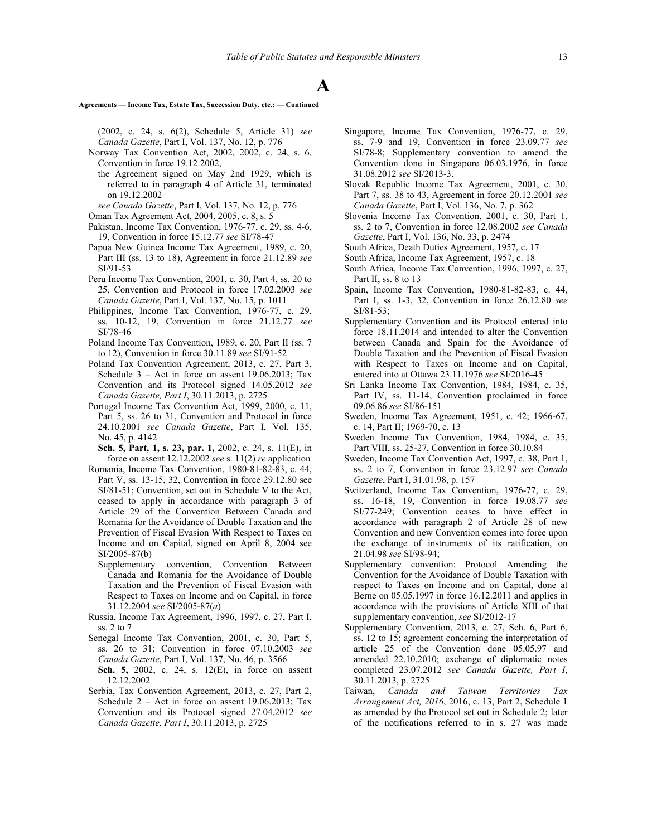**Agreements — Income Tax, Estate Tax, Succession Duty, etc.: — Continued**

(2002, c. 24, s. 6(2), Schedule 5, Article 31) *see Canada Gazette*, Part I, Vol. 137, No. 12, p. 776

- Norway Tax Convention Act, 2002, 2002, c. 24, s. 6, Convention in force 19.12.2002,
- the Agreement signed on May 2nd 1929, which is referred to in paragraph 4 of Article 31, terminated on 19.12.2002
- *see Canada Gazette*, Part I, Vol. 137, No. 12, p. 776

Oman Tax Agreement Act, 2004, 2005, c. 8, s. 5

- Pakistan, Income Tax Convention, 1976-77, c. 29, ss. 4-6, 19, Convention in force 15.12.77 *see* SI/78‑47
- Papua New Guinea Income Tax Agreement, 1989, c. 20, Part III (ss. 13 to 18), Agreement in force 21.12.89 *see* SI/91‑53
- Peru Income Tax Convention, 2001, c. 30, Part 4, ss. 20 to 25, Convention and Protocol in force 17.02.2003 *see Canada Gazette*, Part I, Vol. 137, No. 15, p. 1011
- Philippines, Income Tax Convention, 1976-77, c. 29, ss. 10-12, 19, Convention in force 21.12.77 *see* SI/78‑46
- Poland Income Tax Convention, 1989, c. 20, Part II (ss. 7 to 12), Convention in force 30.11.89 *see* SI/91‑52
- Poland Tax Convention Agreement, 2013, c. 27, Part 3, Schedule 3 – Act in force on assent 19.06.2013; Tax Convention and its Protocol signed 14.05.2012 *see Canada Gazette, Part I*, 30.11.2013, p. 2725
- Portugal Income Tax Convention Act, 1999, 2000, c. 11, Part 5, ss. 26 to 31, Convention and Protocol in force 24.10.2001 *see Canada Gazette*, Part I, Vol. 135, No. 45, p. 4142

**Sch. 5, Part, 1, s. 23, par. 1,** 2002, c. 24, s. 11(E), in force on assent 12.12.2002 *see* s. 11(2) *re* application

- Romania, Income Tax Convention, 1980-81-82-83, c. 44, Part V, ss. 13-15, 32, Convention in force 29.12.80 see SI/81-51; Convention, set out in Schedule V to the Act, ceased to apply in accordance with paragraph 3 of Article 29 of the Convention Between Canada and Romania for the Avoidance of Double Taxation and the Prevention of Fiscal Evasion With Respect to Taxes on Income and on Capital, signed on April 8, 2004 see SI/2005-87(b)
	- Supplementary convention, Convention Between Canada and Romania for the Avoidance of Double Taxation and the Prevention of Fiscal Evasion with Respect to Taxes on Income and on Capital, in force 31.12.2004 *see* SI/2005-87(*a*)
- Russia, Income Tax Agreement, 1996, 1997, c. 27, Part I, ss. 2 to 7
- Senegal Income Tax Convention, 2001, c. 30, Part 5, ss. 26 to 31; Convention in force 07.10.2003 *see Canada Gazette*, Part I, Vol. 137, No. 46, p. 3566
- **Sch. 5,** 2002, c. 24, s. 12(E), in force on assent 12.12.2002
- Serbia, Tax Convention Agreement, 2013, c. 27, Part 2, Schedule 2 – Act in force on assent 19.06.2013; Tax Convention and its Protocol signed 27.04.2012 *see Canada Gazette, Part I*, 30.11.2013, p. 2725
- Singapore, Income Tax Convention, 1976-77, c. 29, ss. 7-9 and 19, Convention in force 23.09.77 *see* SI/78‑8; Supplementary convention to amend the Convention done in Singapore 06.03.1976, in force 31.08.2012 *see* SI/2013-3.
- Slovak Republic Income Tax Agreement, 2001, c. 30, Part 7, ss. 38 to 43, Agreement in force 20.12.2001 *see Canada Gazette*, Part I, Vol. 136, No. 7, p. 362
- Slovenia Income Tax Convention, 2001, c. 30, Part 1, ss. 2 to 7, Convention in force 12.08.2002 *see Canada Gazette*, Part I, Vol. 136, No. 33, p. 2474
- South Africa, Death Duties Agreement, 1957, c. 17
- South Africa, Income Tax Agreement, 1957, c. 18
- South Africa, Income Tax Convention, 1996, 1997, c. 27, Part II, ss. 8 to 13
- Spain, Income Tax Convention, 1980-81-82-83, c. 44, Part I, ss. 1-3, 32, Convention in force 26.12.80 *see* SI/81-53;
- Supplementary Convention and its Protocol entered into force 18.11.2014 and intended to alter the Convention between Canada and Spain for the Avoidance of Double Taxation and the Prevention of Fiscal Evasion with Respect to Taxes on Income and on Capital, entered into at Ottawa 23.11.1976 *see* SI/2016-45
- Sri Lanka Income Tax Convention, 1984, 1984, c. 35, Part IV, ss. 11-14, Convention proclaimed in force 09.06.86 *see* SI/86‑151
- Sweden, Income Tax Agreement, 1951, c. 42; 1966-67, c. 14, Part II; 1969-70, c. 13
- Sweden Income Tax Convention, 1984, 1984, c. 35, Part VIII, ss. 25-27, Convention in force 30.10.84
- Sweden, Income Tax Convention Act, 1997, c. 38, Part 1, ss. 2 to 7, Convention in force 23.12.97 *see Canada Gazette*, Part I, 31.01.98, p. 157
- Switzerland, Income Tax Convention, 1976-77, c. 29, ss. 16-18, 19, Convention in force 19.08.77 *see* SI/77‑249; Convention ceases to have effect in accordance with paragraph 2 of Article 28 of new Convention and new Convention comes into force upon the exchange of instruments of its ratification, on 21.04.98 *see* SI/98‑94;
- Supplementary convention: Protocol Amending the Convention for the Avoidance of Double Taxation with respect to Taxes on Income and on Capital, done at Berne on 05.05.1997 in force 16.12.2011 and applies in accordance with the provisions of Article XIII of that supplementary convention, *see* SI/2012-17
- Supplementary Convention, 2013, c. 27, Sch. 6, Part 6, ss. 12 to 15; agreement concerning the interpretation of article 25 of the Convention done 05.05.97 and amended 22.10.2010; exchange of diplomatic notes completed 23.07.2012 *see Canada Gazette, Part I*, 30.11.2013, p. 2725
- Taiwan, *Canada and Taiwan Territories Tax Arrangement Act, 2016*, 2016, c. 13, Part 2, Schedule 1 as amended by the Protocol set out in Schedule 2; later of the notifications referred to in s. 27 was made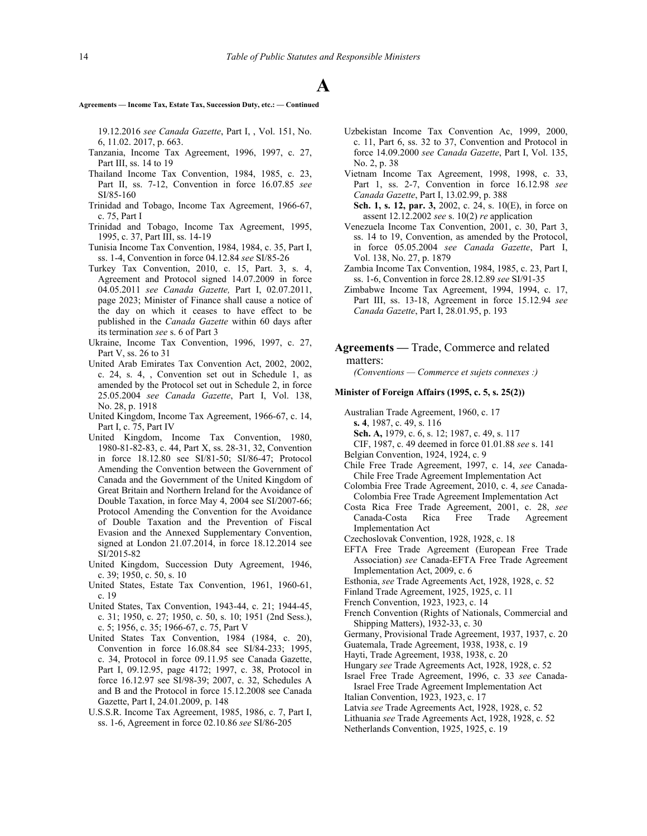**Agreements — Income Tax, Estate Tax, Succession Duty, etc.: — Continued**

19.12.2016 *see Canada Gazette*, Part I, , Vol. 151, No. 6, 11.02. 2017, p. 663.

- Tanzania, Income Tax Agreement, 1996, 1997, c. 27, Part III, ss. 14 to 19
- Thailand Income Tax Convention, 1984, 1985, c. 23, Part II, ss. 7-12, Convention in force 16.07.85 *see* SI/85‑160
- Trinidad and Tobago, Income Tax Agreement, 1966-67, c. 75, Part I
- Trinidad and Tobago, Income Tax Agreement, 1995, 1995, c. 37, Part III, ss. 14-19
- Tunisia Income Tax Convention, 1984, 1984, c. 35, Part I, ss. 1-4, Convention in force 04.12.84 *see* SI/85‑26
- Turkey Tax Convention, 2010, c. 15, Part. 3, s. 4, Agreement and Protocol signed 14.07.2009 in force 04.05.2011 *see Canada Gazette,* Part I, 02.07.2011, page 2023; Minister of Finance shall cause a notice of the day on which it ceases to have effect to be published in the *Canada Gazette* within 60 days after its termination *see* s. 6 of Part 3
- Ukraine, Income Tax Convention, 1996, 1997, c. 27, Part V, ss. 26 to 31
- United Arab Emirates Tax Convention Act, 2002, 2002, c. 24, s. 4, , Convention set out in Schedule 1, as amended by the Protocol set out in Schedule 2, in force 25.05.2004 *see Canada Gazette*, Part I, Vol. 138, No. 28, p. 1918
- United Kingdom, Income Tax Agreement, 1966-67, c. 14, Part I, c. 75, Part IV
- United Kingdom, Income Tax Convention, 1980, 1980-81-82-83, c. 44, Part X, ss. 28-31, 32, Convention in force 18.12.80 see SI/81‑50; SI/86‑47; Protocol Amending the Convention between the Government of Canada and the Government of the United Kingdom of Great Britain and Northern Ireland for the Avoidance of Double Taxation, in force May 4, 2004 see SI/2007‑66; Protocol Amending the Convention for the Avoidance of Double Taxation and the Prevention of Fiscal Evasion and the Annexed Supplementary Convention, signed at London 21.07.2014, in force 18.12.2014 see SI/2015-82
- United Kingdom, Succession Duty Agreement, 1946, c. 39; 1950, c. 50, s. 10
- United States, Estate Tax Convention, 1961, 1960-61, c. 19
- United States, Tax Convention, 1943-44, c. 21; 1944-45, c. 31; 1950, c. 27; 1950, c. 50, s. 10; 1951 (2nd Sess.), c. 5; 1956, c. 35; 1966-67, c. 75, Part V
- United States Tax Convention, 1984 (1984, c. 20), Convention in force 16.08.84 see SI/84-233; 1995, c. 34, Protocol in force 09.11.95 see Canada Gazette, Part I, 09.12.95, page 4172; 1997, c. 38, Protocol in force 16.12.97 see SI/98-39; 2007, c. 32, Schedules A and B and the Protocol in force 15.12.2008 see Canada Gazette, Part I, 24.01.2009, p. 148
- U.S.S.R. Income Tax Agreement, 1985, 1986, c. 7, Part I, ss. 1-6, Agreement in force 02.10.86 *see* SI/86‑205
- Uzbekistan Income Tax Convention Ac, 1999, 2000, c. 11, Part 6, ss. 32 to 37, Convention and Protocol in force 14.09.2000 *see Canada Gazette*, Part I, Vol. 135, No. 2, p. 38
- Vietnam Income Tax Agreement, 1998, 1998, c. 33, Part 1, ss. 2-7, Convention in force 16.12.98 *see Canada Gazette*, Part I, 13.02.99, p. 388
- **Sch. 1, s. 12, par. 3,** 2002, c. 24, s. 10(E), in force on assent 12.12.2002 *see* s. 10(2) *re* application
- Venezuela Income Tax Convention, 2001, c. 30, Part 3, ss. 14 to 19, Convention, as amended by the Protocol, in force 05.05.2004 *see Canada Gazette*, Part I, Vol. 138, No. 27, p. 1879
- Zambia Income Tax Convention, 1984, 1985, c. 23, Part I, ss. 1-6, Convention in force 28.12.89 *see* SI/91‑35
- Zimbabwe Income Tax Agreement, 1994, 1994, c. 17, Part III, ss. 13-18, Agreement in force 15.12.94 *see Canada Gazette*, Part I, 28.01.95, p. 193

## **Agreements —** Trade, Commerce and related matters:

*(Conventions — Commerce et sujets connexes :)*

#### **Minister of Foreign Affairs (1995, c. 5, s. 25(2))**

- Australian Trade Agreement, 1960, c. 17
- **s. 4**, 1987, c. 49, s. 116
- **Sch. A,** 1979, c. 6, s. 12; 1987, c. 49, s. 117
- CIF, 1987, c. 49 deemed in force 01.01.88 *see* s. 141
- Belgian Convention, 1924, 1924, c. 9
- Chile Free Trade Agreement, 1997, c. 14, *see* Canada-Chile Free Trade Agreement Implementation Act
- Colombia Free Trade Agreement, 2010, c. 4, *see* Canada-Colombia Free Trade Agreement Implementation Act
- Costa Rica Free Trade Agreement, 2001, c. 28, *see* Canada-Costa Rica Free Trade Agreement Implementation Act
- Czechoslovak Convention, 1928, 1928, c. 18
- EFTA Free Trade Agreement (European Free Trade Association) *see* Canada-EFTA Free Trade Agreement Implementation Act, 2009, c. 6
- Esthonia, see Trade Agreements Act, 1928, 1928, c. 52
- Finland Trade Agreement, 1925, 1925, c. 11
- French Convention, 1923, 1923, c. 14
- French Convention (Rights of Nationals, Commercial and Shipping Matters), 1932-33, c. 30

Germany, Provisional Trade Agreement, 1937, 1937, c. 20

- Guatemala, Trade Agreement, 1938, 1938, c. 19
- Hayti, Trade Agreement, 1938, 1938, c. 20
- Hungary *see* Trade Agreements Act, 1928, 1928, c. 52
- Israel Free Trade Agreement, 1996, c. 33 *see* Canada-Israel Free Trade Agreement Implementation Act
- Italian Convention, 1923, 1923, c. 17 Latvia *see* Trade Agreements Act, 1928, 1928, c. 52
- Lithuania *see* Trade Agreements Act, 1928, 1928, c. 52
- 
- Netherlands Convention, 1925, 1925, c. 19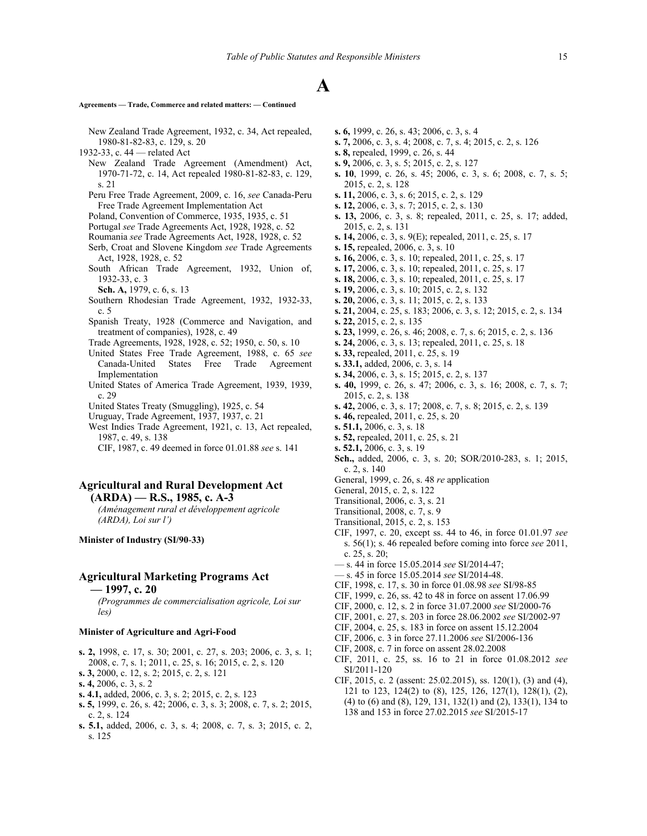## **Agreements — Trade, Commerce and related matters: — Continued**

- New Zealand Trade Agreement, 1932, c. 34, Act repealed, 1980-81-82-83, c. 129, s. 20
- 1932-33, c. 44 related Act
	- New Zealand Trade Agreement (Amendment) Act, 1970-71-72, c. 14, Act repealed 1980-81-82-83, c. 129, s. 21
	- Peru Free Trade Agreement, 2009, c. 16, *see* Canada-Peru Free Trade Agreement Implementation Act
	- Poland, Convention of Commerce, 1935, 1935, c. 51
	- Portugal see Trade Agreements Act, 1928, 1928, c. 52
	- Roumania *see* Trade Agreements Act, 1928, 1928, c. 52
	- Serb, Croat and Slovene Kingdom *see* Trade Agreements Act, 1928, 1928, c. 52
	- South African Trade Agreement, 1932, Union of, 1932-33, c. 3
		- **Sch. A,** 1979, c. 6, s. 13
	- Southern Rhodesian Trade Agreement, 1932, 1932-33, c. 5
	- Spanish Treaty, 1928 (Commerce and Navigation, and treatment of companies), 1928, c. 49
	- Trade Agreements, 1928, 1928, c. 52; 1950, c. 50, s. 10
	- United States Free Trade Agreement, 1988, c. 65 *see* Canada-United States Free Trade Agreement Implementation
	- United States of America Trade Agreement, 1939, 1939, c. 29
	- United States Treaty (Smuggling), 1925, c. 54
	- Uruguay, Trade Agreement, 1937, 1937, c. 21
	- West Indies Trade Agreement, 1921, c. 13, Act repealed, 1987, c. 49, s. 138
	- CIF, 1987, c. 49 deemed in force 01.01.88 *see* s. 141

# **Agricultural and Rural Development Act (ARDA) — R.S., 1985, c. A-3**

*(Aménagement rural et développement agricole (ARDA), Loi sur l')*

**Minister of Industry (SI/90**‑**33)**

# **Agricultural Marketing Programs Act**

**— 1997, c. 20**

*(Programmes de commercialisation agricole, Loi sur les)*

#### **Minister of Agriculture and Agri-Food**

- **s. 2,** 1998, c. 17, s. 30; 2001, c. 27, s. 203; 2006, c. 3, s. 1; 2008, c. 7, s. 1; 2011, c. 25, s. 16; 2015, c. 2, s. 120
- **s. 3,** 2000, c. 12, s. 2; 2015, c. 2, s. 121
- **s. 4,** 2006, c. 3, s. 2
- **s. 4.1,** added, 2006, c. 3, s. 2; 2015, c. 2, s. 123
- **s. 5,** 1999, c. 26, s. 42; 2006, c. 3, s. 3; 2008, c. 7, s. 2; 2015, c. 2, s. 124
- **s. 5.1,** added, 2006, c. 3, s. 4; 2008, c. 7, s. 3; 2015, c. 2, s. 125
- **s. 6,** 1999, c. 26, s. 43; 2006, c. 3, s. 4
- **s. 7,** 2006, c. 3, s. 4; 2008, c. 7, s. 4; 2015, c. 2, s. 126
- **s. 8,** repealed, 1999, c. 26, s. 44
- **s. 9,** 2006, c. 3, s. 5; 2015, c. 2, s. 127
- **s. 10**, 1999, c. 26, s. 45; 2006, c. 3, s. 6; 2008, c. 7, s. 5; 2015, c. 2, s. 128
- **s. 11,** 2006, c. 3, s. 6; 2015, c. 2, s. 129
- **s. 12,** 2006, c. 3, s. 7; 2015, c. 2, s. 130
- **s. 13,** 2006, c. 3, s. 8; repealed, 2011, c. 25, s. 17; added, 2015, c. 2, s. 131
- **s. 14,** 2006, c. 3, s. 9(E); repealed, 2011, c. 25, s. 17
- **s. 15,** repealed, 2006, c. 3, s. 10
- **s. 16,** 2006, c. 3, s. 10; repealed, 2011, c. 25, s. 17
- **s. 17,** 2006, c. 3, s. 10; repealed, 2011, c. 25, s. 17
- **s. 18,** 2006, c. 3, s. 10; repealed, 2011, c. 25, s. 17
- **s. 19,** 2006, c. 3, s. 10; 2015, c. 2, s. 132
- **s. 20,** 2006, c. 3, s. 11; 2015, c. 2, s. 133
- **s. 21,** 2004, c. 25, s. 183; 2006, c. 3, s. 12; 2015, c. 2, s. 134
- **s. 22,** 2015, c. 2, s. 135
- **s. 23,** 1999, c. 26, s. 46; 2008, c. 7, s. 6; 2015, c. 2, s. 136
- **s. 24,** 2006, c. 3, s. 13; repealed, 2011, c. 25, s. 18
- **s. 33,** repealed, 2011, c. 25, s. 19
- **s. 33.1,** added, 2006, c. 3, s. 14
- **s. 34,** 2006, c. 3, s. 15; 2015, c. 2, s. 137
- **s. 40,** 1999, c. 26, s. 47; 2006, c. 3, s. 16; 2008, c. 7, s. 7; 2015, c. 2, s. 138
- **s. 42,** 2006, c. 3, s. 17; 2008, c. 7, s. 8; 2015, c. 2, s. 139
- **s. 46,** repealed, 2011, c. 25, s. 20
- **s. 51.1,** 2006, c. 3, s. 18
- **s. 52,** repealed, 2011, c. 25, s. 21
- **s. 52.1,** 2006, c. 3, s. 19
- **Sch.,** added, 2006, c. 3, s. 20; SOR/2010-283, s. 1; 2015, c. 2, s. 140
- General, 1999, c. 26, s. 48 *re* application
- General, 2015, c. 2, s. 122
- Transitional, 2006, c. 3, s. 21
- Transitional, 2008, c. 7, s. 9
- Transitional, 2015, c. 2, s. 153
- CIF, 1997, c. 20, except ss. 44 to 46, in force 01.01.97 *see* s. 56(1); s. 46 repealed before coming into force *see* 2011, c. 25, s. 20;
- s. 44 in force 15.05.2014 *see* SI/2014-47;
- s. 45 in force 15.05.2014 *see* SI/2014-48.
- CIF, 1998, c. 17, s. 30 in force 01.08.98 *see* SI/98-85
- CIF, 1999, c. 26, ss. 42 to 48 in force on assent 17.06.99
- CIF, 2000, c. 12, s. 2 in force 31.07.2000 *see* SI/2000-76
- CIF, 2001, c. 27, s. 203 in force 28.06.2002 *see* SI/2002-97
- CIF, 2004, c. 25, s. 183 in force on assent 15.12.2004
- CIF, 2006, c. 3 in force 27.11.2006 *see* SI/2006-136
- CIF, 2008, c. 7 in force on assent 28.02.2008
- CIF, 2011, c. 25, ss. 16 to 21 in force 01.08.2012 *see* SI/2011-120
- CIF, 2015, c. 2 (assent: 25.02.2015), ss. 120(1), (3) and (4), 121 to 123, 124(2) to (8), 125, 126, 127(1), 128(1), (2), (4) to (6) and (8), 129, 131, 132(1) and (2), 133(1), 134 to 138 and 153 in force 27.02.2015 *see* SI/2015-17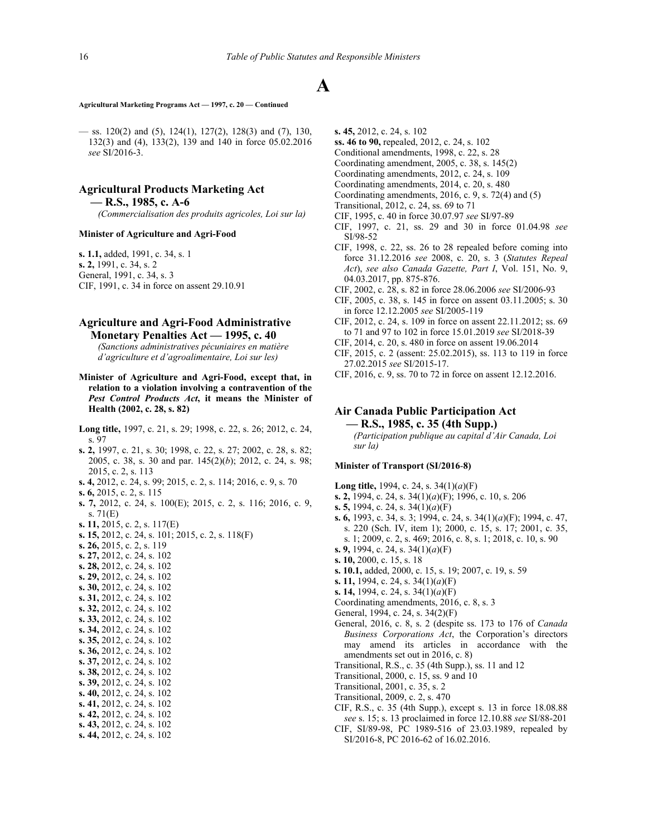### **Agricultural Marketing Programs Act — 1997, c. 20 — Continued**

 $-$  ss. 120(2) and (5), 124(1), 127(2), 128(3) and (7), 130, 132(3) and (4), 133(2), 139 and 140 in force 05.02.2016 *see* SI/2016-3.

# **Agricultural Products Marketing Act — R.S., 1985, c. A-6**

*(Commercialisation des produits agricoles, Loi sur la)*

#### **Minister of Agriculture and Agri-Food**

**s. 1.1,** added, 1991, c. 34, s. 1 **s. 2,** 1991, c. 34, s. 2 General, 1991, c. 34, s. 3 CIF, 1991, c. 34 in force on assent 29.10.91

# **Agriculture and Agri-Food Administrative Monetary Penalties Act — 1995, c. 40**

*(Sanctions administratives pécuniaires en matière d'agriculture et d'agroalimentaire, Loi sur les)*

- **Minister of Agriculture and Agri-Food, except that, in relation to a violation involving a contravention of the** *Pest Control Products Act***, it means the Minister of Health (2002, c. 28, s. 82)**
- **Long title,** 1997, c. 21, s. 29; 1998, c. 22, s. 26; 2012, c. 24, s. 97
- **s. 2,** 1997, c. 21, s. 30; 1998, c. 22, s. 27; 2002, c. 28, s. 82; 2005, c. 38, s. 30 and par. 145(2)(*b*); 2012, c. 24, s. 98; 2015, c. 2, s. 113
- **s. 4,** 2012, c. 24, s. 99; 2015, c. 2, s. 114; 2016, c. 9, s. 70
- **s. 6,** 2015, c. 2, s. 115
- **s. 7,** 2012, c. 24, s. 100(E); 2015, c. 2, s. 116; 2016, c. 9, s. 71(E)
- **s. 11,** 2015, c. 2, s. 117(E)
- **s. 15,** 2012, c. 24, s. 101; 2015, c. 2, s. 118(F)
- **s. 26,** 2015, c. 2, s. 119
- **s. 27,** 2012, c. 24, s. 102
- **s. 28,** 2012, c. 24, s. 102
- **s. 29,** 2012, c. 24, s. 102
- **s. 30,** 2012, c. 24, s. 102
- **s. 31,** 2012, c. 24, s. 102
- 
- **s. 32,** 2012, c. 24, s. 102
- **s. 33,** 2012, c. 24, s. 102
- **s. 34,** 2012, c. 24, s. 102
- **s. 35,** 2012, c. 24, s. 102
- **s. 36,** 2012, c. 24, s. 102
- **s. 37,** 2012, c. 24, s. 102
- **s. 38,** 2012, c. 24, s. 102
- **s. 39,** 2012, c. 24, s. 102
- **s. 40,** 2012, c. 24, s. 102
- **s. 41,** 2012, c. 24, s. 102
- **s. 42,** 2012, c. 24, s. 102
- **s. 43,** 2012, c. 24, s. 102
- **s. 44,** 2012, c. 24, s. 102
- **s. 45,** 2012, c. 24, s. 102
- **ss. 46 to 90,** repealed, 2012, c. 24, s. 102
- Conditional amendments, 1998, c. 22, s. 28
- Coordinating amendment, 2005, c. 38, s. 145(2)
- Coordinating amendments, 2012, c. 24, s. 109
- Coordinating amendments, 2014, c. 20, s. 480
- Coordinating amendments, 2016, c. 9, s. 72(4) and (5)
- Transitional, 2012, c. 24, ss. 69 to 71
- CIF, 1995, c. 40 in force 30.07.97 *see* SI/97‑89
- CIF, 1997, c. 21, ss. 29 and 30 in force 01.04.98 *see* SI/98-52
- CIF, 1998, c. 22, ss. 26 to 28 repealed before coming into force 31.12.2016 *see* 2008, c. 20, s. 3 (*Statutes Repeal Act*), *see also Canada Gazette, Part I*, Vol. 151, No. 9, 04.03.2017, pp. 875-876.
- CIF, 2002, c. 28, s. 82 in force 28.06.2006 *see* SI/2006-93
- CIF, 2005, c. 38, s. 145 in force on assent 03.11.2005; s. 30 in force 12.12.2005 *see* SI/2005-119
- CIF, 2012, c. 24, s. 109 in force on assent 22.11.2012; ss. 69 to 71 and 97 to 102 in force 15.01.2019 *see* SI/2018-39
- CIF, 2014, c. 20, s. 480 in force on assent 19.06.2014
- CIF, 2015, c. 2 (assent: 25.02.2015), ss. 113 to 119 in force 27.02.2015 *see* SI/2015-17.
- CIF, 2016, c. 9, ss. 70 to 72 in force on assent 12.12.2016.

# **Air Canada Public Participation Act — R.S., 1985, c. 35 (4th Supp.)**

*(Participation publique au capital d'Air Canada, Loi sur la)*

## **Minister of Transport (SI/2016**‑**8)**

- **Long title,** 1994, c. 24, s. 34(1)(*a*)(F)
- **s. 2,** 1994, c. 24, s. 34(1)(*a*)(F); 1996, c. 10, s. 206
- **s. 5,** 1994, c. 24, s. 34(1)(*a*)(F)
- **s. 6,** 1993, c. 34, s. 3; 1994, c. 24, s. 34(1)(*a*)(F); 1994, c. 47, s. 220 (Sch. IV, item 1); 2000, c. 15, s. 17; 2001, c. 35, s. 1; 2009, c. 2, s. 469; 2016, c. 8, s. 1; 2018, c. 10, s. 90
- **s. 9,** 1994, c. 24, s. 34(1)(*a*)(F)
- **s. 10,** 2000, c. 15, s. 18
- **s. 10.1,** added, 2000, c. 15, s. 19; 2007, c. 19, s. 59
- **s. 11,** 1994, c. 24, s. 34(1)(*a*)(F)
- **s. 14,** 1994, c. 24, s. 34(1)(*a*)(F)
- Coordinating amendments, 2016, c. 8, s. 3
- General, 1994, c. 24, s. 34(2)(F)
- General, 2016, c. 8, s. 2 (despite ss. 173 to 176 of *Canada Business Corporations Act*, the Corporation's directors may amend its articles in accordance with the amendments set out in 2016, c. 8)
- Transitional, R.S., c. 35 (4th Supp.), ss. 11 and 12
- Transitional, 2000, c. 15, ss. 9 and 10
- Transitional, 2001, c. 35, s. 2
- Transitional, 2009, c. 2, s. 470
- CIF, R.S., c. 35 (4th Supp.), except s. 13 in force 18.08.88 *see* s. 15; s. 13 proclaimed in force 12.10.88 *see* SI/88‑201
- CIF, SI/89-98, PC 1989-516 of 23.03.1989, repealed by SI/2016-8, PC 2016-62 of 16.02.2016.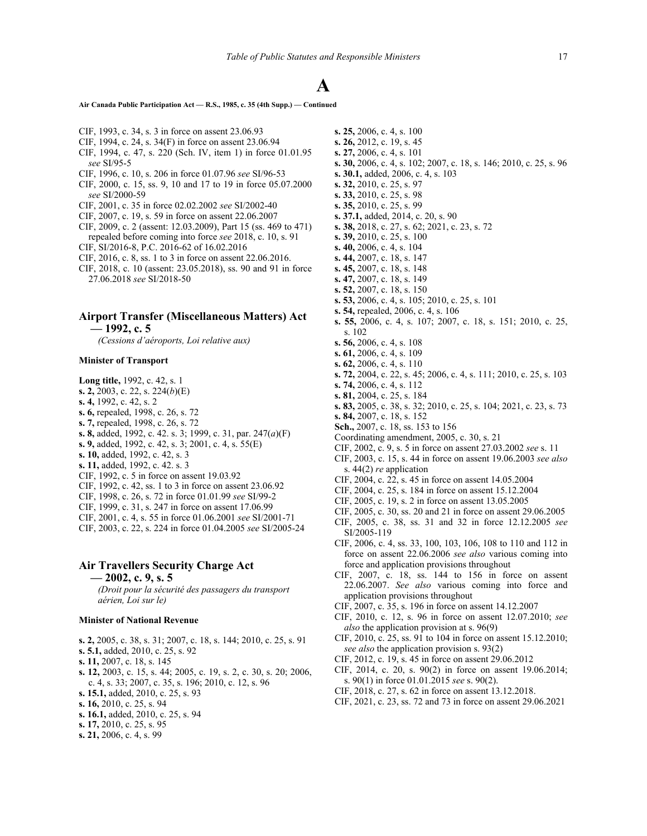**Air Canada Public Participation Act — R.S., 1985, c. 35 (4th Supp.) — Continued**

- CIF, 1993, c. 34, s. 3 in force on assent 23.06.93
- CIF, 1994, c. 24, s. 34(F) in force on assent 23.06.94
- CIF, 1994, c. 47, s. 220 (Sch. IV, item 1) in force 01.01.95 *see* SI/95‑5
- CIF, 1996, c. 10, s. 206 in force 01.07.96 *see* SI/96‑53
- CIF, 2000, c. 15, ss. 9, 10 and 17 to 19 in force 05.07.2000 *see* SI/2000-59
- CIF, 2001, c. 35 in force 02.02.2002 *see* SI/2002-40
- CIF, 2007, c. 19, s. 59 in force on assent 22.06.2007
- CIF, 2009, c. 2 (assent: 12.03.2009), Part 15 (ss. 469 to 471) repealed before coming into force *see* 2018, c. 10, s. 91
- CIF, SI/2016-8, P.C. 2016-62 of 16.02.2016
- CIF, 2016, c. 8, ss. 1 to 3 in force on assent 22.06.2016.
- CIF, 2018, c. 10 (assent: 23.05.2018), ss. 90 and 91 in force 27.06.2018 *see* SI/2018-50
- **Airport Transfer (Miscellaneous Matters) Act**
	- **1992, c. 5**

*(Cessions d'aéroports, Loi relative aux)*

## **Minister of Transport**

**Long title,** 1992, c. 42, s. 1 **s. 2,** 2003, c. 22, s. 224(*b*)(E) **s. 4,** 1992, c. 42, s. 2 **s. 6,** repealed, 1998, c. 26, s. 72 **s. 7,** repealed, 1998, c. 26, s. 72 **s. 8,** added, 1992, c. 42. s. 3; 1999, c. 31, par. 247(*a*)(F) **s. 9,** added, 1992, c. 42, s. 3; 2001, c. 4, s. 55(E) **s. 10,** added, 1992, c. 42, s. 3 **s. 11,** added, 1992, c. 42. s. 3 CIF, 1992, c. 5 in force on assent 19.03.92 CIF, 1992, c. 42, ss. 1 to 3 in force on assent 23.06.92 CIF, 1998, c. 26, s. 72 in force 01.01.99 *see* SI/99-2 CIF, 1999, c. 31, s. 247 in force on assent 17.06.99 CIF, 2001, c. 4, s. 55 in force 01.06.2001 *see* SI/2001‑71 CIF, 2003, c. 22, s. 224 in force 01.04.2005 *see* SI/2005-24

# **Air Travellers Security Charge Act**

**— 2002, c. 9, s. 5**

*(Droit pour la sécurité des passagers du transport aérien, Loi sur le)*

#### **Minister of National Revenue**

- **s. 2,** 2005, c. 38, s. 31; 2007, c. 18, s. 144; 2010, c. 25, s. 91
- **s. 5.1,** added, 2010, c. 25, s. 92
- **s. 11,** 2007, c. 18, s. 145
- **s. 12,** 2003, c. 15, s. 44; 2005, c. 19, s. 2, c. 30, s. 20; 2006, c. 4, s. 33; 2007, c. 35, s. 196; 2010, c. 12, s. 96
- **s. 15.1,** added, 2010, c. 25, s. 93
- **s. 16,** 2010, c. 25, s. 94
- **s. 16.1,** added, 2010, c. 25, s. 94
- **s. 17,** 2010, c. 25, s. 95
- **s. 21,** 2006, c. 4, s. 99
- **s. 25,** 2006, c. 4, s. 100 **s. 26,** 2012, c. 19, s. 45 **s. 27,** 2006, c. 4, s. 101 **s. 30,** 2006, c. 4, s. 102; 2007, c. 18, s. 146; 2010, c. 25, s. 96 **s. 30.1,** added, 2006, c. 4, s. 103 **s. 32,** 2010, c. 25, s. 97 **s. 33,** 2010, c. 25, s. 98 **s. 35,** 2010, c. 25, s. 99 **s. 37.1,** added, 2014, c. 20, s. 90 **s. 38,** 2018, c. 27, s. 62; 2021, c. 23, s. 72 **s. 39,** 2010, c. 25, s. 100 **s. 40,** 2006, c. 4, s. 104 **s. 44,** 2007, c. 18, s. 147 **s. 45,** 2007, c. 18, s. 148 **s. 47,** 2007, c. 18, s. 149 **s. 52,** 2007, c. 18, s. 150 **s. 53,** 2006, c. 4, s. 105; 2010, c. 25, s. 101 **s. 54,** repealed, 2006, c. 4, s. 106 **s. 55,** 2006, c. 4, s. 107; 2007, c. 18, s. 151; 2010, c. 25, s. 102 **s. 56,** 2006, c. 4, s. 108 **s. 61,** 2006, c. 4, s. 109 **s. 62,** 2006, c. 4, s. 110 **s. 72,** 2004, c. 22, s. 45; 2006, c. 4, s. 111; 2010, c. 25, s. 103 **s. 74,** 2006, c. 4, s. 112 **s. 81,** 2004, c. 25, s. 184 **s. 83,** 2005, c. 38, s. 32; 2010, c. 25, s. 104; 2021, c. 23, s. 73 **s. 84,** 2007, c. 18, s. 152 **Sch.,** 2007, c. 18, ss. 153 to 156 Coordinating amendment, 2005, c. 30, s. 21 CIF, 2002, c. 9, s. 5 in force on assent 27.03.2002 *see* s. 11 CIF, 2003, c. 15, s. 44 in force on assent 19.06.2003 *see also* s. 44(2) *re* application CIF, 2004, c. 22, s. 45 in force on assent 14.05.2004 CIF, 2004, c. 25, s. 184 in force on assent 15.12.2004 CIF, 2005, c. 19, s. 2 in force on assent 13.05.2005 CIF, 2005, c. 30, ss. 20 and 21 in force on assent 29.06.2005 CIF, 2005, c. 38, ss. 31 and 32 in force 12.12.2005 *see* SI/2005-119
- CIF, 2006, c. 4, ss. 33, 100, 103, 106, 108 to 110 and 112 in force on assent 22.06.2006 *see also* various coming into force and application provisions throughout
- CIF, 2007, c. 18, ss. 144 to 156 in force on assent 22.06.2007. *See also* various coming into force and application provisions throughout
- CIF, 2007, c. 35, s. 196 in force on assent 14.12.2007
- CIF, 2010, c. 12, s. 96 in force on assent 12.07.2010; *see also* the application provision at s. 96(9)
- CIF, 2010, c. 25, ss. 91 to 104 in force on assent 15.12.2010; *see also* the application provision s. 93(2)
- CIF, 2012, c. 19, s. 45 in force on assent 29.06.2012
- CIF, 2014, c. 20, s. 90(2) in force on assent 19.06.2014; s. 90(1) in force 01.01.2015 *see* s. 90(2).
- CIF, 2018, c. 27, s. 62 in force on assent 13.12.2018.
- CIF, 2021, c. 23, ss. 72 and 73 in force on assent 29.06.2021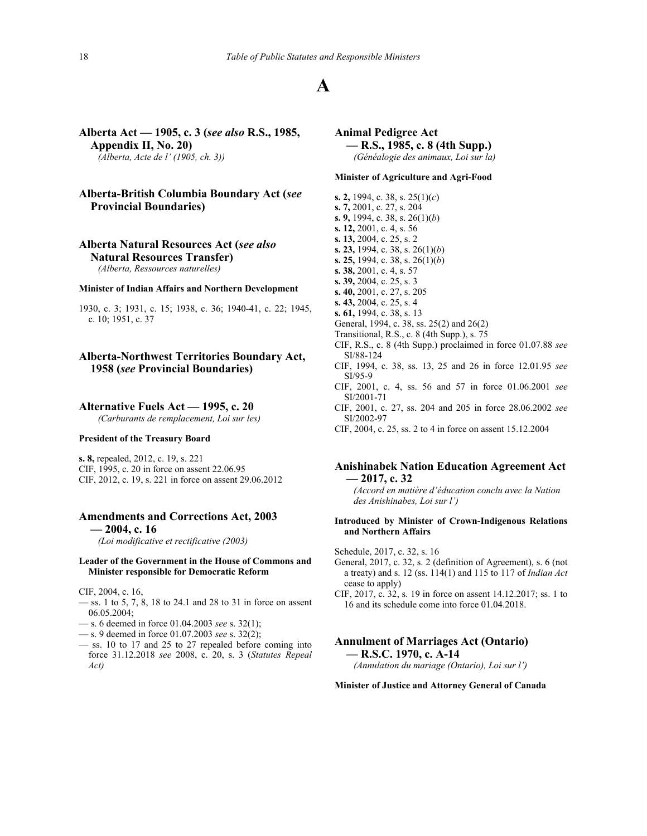**Alberta Act — 1905, c. 3 (***see also* **R.S., 1985, Appendix II, No. 20)** *(Alberta, Acte de l' (1905, ch. 3))*

# **Alberta-British Columbia Boundary Act (***see* **Provincial Boundaries)**

# **Alberta Natural Resources Act (***see also* **Natural Resources Transfer)**

*(Alberta, Ressources naturelles)*

#### **Minister of Indian Affairs and Northern Development**

1930, c. 3; 1931, c. 15; 1938, c. 36; 1940-41, c. 22; 1945, c. 10; 1951, c. 37

# **Alberta-Northwest Territories Boundary Act, 1958 (***see* **Provincial Boundaries)**

## **Alternative Fuels Act — 1995, c. 20**

*(Carburants de remplacement, Loi sur les)*

### **President of the Treasury Board**

**s. 8,** repealed, 2012, c. 19, s. 221 CIF, 1995, c. 20 in force on assent 22.06.95 CIF, 2012, c. 19, s. 221 in force on assent 29.06.2012

# **Amendments and Corrections Act, 2003**

**— 2004, c. 16**

# *(Loi modificative et rectificative (2003)*

#### **Leader of the Government in the House of Commons and Minister responsible for Democratic Reform**

CIF, 2004, c. 16,

- $-$  ss. 1 to 5, 7, 8, 18 to 24.1 and 28 to 31 in force on assent 06.05.2004;
- s. 6 deemed in force 01.04.2003 *see* s. 32(1);
- s. 9 deemed in force 01.07.2003 *see* s. 32(2);
- ss. 10 to 17 and 25 to 27 repealed before coming into force 31.12.2018 *see* 2008, c. 20, s. 3 (*Statutes Repeal Act)*

# **Animal Pedigree Act — R.S., 1985, c. 8 (4th Supp.)** *(Généalogie des animaux, Loi sur la)*

#### **Minister of Agriculture and Agri-Food**

**s. 2,** 1994, c. 38, s. 25(1)(*c*) **s. 7,** 2001, c. 27, s. 204 **s. 9,** 1994, c. 38, s. 26(1)(*b*) **s. 12,** 2001, c. 4, s. 56 **s. 13,** 2004, c. 25, s. 2 **s. 23,** 1994, c. 38, s. 26(1)(*b*) **s. 25,** 1994, c. 38, s. 26(1)(*b*) **s. 38,** 2001, c. 4, s. 57 **s. 39,** 2004, c. 25, s. 3 **s. 40,** 2001, c. 27, s. 205 **s. 43,** 2004, c. 25, s. 4 **s. 61,** 1994, c. 38, s. 13 General, 1994, c. 38, ss. 25(2) and 26(2) Transitional, R.S., c. 8 (4th Supp.), s. 75 CIF, R.S., c. 8 (4th Supp.) proclaimed in force 01.07.88 *see* SI/88‑124 CIF, 1994, c. 38, ss. 13, 25 and 26 in force 12.01.95 *see* SI/95‑9 CIF, 2001, c. 4, ss. 56 and 57 in force 01.06.2001 *see* SI/2001‑71 CIF, 2001, c. 27, ss. 204 and 205 in force 28.06.2002 *see* SI/2002-97

CIF, 2004, c. 25, ss. 2 to 4 in force on assent 15.12.2004

# **Anishinabek Nation Education Agreement Act — 2017, c. 32**

*(Accord en matière d'éducation conclu avec la Nation des Anishinabes, Loi sur l')*

## **Introduced by Minister of Crown-Indigenous Relations and Northern Affairs**

Schedule, 2017, c. 32, s. 16

- General, 2017, c. 32, s. 2 (definition of Agreement), s. 6 (not a treaty) and s. 12 (ss. 114(1) and 115 to 117 of *Indian Act* cease to apply)
- CIF, 2017, c. 32, s. 19 in force on assent 14.12.2017; ss. 1 to 16 and its schedule come into force 01.04.2018.
- **Annulment of Marriages Act (Ontario) — R.S.C. 1970, c. A-14** *(Annulation du mariage (Ontario), Loi sur l')*

**Minister of Justice and Attorney General of Canada**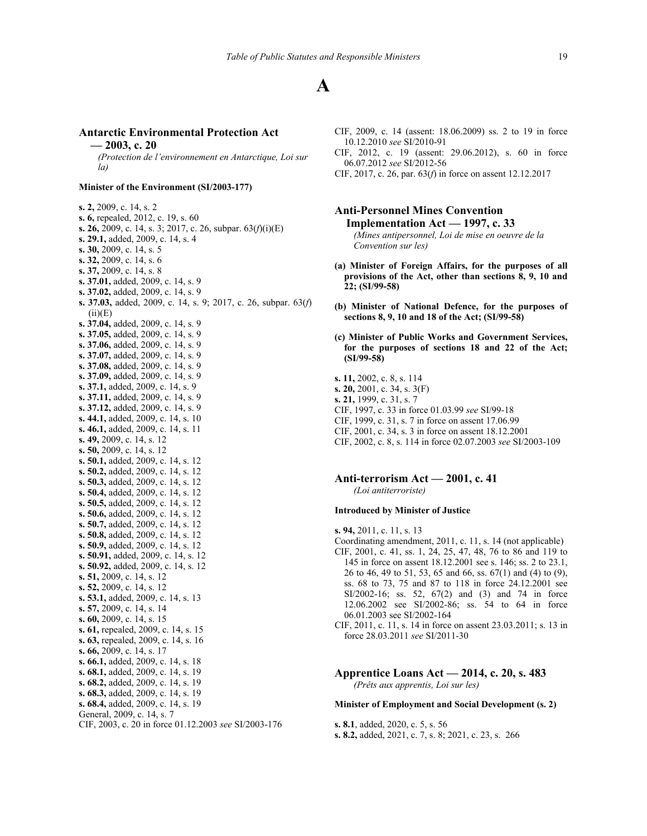## **Antarctic Environmental Protection Act**

**— 2003, c. 20**

*(Protection de l'environnement en Antarctique, Loi sur la)*

#### **Minister of the Environment (SI/2003-177)**

**s. 2,** 2009, c. 14, s. 2 **s. 6,** repealed, 2012, c. 19, s. 60 **s. 26,** 2009, c. 14, s. 3; 2017, c. 26, subpar. 63(*f*)(i)(E) **s. 29.1,** added, 2009, c. 14, s. 4 **s. 30,** 2009, c. 14, s. 5 **s. 32,** 2009, c. 14, s. 6 **s. 37,** 2009, c. 14, s. 8 **s. 37.01,** added, 2009, c. 14, s. 9 **s. 37.02,** added, 2009, c. 14, s. 9 **s. 37.03,** added, 2009, c. 14, s. 9; 2017, c. 26, subpar. 63(*f*)  $(ii)(E)$ **s. 37.04,** added, 2009, c. 14, s. 9 **s. 37.05,** added, 2009, c. 14, s. 9 **s. 37.06,** added, 2009, c. 14, s. 9 **s. 37.07,** added, 2009, c. 14, s. 9 **s. 37.08,** added, 2009, c. 14, s. 9 **s. 37.09,** added, 2009, c. 14, s. 9 **s. 37.1,** added, 2009, c. 14, s. 9 **s. 37.11,** added, 2009, c. 14, s. 9 **s. 37.12,** added, 2009, c. 14, s. 9 **s. 44.1,** added, 2009, c. 14, s. 10 **s. 46.1,** added, 2009, c. 14, s. 11 **s. 49,** 2009, c. 14, s. 12 **s. 50,** 2009, c. 14, s. 12 **s. 50.1,** added, 2009, c. 14, s. 12 **s. 50.2,** added, 2009, c. 14, s. 12 **s. 50.3,** added, 2009, c. 14, s. 12 **s. 50.4,** added, 2009, c. 14, s. 12 **s. 50.5,** added, 2009, c. 14, s. 12 **s. 50.6,** added, 2009, c. 14, s. 12 **s. 50.7,** added, 2009, c. 14, s. 12 **s. 50.8,** added, 2009, c. 14, s. 12 **s. 50.9,** added, 2009, c. 14, s. 12 **s. 50.91,** added, 2009, c. 14, s. 12 **s. 50.92,** added, 2009, c. 14, s. 12 **s. 51,** 2009, c. 14, s. 12 **s. 52,** 2009, c. 14, s. 12 **s. 53.1,** added, 2009, c. 14, s. 13 **s. 57,** 2009, c. 14, s. 14 **s. 60,** 2009, c. 14, s. 15 **s. 61,** repealed, 2009, c. 14, s. 15 **s. 63,** repealed, 2009, c. 14, s. 16 **s. 66,** 2009, c. 14, s. 17 **s. 66.1,** added, 2009, c. 14, s. 18 **s. 68.1,** added, 2009, c. 14, s. 19 **s. 68.2,** added, 2009, c. 14, s. 19 **s. 68.3,** added, 2009, c. 14, s. 19 **s. 68.4,** added, 2009, c. 14, s. 19 General, 2009, c. 14, s. 7 CIF, 2003, c. 20 in force 01.12.2003 *see* SI/2003-176

- CIF, 2009, c. 14 (assent: 18.06.2009) ss. 2 to 19 in force 10.12.2010 *see* SI/2010-91
- CIF, 2012, c. 19 (assent: 29.06.2012), s. 60 in force 06.07.2012 *see* SI/2012-56
- CIF, 2017, c. 26, par. 63(*f*) in force on assent 12.12.2017
- **Anti-Personnel Mines Convention Implementation Act — 1997, c. 33** *(Mines antipersonnel, Loi de mise en oeuvre de la Convention sur les)*
- **(a) Minister of Foreign Affairs, for the purposes of all provisions of the Act, other than sections 8, 9, 10 and 22; (SI/99-58)**
- **(b) Minister of National Defence, for the purposes of sections 8, 9, 10 and 18 of the Act; (SI/99-58)**
- **(c) Minister of Public Works and Government Services, for the purposes of sections 18 and 22 of the Act; (SI/99-58)**
- **s. 11,** 2002, c. 8, s. 114 **s. 20,** 2001, c. 34, s. 3(F) **s. 21,** 1999, c. 31, s. 7 CIF, 1997, c. 33 in force 01.03.99 *see* SI/99-18 CIF, 1999, c. 31, s. 7 in force on assent 17.06.99 CIF, 2001, c. 34, s. 3 in force on assent 18.12.2001
- CIF, 2002, c. 8, s. 114 in force 02.07.2003 *see* SI/2003-109

## **Anti-terrorism Act — 2001, c. 41** *(Loi antiterroriste)*

## **Introduced by Minister of Justice**

- **s. 94,** 2011, c. 11, s. 13
- Coordinating amendment, 2011, c. 11, s. 14 (not applicable) CIF, 2001, c. 41, ss. 1, 24, 25, 47, 48, 76 to 86 and 119 to 145 in force on assent 18.12.2001 see s. 146; ss. 2 to 23.1, 26 to 46, 49 to 51, 53, 65 and 66, ss. 67(1) and (4) to (9), ss. 68 to 73, 75 and 87 to 118 in force 24.12.2001 see SI/2002-16; ss. 52, 67(2) and (3) and 74 in force 12.06.2002 see SI/2002-86; ss. 54 to 64 in force 06.01.2003 see SI/2002-164

## **Apprentice Loans Act — 2014, c. 20, s. 483** *(Prêts aux apprentis, Loi sur les)*

#### **Minister of Employment and Social Development (s. 2)**

**s. 8.1**, added, 2020, c. 5, s. 56 **s. 8.2,** added, 2021, c. 7, s. 8; 2021, c. 23, s. 266

CIF, 2011, c. 11, s. 14 in force on assent 23.03.2011; s. 13 in force 28.03.2011 *see* SI/2011-30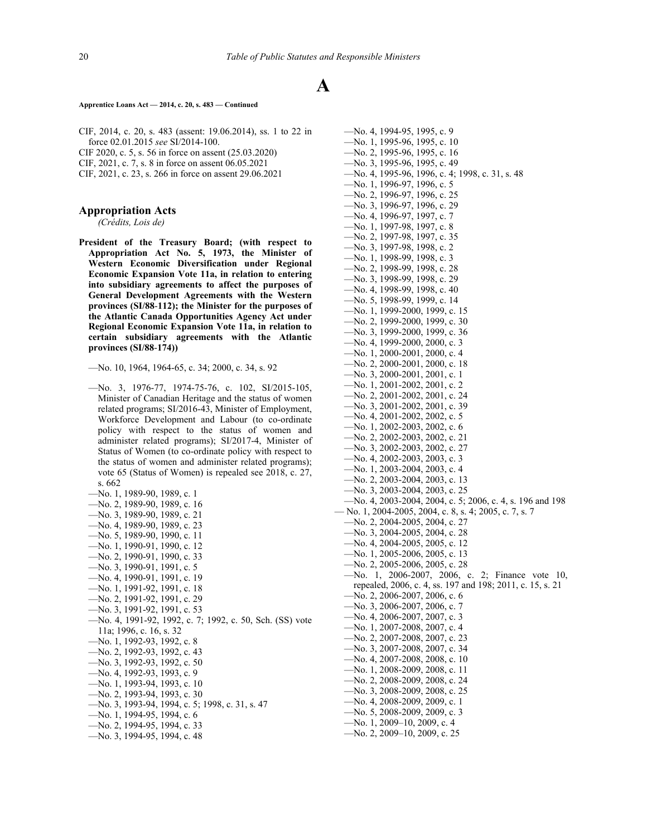#### **Apprentice Loans Act — 2014, c. 20, s. 483 — Continued**

CIF, 2014, c. 20, s. 483 (assent: 19.06.2014), ss. 1 to 22 in force 02.01.2015 *see* SI/2014-100.

CIF 2020, c. 5, s. 56 in force on assent (25.03.2020)

CIF, 2021, c. 7, s. 8 in force on assent 06.05.2021

CIF, 2021, c. 23, s. 266 in force on assent 29.06.2021

## **Appropriation Acts**

*(Crédits, Lois de)*

**President of the Treasury Board; (with respect to Appropriation Act No. 5, 1973, the Minister of Western Economic Diversification under Regional Economic Expansion Vote 11a, in relation to entering into subsidiary agreements to affect the purposes of General Development Agreements with the Western provinces (SI/88**‑**112); the Minister for the purposes of the Atlantic Canada Opportunities Agency Act under Regional Economic Expansion Vote 11a, in relation to certain subsidiary agreements with the Atlantic provinces (SI/88**‑**174))**

- —No. 3, 1976-77, 1974-75-76, c. 102, SI/2015-105, Minister of Canadian Heritage and the status of women related programs; SI/2016-43, Minister of Employment, Workforce Development and Labour (to co-ordinate policy with respect to the status of women and administer related programs); SI/2017-4, Minister of Status of Women (to co-ordinate policy with respect to the status of women and administer related programs); vote 65 (Status of Women) is repealed see 2018, c. 27, s. 662
- —No. 1, 1989-90, 1989, c. 1
- —No. 2, 1989-90, 1989, c. 16
- —No. 3, 1989-90, 1989, c. 21
- —No. 4, 1989-90, 1989, c. 23
- —No. 5, 1989-90, 1990, c. 11
- —No. 1, 1990-91, 1990, c. 12
- —No. 2, 1990-91, 1990, c. 33
- —No. 3, 1990-91, 1991, c. 5
- —No. 4, 1990-91, 1991, c. 19
- —No. 1, 1991-92, 1991, c. 18
- —No. 2, 1991-92, 1991, c. 29
- —No. 3, 1991-92, 1991, c. 53
- —No. 4, 1991-92, 1992, c. 7; 1992, c. 50, Sch. (SS) vote 11a; 1996, c. 16, s. 32
- —No. 1, 1992-93, 1992, c. 8
- —No. 2, 1992-93, 1992, c. 43
- —No. 3, 1992-93, 1992, c. 50
- —No. 4, 1992-93, 1993, c. 9
- —No. 1, 1993-94, 1993, c. 10
- —No. 2, 1993-94, 1993, c. 30
- —No. 3, 1993-94, 1994, c. 5; 1998, c. 31, s. 47
- —No. 1, 1994-95, 1994, c. 6
- —No. 2, 1994-95, 1994, c. 33
- —No. 3, 1994-95, 1994, c. 48

—No. 4, 1994-95, 1995, c. 9 —No. 1, 1995-96, 1995, c. 10 —No. 2, 1995-96, 1995, c. 16 —No. 3, 1995-96, 1995, c. 49 —No. 4, 1995-96, 1996, c. 4; 1998, c. 31, s. 48 —No. 1, 1996-97, 1996, c. 5 —No. 2, 1996-97, 1996, c. 25 —No. 3, 1996-97, 1996, c. 29 —No. 4, 1996-97, 1997, c. 7 —No. 1, 1997-98, 1997, c. 8 —No. 2, 1997-98, 1997, c. 35 —No. 3, 1997-98, 1998, c. 2 —No. 1, 1998-99, 1998, c. 3 —No. 2, 1998-99, 1998, c. 28 —No. 3, 1998-99, 1998, c. 29 —No. 4, 1998-99, 1998, c. 40 —No. 5, 1998-99, 1999, c. 14 —No. 1, 1999-2000, 1999, c. 15 —No. 2, 1999-2000, 1999, c. 30 —No. 3, 1999-2000, 1999, c. 36 —No. 4, 1999-2000, 2000, c. 3 —No. 1, 2000-2001, 2000, c. 4 —No. 2, 2000-2001, 2000, c. 18 —No. 3, 2000-2001, 2001, c. 1 —No. 1, 2001-2002, 2001, c. 2 —No. 2, 2001-2002, 2001, c. 24 —No. 3, 2001-2002, 2001, c. 39 —No. 4, 2001-2002, 2002, c. 5 —No. 1, 2002-2003, 2002, c. 6 —No. 2, 2002-2003, 2002, c. 21 —No. 3, 2002-2003, 2002, c. 27 —No. 4, 2002-2003, 2003, c. 3 —No. 1, 2003-2004, 2003, c. 4 —No. 2, 2003-2004, 2003, c. 13 —No. 3, 2003-2004, 2003, c. 25 —No. 4, 2003-2004, 2004, c. 5; 2006, c. 4, s. 196 and 198 — No. 1, 2004-2005, 2004, c. 8, s. 4; 2005, c. 7, s. 7 —No. 2, 2004-2005, 2004, c. 27 —No. 3, 2004-2005, 2004, c. 28 —No. 4, 2004-2005, 2005, c. 12 —No. 1, 2005-2006, 2005, c. 13 —No. 2, 2005-2006, 2005, c. 28 —No. 1, 2006-2007, 2006, c. 2; Finance vote 10, repealed, 2006, c. 4, ss. 197 and 198; 2011, c. 15, s. 21 —No. 2, 2006-2007, 2006, c. 6 —No. 3, 2006-2007, 2006, c. 7 —No. 4, 2006-2007, 2007, c. 3 —No. 1, 2007-2008, 2007, c. 4 —No. 2, 2007-2008, 2007, c. 23 —No. 3, 2007-2008, 2007, c. 34 —No. 4, 2007-2008, 2008, c. 10 —No. 1, 2008-2009, 2008, c. 11 —No. 2, 2008-2009, 2008, c. 24 —No. 3, 2008-2009, 2008, c. 25 —No. 4, 2008-2009, 2009, c. 1 —No. 5, 2008-2009, 2009, c. 3 —No. 1, 2009–10, 2009, c. 4 —No. 2, 2009–10, 2009, c. 25

<sup>—</sup>No. 10, 1964, 1964-65, c. 34; 2000, c. 34, s. 92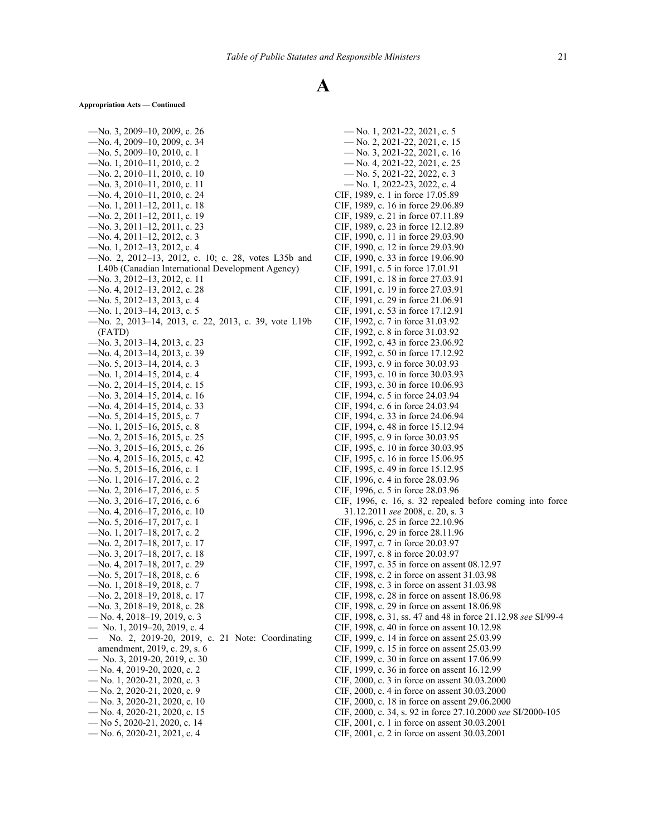#### **Appropriation Acts — Continued**

—No. 3, 2009–10, 2009, c. 26 —No. 4, 2009–10, 2009, c. 34 —No. 5, 2009–10, 2010, c. 1 —No. 1, 2010–11, 2010, c. 2 —No. 2, 2010–11, 2010, c. 10 —No. 3, 2010–11, 2010, c. 11 —No. 4, 2010–11, 2010, c. 24 —No. 1, 2011–12, 2011, c. 18 —No. 2, 2011–12, 2011, c. 19 —No. 3, 2011–12, 2011, c. 23 —No. 4, 2011–12, 2012, c. 3 —No. 1, 2012–13, 2012, c. 4 —No. 2, 2012–13, 2012, c. 10; c. 28, votes L35b and L40b (Canadian International Development Agency) —No. 3, 2012–13, 2012, c. 11 —No. 4, 2012–13, 2012, c. 28 —No. 5, 2012–13, 2013, c. 4 —No. 1, 2013–14, 2013, c. 5 —No. 2, 2013–14, 2013, c. 22, 2013, c. 39, vote L19b (FATD) —No. 3, 2013–14, 2013, c. 23 —No. 4, 2013–14, 2013, c. 39 —No. 5, 2013–14, 2014, c. 3 —No. 1, 2014–15, 2014, c. 4 —No. 2, 2014–15, 2014, c. 15 —No. 3, 2014–15, 2014, c. 16 —No. 4, 2014–15, 2014, c. 33 —No. 5, 2014–15, 2015, c. 7 —No. 1, 2015–16, 2015, c. 8 —No. 2, 2015–16, 2015, c. 25 —No. 3, 2015–16, 2015, c. 26 —No. 4, 2015–16, 2015, c. 42 —No. 5, 2015–16, 2016, c. 1 —No. 1, 2016–17, 2016, c. 2 —No. 2, 2016–17, 2016, c. 5 —No. 3, 2016–17, 2016, c. 6 —No. 4, 2016–17, 2016, c. 10 —No. 5, 2016–17, 2017, c. 1 —No. 1, 2017–18, 2017, c. 2 —No. 2, 2017–18, 2017, c. 17 —No. 3, 2017–18, 2017, c. 18 —No. 4, 2017–18, 2017, c. 29 —No. 5, 2017–18, 2018, c. 6 —No. 1, 2018–19, 2018, c. 7 —No. 2, 2018–19, 2018, c. 17 —No. 3, 2018–19, 2018, c. 28 — No. 4, 2018–19, 2019, c. 3 — No. 1, 2019–20, 2019, c. 4 — No. 2, 2019-20, 2019, c. 21 Note: Coordinating amendment, 2019, c. 29, s. 6 — No. 3, 2019-20, 2019, c. 30 — No. 4, 2019-20, 2020, c. 2 — No. 1, 2020-21, 2020, c. 3 — No. 2, 2020-21, 2020, c. 9 — No. 3, 2020-21, 2020, c. 10 — No. 4, 2020-21, 2020, c. 15 — No 5, 2020-21, 2020, c. 14 — No. 6, 2020-21, 2021, c. 4

— No. 1, 2021-22, 2021, c. 5 — No. 2, 2021-22, 2021, c. 15 — No. 3, 2021-22, 2021, c. 16 — No. 4, 2021-22, 2021, c. 25 — No. 5, 2021-22, 2022, c. 3 — No. 1, 2022-23, 2022, c. 4 CIF, 1989, c. 1 in force 17.05.89 CIF, 1989, c. 16 in force 29.06.89 CIF, 1989, c. 21 in force 07.11.89 CIF, 1989, c. 23 in force 12.12.89 CIF, 1990, c. 11 in force 29.03.90 CIF, 1990, c. 12 in force 29.03.90 CIF, 1990, c. 33 in force 19.06.90 CIF, 1991, c. 5 in force 17.01.91 CIF, 1991, c. 18 in force 27.03.91 CIF, 1991, c. 19 in force 27.03.91 CIF, 1991, c. 29 in force 21.06.91 CIF, 1991, c. 53 in force 17.12.91 CIF, 1992, c. 7 in force 31.03.92 CIF, 1992, c. 8 in force 31.03.92 CIF, 1992, c. 43 in force 23.06.92 CIF, 1992, c. 50 in force 17.12.92 CIF, 1993, c. 9 in force 30.03.93 CIF, 1993, c. 10 in force 30.03.93 CIF, 1993, c. 30 in force 10.06.93 CIF, 1994, c. 5 in force 24.03.94 CIF, 1994, c. 6 in force 24.03.94 CIF, 1994, c. 33 in force 24.06.94 CIF, 1994, c. 48 in force 15.12.94 CIF, 1995, c. 9 in force 30.03.95 CIF, 1995, c. 10 in force 30.03.95 CIF, 1995, c. 16 in force 15.06.95 CIF, 1995, c. 49 in force 15.12.95 CIF, 1996, c. 4 in force 28.03.96 CIF, 1996, c. 5 in force 28.03.96 CIF, 1996, c. 16, s. 32 repealed before coming into force 31.12.2011 *see* 2008, c. 20, s. 3 CIF, 1996, c. 25 in force 22.10.96 CIF, 1996, c. 29 in force 28.11.96 CIF, 1997, c. 7 in force 20.03.97 CIF, 1997, c. 8 in force 20.03.97 CIF, 1997, c. 35 in force on assent 08.12.97 CIF, 1998, c. 2 in force on assent 31.03.98 CIF, 1998, c. 3 in force on assent 31.03.98 CIF, 1998, c. 28 in force on assent 18.06.98 CIF, 1998, c. 29 in force on assent 18.06.98 CIF, 1998, c. 31, ss. 47 and 48 in force 21.12.98 *see* SI/99-4 CIF, 1998, c. 40 in force on assent 10.12.98 CIF, 1999, c. 14 in force on assent 25.03.99 CIF, 1999, c. 15 in force on assent 25.03.99 CIF, 1999, c. 30 in force on assent 17.06.99 CIF, 1999, c. 36 in force on assent 16.12.99 CIF, 2000, c. 3 in force on assent 30.03.2000 CIF, 2000, c. 4 in force on assent 30.03.2000 CIF, 2000, c. 18 in force on assent 29.06.2000 CIF, 2000, c. 34, s. 92 in force 27.10.2000 *see* SI/2000-105 CIF, 2001, c. 1 in force on assent 30.03.2001

CIF, 2001, c. 2 in force on assent 30.03.2001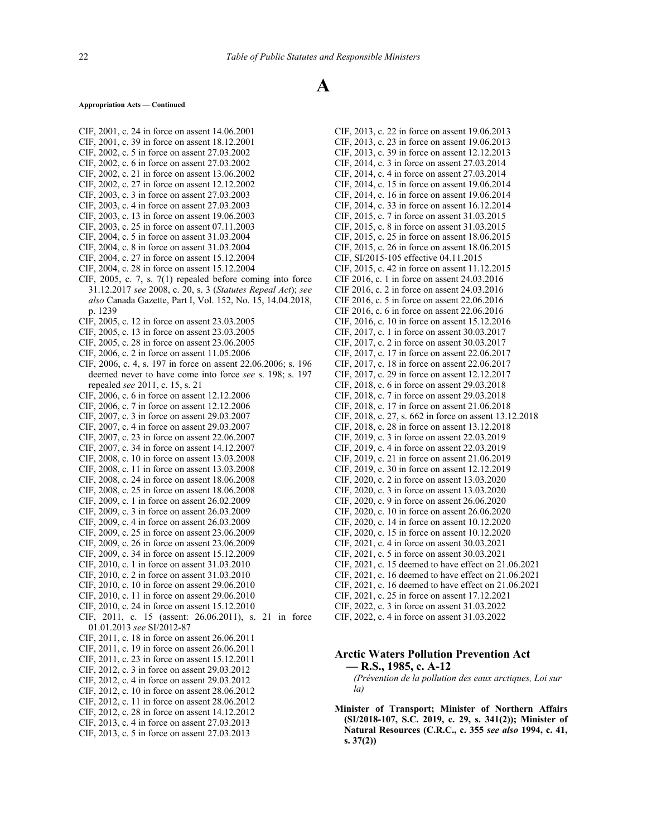#### **Appropriation Acts — Continued**

- CIF, 2001, c. 24 in force on assent 14.06.2001 CIF, 2001, c. 39 in force on assent 18.12.2001
- CIF, 2002, c. 5 in force on assent 27.03.2002
- CIF, 2002, c. 6 in force on assent 27.03.2002
- CIF, 2002, c. 21 in force on assent 13.06.2002
- CIF, 2002, c. 27 in force on assent 12.12.2002
- CIF, 2003, c. 3 in force on assent 27.03.2003
- CIF, 2003, c. 4 in force on assent 27.03.2003
- CIF, 2003, c. 13 in force on assent 19.06.2003
- CIF, 2003, c. 25 in force on assent 07.11.2003 CIF, 2004, c. 5 in force on assent 31.03.2004
- 
- CIF, 2004, c. 8 in force on assent 31.03.2004 CIF, 2004, c. 27 in force on assent 15.12.2004
- CIF, 2004, c. 28 in force on assent 15.12.2004
- 
- CIF, 2005, c. 7, s. 7(1) repealed before coming into force 31.12.2017 *see* 2008, c. 20, s. 3 (*Statutes Repeal Act*); *see also* Canada Gazette, Part I, Vol. 152, No. 15, 14.04.2018, p. 1239
- CIF, 2005, c. 12 in force on assent 23.03.2005
- CIF, 2005, c. 13 in force on assent 23.03.2005
- CIF, 2005, c. 28 in force on assent 23.06.2005
- CIF, 2006, c. 2 in force on assent 11.05.2006
- CIF, 2006, c. 4, s. 197 in force on assent 22.06.2006; s. 196 deemed never to have come into force *see* s. 198; s. 197 repealed *see* 2011, c. 15, s. 21
- CIF, 2006, c. 6 in force on assent 12.12.2006
- CIF, 2006, c. 7 in force on assent 12.12.2006
- CIF, 2007, c. 3 in force on assent 29.03.2007
- CIF, 2007, c. 4 in force on assent 29.03.2007
- CIF, 2007, c. 23 in force on assent 22.06.2007
- CIF, 2007, c. 34 in force on assent 14.12.2007
- CIF, 2008, c. 10 in force on assent 13.03.2008
- CIF, 2008, c. 11 in force on assent 13.03.2008 CIF, 2008, c. 24 in force on assent 18.06.2008
- CIF, 2008, c. 25 in force on assent 18.06.2008
- CIF, 2009, c. 1 in force on assent 26.02.2009
- 
- CIF, 2009, c. 3 in force on assent 26.03.2009
- CIF, 2009, c. 4 in force on assent 26.03.2009 CIF, 2009, c. 25 in force on assent 23.06.2009
- CIF, 2009, c. 26 in force on assent 23.06.2009
- CIF, 2009, c. 34 in force on assent 15.12.2009
- CIF, 2010, c. 1 in force on assent 31.03.2010
- CIF, 2010, c. 2 in force on assent 31.03.2010
- CIF, 2010, c. 10 in force on assent 29.06.2010
- CIF, 2010, c. 11 in force on assent 29.06.2010
- CIF, 2010, c. 24 in force on assent 15.12.2010
- CIF, 2011, c. 15 (assent: 26.06.2011), s. 21 in force
- 01.01.2013 *see* SI/2012-87
- CIF, 2011, c. 18 in force on assent 26.06.2011
- CIF, 2011, c. 19 in force on assent 26.06.2011
- CIF, 2011, c. 23 in force on assent 15.12.2011
- CIF, 2012, c. 3 in force on assent 29.03.2012
- CIF, 2012, c. 4 in force on assent 29.03.2012
- CIF, 2012, c. 10 in force on assent 28.06.2012
- CIF, 2012, c. 11 in force on assent 28.06.2012
- CIF, 2012, c. 28 in force on assent 14.12.2012
- CIF, 2013, c. 4 in force on assent 27.03.2013
- CIF, 2013, c. 5 in force on assent 27.03.2013

CIF, 2013, c. 22 in force on assent 19.06.2013 CIF, 2013, c. 23 in force on assent 19.06.2013 CIF, 2013, c. 39 in force on assent 12.12.2013 CIF, 2014, c. 3 in force on assent 27.03.2014 CIF, 2014, c. 4 in force on assent 27.03.2014 CIF, 2014, c. 15 in force on assent 19.06.2014 CIF, 2014, c. 16 in force on assent 19.06.2014 CIF, 2014, c. 33 in force on assent 16.12.2014 CIF, 2015, c. 7 in force on assent 31.03.2015 CIF, 2015, c. 8 in force on assent 31.03.2015 CIF, 2015, c. 25 in force on assent 18.06.2015 CIF, 2015, c. 26 in force on assent 18.06.2015 CIF, SI/2015-105 effective 04.11.2015 CIF, 2015, c. 42 in force on assent 11.12.2015 CIF 2016, c. 1 in force on assent 24.03.2016 CIF 2016, c. 2 in force on assent 24.03.2016 CIF 2016, c. 5 in force on assent 22.06.2016 CIF 2016, c. 6 in force on assent 22.06.2016 CIF, 2016, c. 10 in force on assent 15.12.2016 CIF, 2017, c. 1 in force on assent 30.03.2017 CIF, 2017, c. 2 in force on assent 30.03.2017 CIF, 2017, c. 17 in force on assent 22.06.2017 CIF, 2017, c. 18 in force on assent 22.06.2017 CIF, 2017, c. 29 in force on assent 12.12.2017 CIF, 2018, c. 6 in force on assent 29.03.2018 CIF, 2018, c. 7 in force on assent 29.03.2018 CIF, 2018, c. 17 in force on assent 21.06.2018 CIF, 2018, c. 27, s. 662 in force on assent 13.12.2018 CIF, 2018, c. 28 in force on assent 13.12.2018 CIF, 2019, c. 3 in force on assent 22.03.2019 CIF, 2019, c. 4 in force on assent 22.03.2019 CIF, 2019, c. 21 in force on assent 21.06.2019 CIF, 2019, c. 30 in force on assent 12.12.2019 CIF, 2020, c. 2 in force on assent 13.03.2020 CIF, 2020, c. 3 in force on assent 13.03.2020 CIF, 2020, c. 9 in force on assent 26.06.2020 CIF, 2020, c. 10 in force on assent 26.06.2020 CIF, 2020, c. 14 in force on assent 10.12.2020 CIF, 2020, c. 15 in force on assent 10.12.2020 CIF, 2021, c. 4 in force on assent 30.03.2021 CIF, 2021, c. 5 in force on assent 30.03.2021 CIF, 2021, c. 15 deemed to have effect on 21.06.2021 CIF, 2021, c. 16 deemed to have effect on 21.06.2021 CIF, 2021, c. 16 deemed to have effect on 21.06.2021 CIF, 2021, c. 25 in force on assent 17.12.2021 CIF, 2022, c. 3 in force on assent 31.03.2022 CIF, 2022, c. 4 in force on assent 31.03.2022

# **Arctic Waters Pollution Prevention Act — R.S., 1985, c. A-12**

## *(Prévention de la pollution des eaux arctiques, Loi sur la)*

**Minister of Transport; Minister of Northern Affairs (SI/2018-107, S.C. 2019, c. 29, s. 341(2)); Minister of Natural Resources (C.R.C., c. 355** *see also* **1994, c. 41, s. 37(2))**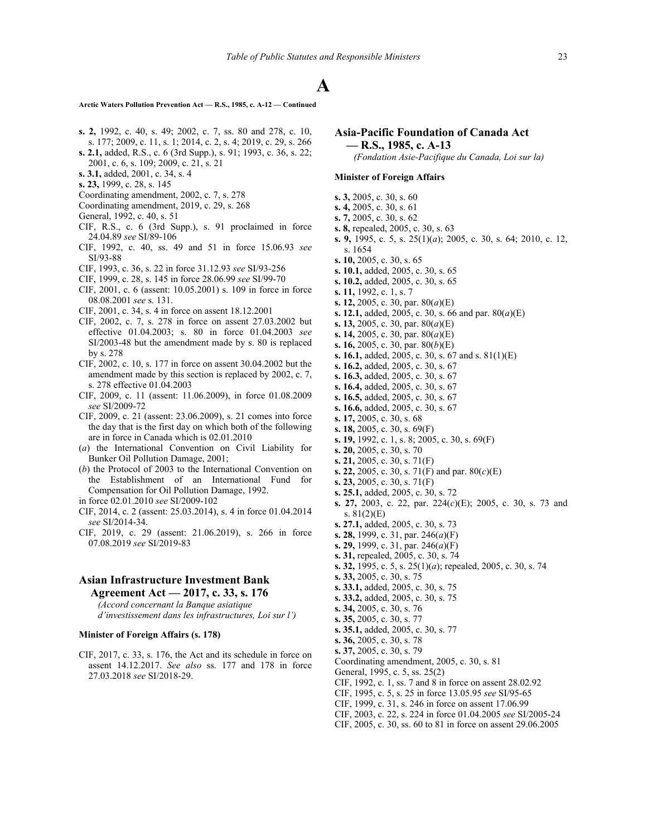**Arctic Waters Pollution Prevention Act — R.S., 1985, c. A-12 — Continued**

- **s. 2,** 1992, c. 40, s. 49; 2002, c. 7, ss. 80 and 278, c. 10,
- s. 177; 2009, c. 11, s. 1; 2014, c. 2, s. 4; 2019, c. 29, s. 266 **s. 2.1,** added, R.S., c. 6 (3rd Supp.), s. 91; 1993, c. 36, s. 22;
- 2001, c. 6, s. 109; 2009, c. 21, s. 21
- **s. 3.1,** added, 2001, c. 34, s. 4
- **s. 23,** 1999, c. 28, s. 145
- Coordinating amendment, 2002, c. 7, s. 278
- Coordinating amendment, 2019, c. 29, s. 268
- General, 1992, c. 40, s. 51
- CIF, R.S., c. 6 (3rd Supp.), s. 91 proclaimed in force 24.04.89 *see* SI/89‑106
- CIF, 1992, c. 40, ss. 49 and 51 in force 15.06.93 *see* SI/93‑88
- CIF, 1993, c. 36, s. 22 in force 31.12.93 *see* SI/93‑256
- CIF, 1999, c. 28, s. 145 in force 28.06.99 *see* SI/99-70
- CIF, 2001, c. 6 (assent: 10.05.2001) s. 109 in force in force 08.08.2001 *see* s. 131.
- CIF, 2001, c. 34, s. 4 in force on assent 18.12.2001
- CIF, 2002, c. 7, s. 278 in force on assent 27.03.2002 but effective 01.04.2003; s. 80 in force 01.04.2003 *see* SI/2003-48 but the amendment made by s. 80 is replaced by s. 278
- CIF, 2002, c. 10, s. 177 in force on assent 30.04.2002 but the amendment made by this section is replaced by 2002, c. 7, s. 278 effective 01.04.2003
- CIF, 2009, c. 11 (assent: 11.06.2009), in force 01.08.2009 *see* SI/2009-72
- CIF, 2009, c. 21 (assent: 23.06.2009), s. 21 comes into force the day that is the first day on which both of the following are in force in Canada which is 02.01.2010
- (*a*) the International Convention on Civil Liability for Bunker Oil Pollution Damage, 2001;
- (*b*) the Protocol of 2003 to the International Convention on the Establishment of an International Fund for Compensation for Oil Pollution Damage, 1992.
- in force 02.01.2010 *see* SI/2009-102
- CIF, 2014, c. 2 (assent: 25.03.2014), s. 4 in force 01.04.2014 *see* SI/2014-34.
- CIF, 2019, c. 29 (assent: 21.06.2019), s. 266 in force 07.08.2019 *see* SI/2019-83

# **Asian Infrastructure Investment Bank Agreement Act — 2017, c. 33, s. 176**

*(Accord concernant la Banque asiatique*

*d'investissement dans les infrastructures, Loi sur l')*

## **Minister of Foreign Affairs (s. 178)**

CIF, 2017, c. 33, s. 176, the Act and its schedule in force on assent 14.12.2017. *See also* ss. 177 and 178 in force 27.03.2018 *see* SI/2018-29.

# **Asia-Pacific Foundation of Canada Act**

**— R.S., 1985, c. A-13**

*(Fondation Asie-Pacifique du Canada, Loi sur la)*

#### **Minister of Foreign Affairs**

- **s. 3,** 2005, c. 30, s. 60
- **s. 4,** 2005, c. 30, s. 61
- **s. 7,** 2005, c. 30, s. 62
- **s. 8,** repealed, 2005, c. 30, s. 63
- **s. 9,** 1995, c. 5, s. 25(1)(*a*); 2005, c. 30, s. 64; 2010, c. 12, s. 1654
- **s. 10,** 2005, c. 30, s. 65
- **s. 10.1,** added, 2005, c. 30, s. 65
- **s. 10.2,** added, 2005, c. 30, s. 65
- **s. 11,** 1992, c. 1, s. 7
- **s. 12,** 2005, c. 30, par. 80(*a*)(E)
- **s. 12.1,** added, 2005, c. 30, s. 66 and par. 80(*a*)(E)
- **s. 13,** 2005, c. 30, par. 80(*a*)(E)
- **s. 14,** 2005, c. 30, par. 80(*a*)(E)
- **s. 16,** 2005, c. 30, par. 80(*b*)(E)
- **s. 16.1,** added, 2005, c. 30, s. 67 and s. 81(1)(E)
- **s. 16.2,** added, 2005, c. 30, s. 67
- **s. 16.3,** added, 2005, c. 30, s. 67
- **s. 16.4,** added, 2005, c. 30, s. 67
- **s. 16.5,** added, 2005, c. 30, s. 67
- **s. 16.6,** added, 2005, c. 30, s. 67 **s. 17,** 2005, c. 30, s. 68
- **s. 18,** 2005, c. 30, s. 69(F)
- 
- **s. 19,** 1992, c. 1, s. 8; 2005, c. 30, s. 69(F)
- **s. 20,** 2005, c. 30, s. 70
- **s. 21,** 2005, c. 30, s. 71(F)
- **s. 22,** 2005, c. 30, s. 71(F) and par. 80(*c*)(E)
- **s. 23,** 2005, c. 30, s. 71(F)
- **s. 25.1,** added, 2005, c. 30, s. 72
- **s. 27,** 2003, c. 22, par. 224(*c*)(E); 2005, c. 30, s. 73 and s. 81(2)(E)
- **s. 27.1,** added, 2005, c. 30, s. 73
- **s. 28,** 1999, c. 31, par. 246(*a*)(F)
- **s. 29,** 1999, c. 31, par. 246(*a*)(F)
- **s. 31,** repealed, 2005, c. 30, s. 74
- **s. 32,** 1995, c. 5, s. 25(1)(*a*); repealed, 2005, c. 30, s. 74
- **s. 33,** 2005, c. 30, s. 75
- **s. 33.1,** added, 2005, c. 30, s. 75
- **s. 33.2,** added, 2005, c. 30, s. 75
- **s. 34,** 2005, c. 30, s. 76
- **s. 35,** 2005, c. 30, s. 77
- **s. 35.1,** added, 2005, c. 30, s. 77
- **s. 36,** 2005, c. 30, s. 78
- **s. 37,** 2005, c. 30, s. 79
- Coordinating amendment, 2005, c. 30, s. 81
- General, 1995, c. 5, ss. 25(2)
- CIF, 1992, c. 1, ss. 7 and 8 in force on assent 28.02.92
- CIF, 1995, c. 5, s. 25 in force 13.05.95 *see* SI/95‑65
- CIF, 1999, c. 31, s. 246 in force on assent 17.06.99
- CIF, 2003, c. 22, s. 224 in force 01.04.2005 *see* SI/2005-24
- CIF, 2005, c. 30, ss. 60 to 81 in force on assent 29.06.2005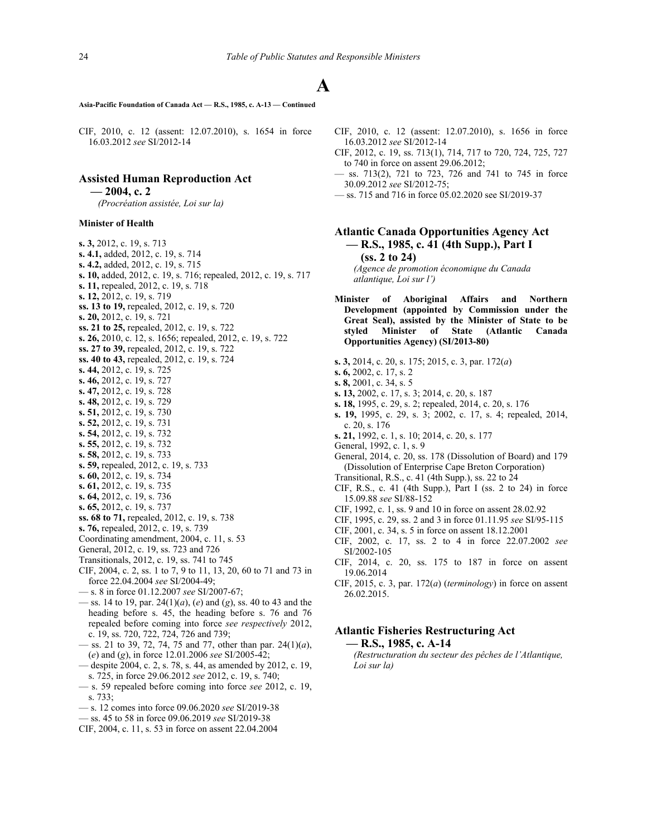**Asia-Pacific Foundation of Canada Act — R.S., 1985, c. A-13 — Continued**

CIF, 2010, c. 12 (assent: 12.07.2010), s. 1654 in force 16.03.2012 *see* SI/2012-14

# **Assisted Human Reproduction Act**

**— 2004, c. 2**

*(Procréation assistée, Loi sur la)*

## **Minister of Health**

**s. 3,** 2012, c. 19, s. 713 **s. 4.1,** added, 2012, c. 19, s. 714 **s. 4.2,** added, 2012, c. 19, s. 715 **s. 10,** added, 2012, c. 19, s. 716; repealed, 2012, c. 19, s. 717 **s. 11,** repealed, 2012, c. 19, s. 718 **s. 12,** 2012, c. 19, s. 719 **ss. 13 to 19,** repealed, 2012, c. 19, s. 720 **s. 20,** 2012, c. 19, s. 721 **ss. 21 to 25,** repealed, 2012, c. 19, s. 722 **s. 26,** 2010, c. 12, s. 1656; repealed, 2012, c. 19, s. 722 **ss. 27 to 39,** repealed, 2012, c. 19, s. 722 **ss. 40 to 43,** repealed, 2012, c. 19, s. 724 **s. 44,** 2012, c. 19, s. 725 **s. 46,** 2012, c. 19, s. 727 **s. 47,** 2012, c. 19, s. 728 **s. 48,** 2012, c. 19, s. 729 **s. 51,** 2012, c. 19, s. 730 **s. 52,** 2012, c. 19, s. 731 **s. 54,** 2012, c. 19, s. 732 **s. 55,** 2012, c. 19, s. 732 **s. 58,** 2012, c. 19, s. 733 **s. 59,** repealed, 2012, c. 19, s. 733 **s. 60,** 2012, c. 19, s. 734 **s. 61,** 2012, c. 19, s. 735 **s. 64,** 2012, c. 19, s. 736 **s. 65,** 2012, c. 19, s. 737 **ss. 68 to 71,** repealed, 2012, c. 19, s. 738 **s. 76,** repealed, 2012, c. 19, s. 739 Coordinating amendment, 2004, c. 11, s. 53 General, 2012, c. 19, ss. 723 and 726 Transitionals, 2012, c. 19, ss. 741 to 745 CIF, 2004, c. 2, ss. 1 to 7, 9 to 11, 13, 20, 60 to 71 and 73 in force 22.04.2004 *see* SI/2004-49; — s. 8 in force 01.12.2007 *see* SI/2007-67; — ss. 14 to 19, par. 24(1)(*a*), (*e*) and (*g*), ss. 40 to 43 and the heading before s. 45, the heading before s. 76 and 76 repealed before coming into force *see respectively* 2012, c. 19, ss. 720, 722, 724, 726 and 739;

- ss. 21 to 39, 72, 74, 75 and 77, other than par. 24(1)(*a*), (*e*) and (*g*), in force 12.01.2006 *see* SI/2005-42;
- despite 2004, c. 2, s. 78, s. 44, as amended by 2012, c. 19, s. 725, in force 29.06.2012 *see* 2012, c. 19, s. 740;
- s. 59 repealed before coming into force *see* 2012, c. 19, s. 733;
- s. 12 comes into force 09.06.2020 *see* SI/2019-38
- ss. 45 to 58 in force 09.06.2019 *see* SI/2019-38
- CIF, 2004, c. 11, s. 53 in force on assent 22.04.2004
- CIF, 2010, c. 12 (assent: 12.07.2010), s. 1656 in force 16.03.2012 *see* SI/2012-14
- CIF, 2012, c. 19, ss. 713(1), 714, 717 to 720, 724, 725, 727 to 740 in force on assent 29.06.2012;
- ss. 713(2), 721 to 723, 726 and 741 to 745 in force 30.09.2012 *see* SI/2012-75;
- ss. 715 and 716 in force 05.02.2020 see SI/2019-37

# **Atlantic Canada Opportunities Agency Act — R.S., 1985, c. 41 (4th Supp.), Part I (ss. 2 to 24)**

*(Agence de promotion économique du Canada atlantique, Loi sur l')*

- **Minister of Aboriginal Affairs and Northern Development (appointed by Commission under the Great Seal), assisted by the Minister of State to be styled Minister of State (Atlantic Canada Opportunities Agency) (SI/2013-80)**
- **s. 3,** 2014, c. 20, s. 175; 2015, c. 3, par. 172(*a*)
- **s. 6,** 2002, c. 17, s. 2
- **s. 8,** 2001, c. 34, s. 5
- **s. 13,** 2002, c. 17, s. 3; 2014, c. 20, s. 187
- **s. 18,** 1995, c. 29, s. 2; repealed, 2014, c. 20, s. 176
- **s. 19,** 1995, c. 29, s. 3; 2002, c. 17, s. 4; repealed, 2014, c. 20, s. 176
- **s. 21,** 1992, c. 1, s. 10; 2014, c. 20, s. 177
- General, 1992, c. 1, s. 9
- General, 2014, c. 20, ss. 178 (Dissolution of Board) and 179 (Dissolution of Enterprise Cape Breton Corporation)
- Transitional, R.S., c. 41 (4th Supp.), ss. 22 to 24
- CIF, R.S., c. 41 (4th Supp.), Part I (ss. 2 to 24) in force 15.09.88 *see* SI/88‑152
- CIF, 1992, c. 1, ss. 9 and 10 in force on assent 28.02.92
- CIF, 1995, c. 29, ss. 2 and 3 in force 01.11.95 *see* SI/95‑115
- CIF, 2001, c. 34, s. 5 in force on assent 18.12.2001
- CIF, 2002, c. 17, ss. 2 to 4 in force 22.07.2002 *see* SI/2002-105
- CIF, 2014, c. 20, ss. 175 to 187 in force on assent 19.06.2014
- CIF, 2015, c. 3, par. 172(*a*) (*terminology*) in force on assent 26.02.2015.

# **Atlantic Fisheries Restructuring Act — R.S., 1985, c. A-14**

*(Restructuration du secteur des pêches de l'Atlantique, Loi sur la)*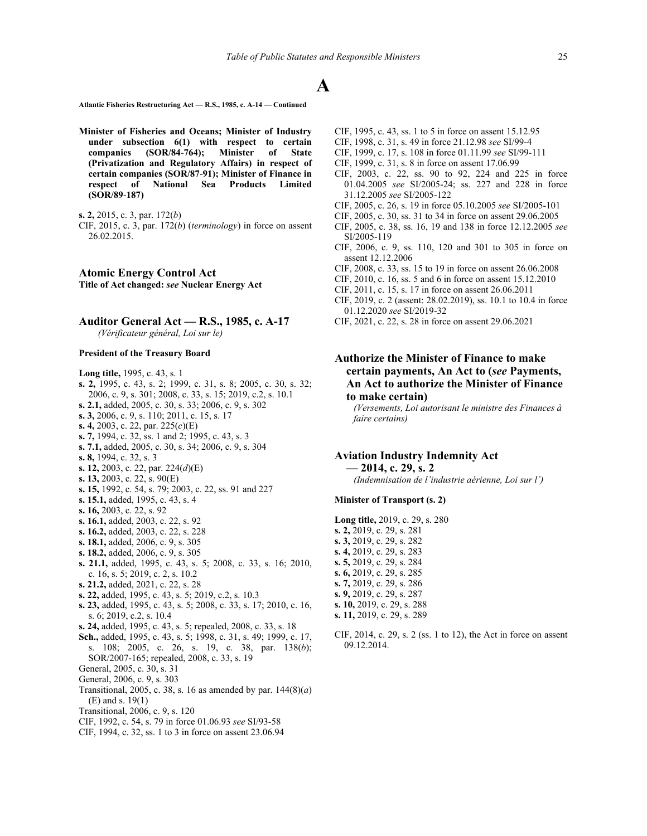**Atlantic Fisheries Restructuring Act — R.S., 1985, c. A-14 — Continued**

**Minister of Fisheries and Oceans; Minister of Industry under subsection 6(1) with respect to certain companies (SOR/84**‑**764); Minister of State (Privatization and Regulatory Affairs) in respect of certain companies (SOR/87**‑**91); Minister of Finance in respect of National Sea Products Limited (SOR/89**‑**187)**

CIF, 2015, c. 3, par. 172(*b*) (*terminology*) in force on assent 26.02.2015.

**Atomic Energy Control Act Title of Act changed:** *see* **Nuclear Energy Act**

# **Auditor General Act — R.S., 1985, c. A-17**

*(Vérificateur général, Loi sur le)*

## **President of the Treasury Board**

**Long title,** 1995, c. 43, s. 1

- **s. 2,** 1995, c. 43, s. 2; 1999, c. 31, s. 8; 2005, c. 30, s. 32; 2006, c. 9, s. 301; 2008, c. 33, s. 15; 2019, c.2, s. 10.1 **s. 2.1,** added, 2005, c. 30, s. 33; 2006, c. 9, s. 302 **s. 3,** 2006, c. 9, s. 110; 2011, c. 15, s. 17 **s. 4,** 2003, c. 22, par. 225(*c*)(E) **s. 7,** 1994, c. 32, ss. 1 and 2; 1995, c. 43, s. 3 **s. 7.1,** added, 2005, c. 30, s. 34; 2006, c. 9, s. 304 **s. 8,** 1994, c. 32, s. 3 **s. 12,** 2003, c. 22, par. 224(*d*)(E) **s. 13,** 2003, c. 22, s. 90(E) **s. 15,** 1992, c. 54, s. 79; 2003, c. 22, ss. 91 and 227 **s. 15.1,** added, 1995, c. 43, s. 4 **s. 16,** 2003, c. 22, s. 92 **s. 16.1,** added, 2003, c. 22, s. 92 **s. 16.2,** added, 2003, c. 22, s. 228 **s. 18.1,** added, 2006, c. 9, s. 305 **s. 18.2,** added, 2006, c. 9, s. 305 **s. 21.1,** added, 1995, c. 43, s. 5; 2008, c. 33, s. 16; 2010, c. 16, s. 5; 2019, c. 2, s. 10.2 **s. 21.2,** added, 2021, c. 22, s. 28 **s. 22,** added, 1995, c. 43, s. 5; 2019, c.2, s. 10.3 **s. 23,** added, 1995, c. 43, s. 5; 2008, c. 33, s. 17; 2010, c. 16, s. 6; 2019, c.2, s. 10.4 **s. 24,** added, 1995, c. 43, s. 5; repealed, 2008, c. 33, s. 18 **Sch.,** added, 1995, c. 43, s. 5; 1998, c. 31, s. 49; 1999, c. 17, s. 108; 2005, c. 26, s. 19, c. 38, par. 138(*b*); SOR/2007‑165; repealed, 2008, c. 33, s. 19 General, 2005, c. 30, s. 31 General, 2006, c. 9, s. 303 Transitional, 2005, c. 38, s. 16 as amended by par. 144(8)(*a*) (E) and s. 19(1)
- Transitional, 2006, c. 9, s. 120
- CIF, 1992, c. 54, s. 79 in force 01.06.93 *see* SI/93‑58
- CIF, 1994, c. 32, ss. 1 to 3 in force on assent 23.06.94
- CIF, 1995, c. 43, ss. 1 to 5 in force on assent 15.12.95
- CIF, 1998, c. 31, s. 49 in force 21.12.98 *see* SI/99-4
- CIF, 1999, c. 17, s. 108 in force 01.11.99 *see* SI/99‑111
- CIF, 1999, c. 31, s. 8 in force on assent 17.06.99
- CIF, 2003, c. 22, ss. 90 to 92, 224 and 225 in force 01.04.2005 *see* SI/2005-24; ss. 227 and 228 in force 31.12.2005 *see* SI/2005-122
- CIF, 2005, c. 26, s. 19 in force 05.10.2005 *see* SI/2005-101
- CIF, 2005, c. 30, ss. 31 to 34 in force on assent 29.06.2005
- CIF, 2005, c. 38, ss. 16, 19 and 138 in force 12.12.2005 *see* SI/2005-119
- CIF, 2006, c. 9, ss. 110, 120 and 301 to 305 in force on assent 12.12.2006
- CIF, 2008, c. 33, ss. 15 to 19 in force on assent 26.06.2008
- CIF, 2010, c. 16, ss. 5 and 6 in force on assent 15.12.2010
- CIF, 2011, c. 15, s. 17 in force on assent 26.06.2011
- CIF, 2019, c. 2 (assent: 28.02.2019), ss. 10.1 to 10.4 in force 01.12.2020 *see* SI/2019-32
- CIF, 2021, c. 22, s. 28 in force on assent 29.06.2021
- **Authorize the Minister of Finance to make certain payments, An Act to (***see* **Payments, An Act to authorize the Minister of Finance to make certain)**

*(Versements, Loi autorisant le ministre des Finances à faire certains)*

## **Aviation Industry Indemnity Act**

**— 2014, c. 29, s. 2** *(Indemnisation de l'industrie aérienne, Loi sur l')*

#### **Minister of Transport (s. 2)**

- **Long title,** 2019, c. 29, s. 280 **s. 2,** 2019, c. 29, s. 281 **s. 3,** 2019, c. 29, s. 282 **s. 4,** 2019, c. 29, s. 283 **s. 5,** 2019, c. 29, s. 284 **s. 6,** 2019, c. 29, s. 285 **s. 7,** 2019, c. 29, s. 286 **s. 9,** 2019, c. 29, s. 287 **s. 10,** 2019, c. 29, s. 288 **s. 11,** 2019, c. 29, s. 289
- CIF, 2014, c. 29, s. 2 (ss. 1 to 12), the Act in force on assent 09.12.2014.

**s. 2,** 2015, c. 3, par. 172(*b*)